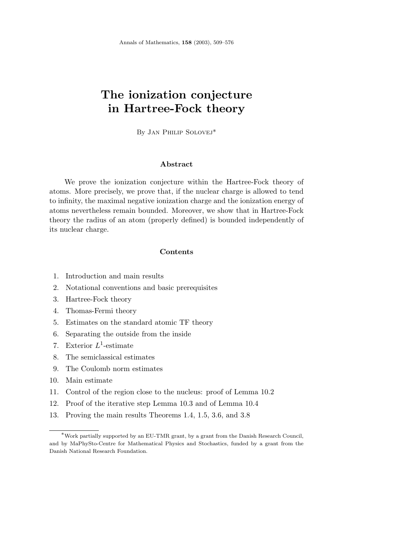# **The ionization conjecture in Hartree-Fock theory**

By Jan Philip Solovej\*

# **Abstract**

We prove the ionization conjecture within the Hartree-Fock theory of atoms. More precisely, we prove that, if the nuclear charge is allowed to tend to infinity, the maximal negative ionization charge and the ionization energy of atoms nevertheless remain bounded. Moreover, we show that in Hartree-Fock theory the radius of an atom (properly defined) is bounded independently of its nuclear charge.

# **Contents**

- 1. Introduction and main results
- 2. Notational conventions and basic prerequisites
- 3. Hartree-Fock theory
- 4. Thomas-Fermi theory
- 5. Estimates on the standard atomic TF theory
- 6. Separating the outside from the inside
- 7. Exterior  $L^1$ -estimate
- 8. The semiclassical estimates
- 9. The Coulomb norm estimates
- 10. Main estimate
- 11. Control of the region close to the nucleus: proof of Lemma 10.2
- 12. Proof of the iterative step Lemma 10.3 and of Lemma 10.4
- 13. Proving the main results Theorems 1.4, 1.5, 3.6, and 3.8

<sup>∗</sup>Work partially supported by an EU-TMR grant, by a grant from the Danish Research Council, and by MaPhySto-Centre for Mathematical Physics and Stochastics, funded by a grant from the Danish National Research Foundation.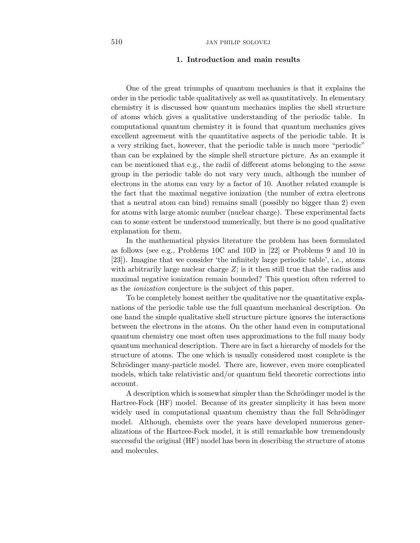## **1. Introduction and main results**

One of the great triumphs of quantum mechanics is that it explains the order in the periodic table qualitatively as well as quantitatively. In elementary chemistry it is discussed how quantum mechanics implies the shell structure of atoms which gives a qualitative understanding of the periodic table. In computational quantum chemistry it is found that quantum mechanics gives excellent agreement with the quantitative aspects of the periodic table. It is a very striking fact, however, that the periodic table is much more "periodic" than can be explained by the simple shell structure picture. As an example it can be mentioned that e.g., the radii of different atoms belonging to the same group in the periodic table do not vary very much, although the number of electrons in the atoms can vary by a factor of 10. Another related example is the fact that the maximal negative ionization (the number of extra electrons that a neutral atom can bind) remains small (possibly no bigger than 2) even for atoms with large atomic number (nuclear charge). These experimental facts can to some extent be understood numerically, but there is no good qualitative explanation for them.

In the mathematical physics literature the problem has been formulated as follows (see e.g., Problems 10C and 10D in [22] or Problems 9 and 10 in [23]). Imagine that we consider 'the infinitely large periodic table', i.e., atoms with arbitrarily large nuclear charge  $Z$ ; is it then still true that the radius and maximal negative ionization remain bounded? This question often referred to as the ionization conjecture is the subject of this paper.

To be completely honest neither the qualitative nor the quantitative explanations of the periodic table use the full quantum mechanical description. On one hand the simple qualitative shell structure picture ignores the interactions between the electrons in the atoms. On the other hand even in computational quantum chemistry one most often uses approximations to the full many body quantum mechanical description. There are in fact a hierarchy of models for the structure of atoms. The one which is usually considered most complete is the Schrödinger many-particle model. There are, however, even more complicated models, which take relativistic and/or quantum field theoretic corrections into account.

A description which is somewhat simpler than the Schrödinger model is the Hartree-Fock (HF) model. Because of its greater simplicity it has been more widely used in computational quantum chemistry than the full Schrödinger model. Although, chemists over the years have developed numerous generalizations of the Hartree-Fock model, it is still remarkable how tremendously successful the original (HF) model has been in describing the structure of atoms and molecules.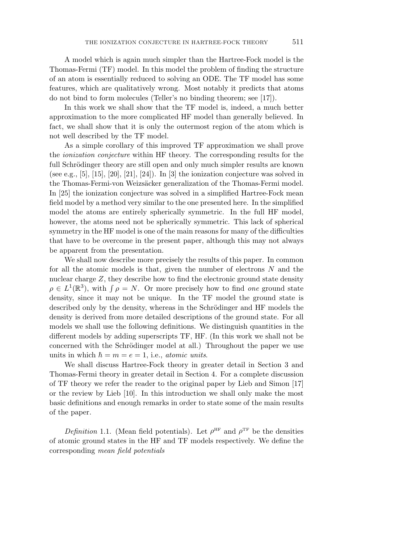A model which is again much simpler than the Hartree-Fock model is the Thomas-Fermi (TF) model. In this model the problem of finding the structure of an atom is essentially reduced to solving an ODE. The TF model has some features, which are qualitatively wrong. Most notably it predicts that atoms do not bind to form molecules (Teller's no binding theorem; see [17]).

In this work we shall show that the TF model is, indeed, a much better approximation to the more complicated HF model than generally believed. In fact, we shall show that it is only the outermost region of the atom which is not well described by the TF model.

As a simple corollary of this improved TF approximation we shall prove the ionization conjecture within HF theory. The corresponding results for the full Schrödinger theory are still open and only much simpler results are known (see e.g., [5], [15], [20], [21], [24]). In [3] the ionization conjecture was solved in the Thomas-Fermi-von Weizsäcker generalization of the Thomas-Fermi model. In [25] the ionization conjecture was solved in a simplified Hartree-Fock mean field model by a method very similar to the one presented here. In the simplified model the atoms are entirely spherically symmetric. In the full HF model, however, the atoms need not be spherically symmetric. This lack of spherical symmetry in the HF model is one of the main reasons for many of the difficulties that have to be overcome in the present paper, although this may not always be apparent from the presentation.

We shall now describe more precisely the results of this paper. In common for all the atomic models is that, given the number of electrons N and the nuclear charge  $Z$ , they describe how to find the electronic ground state density  $\rho \in L^1(\mathbb{R}^3)$ , with  $\int \rho = N$ . Or more precisely how to find one ground state density, since it may not be unique. In the TF model the ground state is described only by the density, whereas in the Schrödinger and HF models the density is derived from more detailed descriptions of the ground state. For all models we shall use the following definitions. We distinguish quantities in the different models by adding superscripts TF, HF. (In this work we shall not be concerned with the Schrödinger model at all.) Throughout the paper we use units in which  $\hbar = m = e = 1$ , i.e., atomic units.

We shall discuss Hartree-Fock theory in greater detail in Section 3 and Thomas-Fermi theory in greater detail in Section 4. For a complete discussion of TF theory we refer the reader to the original paper by Lieb and Simon [17] or the review by Lieb [10]. In this introduction we shall only make the most basic definitions and enough remarks in order to state some of the main results of the paper.

Definition 1.1. (Mean field potentials). Let  $\rho^{\text{HF}}$  and  $\rho^{\text{TF}}$  be the densities of atomic ground states in the HF and TF models respectively. We define the corresponding mean field potentials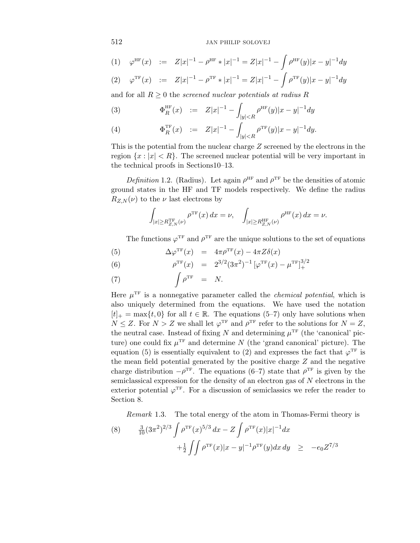$$
(1) \quad \varphi^{\text{HF}}(x) \quad := \quad Z|x|^{-1} - \rho^{\text{HF}} * |x|^{-1} = Z|x|^{-1} - \int \rho^{\text{HF}}(y)|x - y|^{-1} dy
$$

$$
(2) \quad \varphi^{\mathrm{TF}}(x) \quad := \quad Z|x|^{-1} - \rho^{\mathrm{TF}} * |x|^{-1} = Z|x|^{-1} - \int \rho^{\mathrm{TF}}(y)|x - y|^{-1} dy
$$

and for all  $R \geq 0$  the screened nuclear potentials at radius R

(3) 
$$
\Phi_R^{\text{HF}}(x) \quad := \quad Z|x|^{-1} - \int_{|y| < R} \rho^{\text{HF}}(y)|x - y|^{-1} dy
$$

(4) 
$$
\Phi_R^{\rm TF}(x) := Z|x|^{-1} - \int_{|y| < R} \rho^{\rm TF}(y)|x - y|^{-1} dy.
$$

This is the potential from the nuclear charge Z screened by the electrons in the region  $\{x : |x| < R\}$ . The screened nuclear potential will be very important in the technical proofs in Sections10–13.

Definition 1.2. (Radius). Let again  $\rho^{\text{HF}}$  and  $\rho^{\text{TF}}$  be the densities of atomic ground states in the HF and TF models respectively. We define the radius  $R_{Z,N}(\nu)$  to the  $\nu$  last electrons by

$$
\int_{|x| \ge R_{Z,N}^{\rm TF}(\nu)} \rho^{\rm TF}(x) \, dx = \nu, \quad \int_{|x| \ge R_{Z,N}^{\rm HF}(\nu)} \rho^{\rm HF}(x) \, dx = \nu.
$$

The functions  $\varphi^{TF}$  and  $\rho^{TF}$  are the unique solutions to the set of equations

(5) 
$$
\Delta \varphi^{TF}(x) = 4\pi \rho^{TF}(x) - 4\pi Z \delta(x)
$$

$$
\rho^{TF}(x) = 2^{3/2} (3\pi^2)^{-1} [\varphi^{TF}(x) - \mu^{TF}]_{+}^{3/2}
$$

$$
\int \rho^{\rm TF} = N.
$$

Here  $\mu^{\text{TF}}$  is a nonnegative parameter called the *chemical potential*, which is also uniquely determined from the equations. We have used the notation  $[t]_+ = \max\{t, 0\}$  for all  $t \in \mathbb{R}$ . The equations (5–7) only have solutions when  $N \leq Z$ . For  $N>Z$  we shall let  $\varphi^{\text{TF}}$  and  $\rho^{\text{TF}}$  refer to the solutions for  $N = Z$ , the neutral case. Instead of fixing N and determining  $\mu^{\text{TF}}$  (the 'canonical' picture) one could fix  $\mu^{\text{TF}}$  and determine N (the 'grand canonical' picture). The equation (5) is essentially equivalent to (2) and expresses the fact that  $\varphi^{\text{TF}}$  is the mean field potential generated by the positive charge  $Z$  and the negative charge distribution  $-\rho^{TF}$ . The equations (6–7) state that  $\rho^{TF}$  is given by the semiclassical expression for the density of an electron gas of  $N$  electrons in the exterior potential  $\varphi^{\text{TF}}$ . For a discussion of semiclassics we refer the reader to Section 8.

Remark 1.3. The total energy of the atom in Thomas-Fermi theory is

(8) 
$$
\frac{3}{10}(3\pi^2)^{2/3} \int \rho^{TF}(x)^{5/3} dx - Z \int \rho^{TF}(x)|x|^{-1} dx
$$

$$
+ \frac{1}{2} \int \int \rho^{TF}(x)|x-y|^{-1} \rho^{TF}(y) dx dy \ge -e_0 Z^{7/3}
$$

$$
512 \\
$$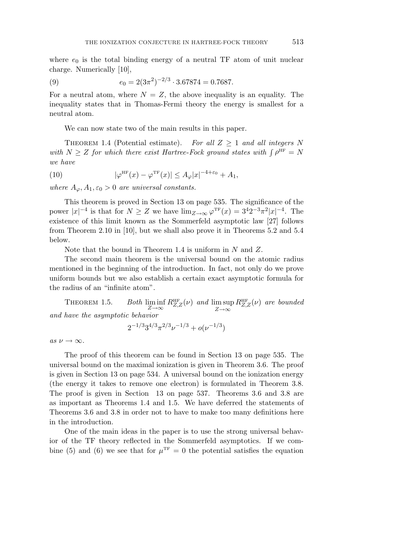where  $e_0$  is the total binding energy of a neutral TF atom of unit nuclear charge. Numerically [10],

(9) 
$$
e_0 = 2(3\pi^2)^{-2/3} \cdot 3.67874 = 0.7687.
$$

For a neutral atom, where  $N = Z$ , the above inequality is an equality. The inequality states that in Thomas-Fermi theory the energy is smallest for a neutral atom.

We can now state two of the main results in this paper.

THEOREM 1.4 (Potential estimate). For all  $Z \geq 1$  and all integers N with  $N \geq Z$  for which there exist Hartree-Fock ground states with  $\int \rho^{\text{HF}} = N$ we have

(10) 
$$
|\varphi^{\text{HF}}(x) - \varphi^{\text{TF}}(x)| \leq A_{\varphi}|x|^{-4+\varepsilon_0} + A_1,
$$

where  $A_{\varphi}, A_1, \varepsilon_0 > 0$  are universal constants.

This theorem is proved in Section 13 on page 535. The significance of the power  $|x|^{-4}$  is that for  $N \ge Z$  we have  $\lim_{Z \to \infty} \varphi^{TF}(x) = 3^4 2^{-3} \pi^2 |x|^{-4}$ . The existence of this limit known as the Sommerfeld asymptotic law [27] follows from Theorem 2.10 in [10], but we shall also prove it in Theorems 5.2 and 5.4 below.

Note that the bound in Theorem 1.4 is uniform in N and Z.

The second main theorem is the universal bound on the atomic radius mentioned in the beginning of the introduction. In fact, not only do we prove uniform bounds but we also establish a certain exact asymptotic formula for the radius of an "infinite atom".

THEOREM 1.5. M 1.5. Both  $\liminf_{Z \to \infty} R_{Z,Z}^{\text{HF}}(\nu)$  and  $\limsup_{Z \to \infty}$  $Z\rightarrow\infty$  $R^{\text{\tiny HF}}_{Z,Z}(\nu)$  are bounded and have the asymptotic behavior

$$
2^{-1/3}3^{4/3}\pi^{2/3}\nu^{-1/3} + o(\nu^{-1/3})
$$

as  $\nu \rightarrow \infty$ .

The proof of this theorem can be found in Section 13 on page 535. The universal bound on the maximal ionization is given in Theorem 3.6. The proof is given in Section 13 on page 534. A universal bound on the ionization energy (the energy it takes to remove one electron) is formulated in Theorem 3.8. The proof is given in Section 13 on page 537. Theorems 3.6 and 3.8 are as important as Theorems 1.4 and 1.5. We have deferred the statements of Theorems 3.6 and 3.8 in order not to have to make too many definitions here in the introduction.

One of the main ideas in the paper is to use the strong universal behavior of the TF theory reflected in the Sommerfeld asymptotics. If we combine (5) and (6) we see that for  $\mu^{\text{TF}} = 0$  the potential satisfies the equation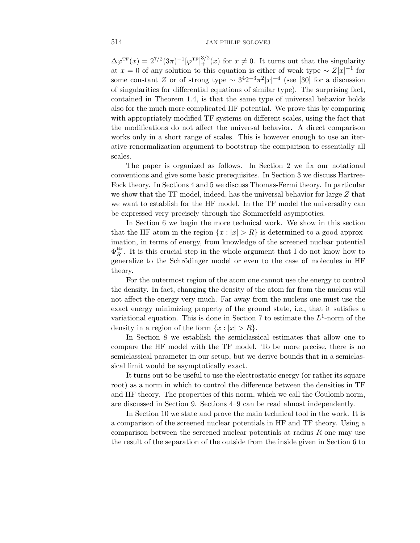$\Delta \varphi^{TF}(x) = 2^{7/2} (3\pi)^{-1} [\varphi^{TF}]_+^{3/2}(x)$  for  $x \neq 0$ . It turns out that the singularity at  $x = 0$  of any solution to this equation is either of weak type  $\sim Z|x|^{-1}$  for some constant Z or of strong type  $\sim 3^4 2^{-3} \pi^2 |x|^{-4}$  (see [30] for a discussion of singularities for differential equations of similar type). The surprising fact, contained in Theorem 1.4, is that the same type of universal behavior holds also for the much more complicated HF potential. We prove this by comparing with appropriately modified TF systems on different scales, using the fact that the modifications do not affect the universal behavior. A direct comparison works only in a short range of scales. This is however enough to use an iterative renormalization argument to bootstrap the comparison to essentially all scales.

The paper is organized as follows. In Section 2 we fix our notational conventions and give some basic prerequisites. In Section 3 we discuss Hartree-Fock theory. In Sections 4 and 5 we discuss Thomas-Fermi theory. In particular we show that the TF model, indeed, has the universal behavior for large  $Z$  that we want to establish for the HF model. In the TF model the universality can be expressed very precisely through the Sommerfeld asymptotics.

In Section 6 we begin the more technical work. We show in this section that the HF atom in the region  $\{x : |x| > R\}$  is determined to a good approximation, in terms of energy, from knowledge of the screened nuclear potential  $\Phi_R^{\text{HF}}$ . It is this crucial step in the whole argument that I do not know how to generalize to the Schrödinger model or even to the case of molecules in HF theory.

For the outermost region of the atom one cannot use the energy to control the density. In fact, changing the density of the atom far from the nucleus will not affect the energy very much. Far away from the nucleus one must use the exact energy minimizing property of the ground state, i.e., that it satisfies a variational equation. This is done in Section 7 to estimate the  $L^1$ -norm of the density in a region of the form  $\{x : |x| > R\}.$ 

In Section 8 we establish the semiclassical estimates that allow one to compare the HF model with the TF model. To be more precise, there is no semiclassical parameter in our setup, but we derive bounds that in a semiclassical limit would be asymptotically exact.

It turns out to be useful to use the electrostatic energy (or rather its square root) as a norm in which to control the difference between the densities in TF and HF theory. The properties of this norm, which we call the Coulomb norm, are discussed in Section 9. Sections 4–9 can be read almost independently.

In Section 10 we state and prove the main technical tool in the work. It is a comparison of the screened nuclear potentials in HF and TF theory. Using a comparison between the screened nuclear potentials at radius  $R$  one may use the result of the separation of the outside from the inside given in Section 6 to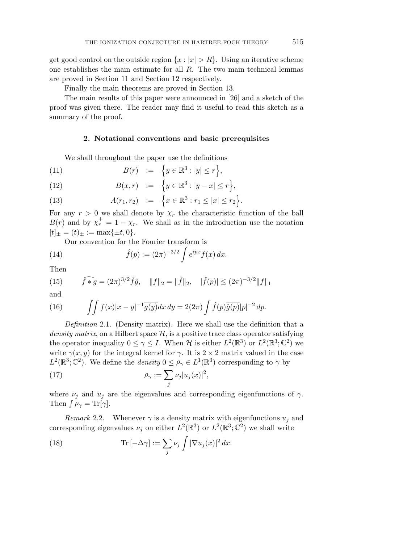get good control on the outside region  $\{x : |x| > R\}$ . Using an iterative scheme one establishes the main estimate for all R. The two main technical lemmas are proved in Section 11 and Section 12 respectively.

Finally the main theorems are proved in Section 13.

The main results of this paper were announced in [26] and a sketch of the proof was given there. The reader may find it useful to read this sketch as a summary of the proof.

# **2. Notational conventions and basic prerequisites**

We shall throughout the paper use the definitions

(11) 
$$
B(r) := \left\{ y \in \mathbb{R}^3 : |y| \le r \right\},\
$$

(12) 
$$
B(x,r) := \{ y \in \mathbb{R}^3 : |y - x| \le r \},
$$

(13) 
$$
A(r_1, r_2) := \left\{ x \in \mathbb{R}^3 : r_1 \le |x| \le r_2 \right\}.
$$

For any  $r > 0$  we shall denote by  $\chi_r$  the characteristic function of the ball  $B(r)$  and by  $\chi_r^+ = 1 - \chi_r$ . We shall as in the introduction use the notation  $[t]_{\pm} = (t)_{\pm} := \max\{\pm t, 0\}.$ 

Our convention for the Fourier transform is

(14) 
$$
\hat{f}(p) := (2\pi)^{-3/2} \int e^{ipx} f(x) dx.
$$

Then

(15) 
$$
\widehat{f \ast g} = (2\pi)^{3/2} \widehat{f} \widehat{g}, \quad ||f||_2 = ||\widehat{f}||_2, \quad |\widehat{f}(p)| \le (2\pi)^{-3/2} ||f||_1
$$

and

(16) 
$$
\int \int f(x)|x-y|^{-1}\overline{g(y)}dx dy = 2(2\pi) \int \hat{f}(p)\overline{\hat{g}(p)}|p|^{-2} dp.
$$

Definition 2.1. (Density matrix). Here we shall use the definition that a density matrix, on a Hilbert space  $\mathcal{H}$ , is a positive trace class operator satisfying the operator inequality  $0 \leq \gamma \leq I$ . When H is either  $L^2(\mathbb{R}^3)$  or  $L^2(\mathbb{R}^3;\mathbb{C}^2)$  we write  $\gamma(x, y)$  for the integral kernel for  $\gamma$ . It is 2 × 2 matrix valued in the case  $L^2(\mathbb{R}^3; \mathbb{C}^2)$ . We define the *density*  $0 \leq \rho_\gamma \in L^1(\mathbb{R}^3)$  corresponding to  $\gamma$  by

(17) 
$$
\rho_{\gamma} := \sum_{j} \nu_{j} |u_{j}(x)|^{2},
$$

where  $\nu_j$  and  $u_j$  are the eigenvalues and corresponding eigenfunctions of  $\gamma$ . Then  $\int \rho_{\gamma} = \text{Tr}[\gamma]$ .

Remark 2.2. Whenever  $\gamma$  is a density matrix with eigenfunctions  $u_j$  and corresponding eigenvalues  $\nu_j$  on either  $L^2(\mathbb{R}^3)$  or  $L^2(\mathbb{R}^3; \mathbb{C}^2)$  we shall write

(18) 
$$
\operatorname{Tr}\left[-\Delta\gamma\right] := \sum_{j} \nu_j \int |\nabla u_j(x)|^2 dx.
$$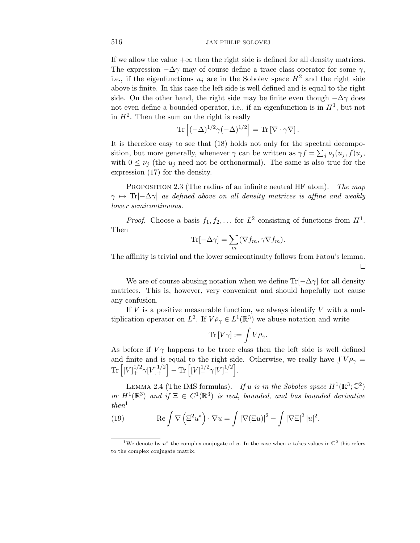If we allow the value  $+\infty$  then the right side is defined for all density matrices. The expression  $-\Delta\gamma$  may of course define a trace class operator for some  $\gamma$ , i.e., if the eigenfunctions  $u_i$  are in the Sobolev space  $H^2$  and the right side above is finite. In this case the left side is well defined and is equal to the right side. On the other hand, the right side may be finite even though  $-\Delta\gamma$  does not even define a bounded operator, i.e., if an eigenfunction is in  $H<sup>1</sup>$ , but not in  $H^2$ . Then the sum on the right is really

$$
\operatorname{Tr}\left[(-\Delta)^{1/2}\gamma(-\Delta)^{1/2}\right] = \operatorname{Tr}\left[\nabla\cdot\gamma\nabla\right].
$$

It is therefore easy to see that (18) holds not only for the spectral decomposition, but more generally, whenever  $\gamma$  can be written as  $\gamma f = \sum_j \nu_j(u_j, f) u_j$ , with  $0 \leq \nu_j$  (the  $u_j$  need not be orthonormal). The same is also true for the expression (17) for the density.

PROPOSITION 2.3 (The radius of an infinite neutral HF atom). The map  $\gamma \mapsto \text{Tr}[-\Delta \gamma]$  as defined above on all density matrices is affine and weakly lower semicontinuous.

*Proof.* Choose a basis  $f_1, f_2, \ldots$  for  $L^2$  consisting of functions from  $H^1$ . Then

$$
\text{Tr}[-\Delta \gamma] = \sum_{m} (\nabla f_m, \gamma \nabla f_m).
$$

The affinity is trivial and the lower semicontinuity follows from Fatou's lemma.  $\Box$ 

We are of course abusing notation when we define  $\text{Tr}[-\Delta \gamma]$  for all density matrices. This is, however, very convenient and should hopefully not cause any confusion.

If  $V$  is a positive measurable function, we always identify  $V$  with a multiplication operator on  $L^2$ . If  $V \rho_{\gamma} \in L^1(\mathbb{R}^3)$  we abuse notation and write

$$
\text{Tr}\left[V\gamma\right]:=\int V\rho_{\gamma}.
$$

As before if  $V\gamma$  happens to be trace class then the left side is well defined and finite and is equal to the right side. Otherwise, we really have  $\int V \rho_{\gamma} =$  $\text{Tr}\left[[V]_{+}^{1/2}\gamma[V]_{+}^{1/2}$  $\binom{1/2}{+} - \text{Tr} \left[ [V]_{-}^{1/2} \gamma [V]_{-}^{1/2} \right]$ − .

LEMMA 2.4 (The IMS formulas). If u is in the Sobolev space  $H^1(\mathbb{R}^3; \mathbb{C}^2)$ or  $H^1(\mathbb{R}^3)$  and if  $\Xi \in C^1(\mathbb{R}^3)$  is real, bounded, and has bounded derivative  $then<sup>1</sup>$ 

(19) 
$$
\operatorname{Re} \int \nabla \left( \Xi^2 u^* \right) \cdot \nabla u = \int |\nabla (\Xi u)|^2 - \int |\nabla \Xi|^2 |u|^2.
$$

<sup>&</sup>lt;sup>1</sup>We denote by  $u^*$  the complex conjugate of u. In the case when u takes values in  $\mathbb{C}^2$  this refers to the complex conjugate matrix.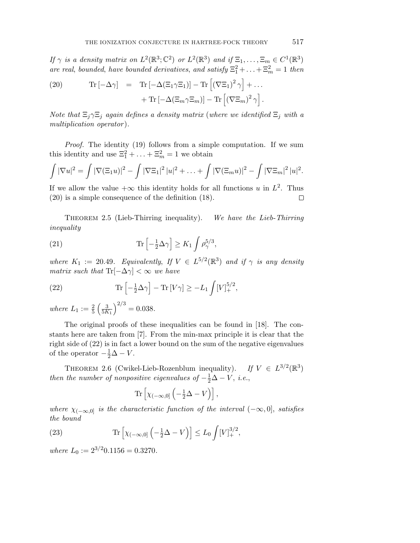If  $\gamma$  is a density matrix on  $L^2(\mathbb{R}^3; \mathbb{C}^2)$  or  $L^2(\mathbb{R}^3)$  and if  $\Xi_1,\ldots,\Xi_m\in C^1(\mathbb{R}^3)$ are real, bounded, have bounded derivatives, and satisfy  $\Xi_1^2 + \ldots + \Xi_m^2 = 1$  then

(20) 
$$
\operatorname{Tr} \left[ -\Delta \gamma \right] = \operatorname{Tr} \left[ -\Delta (\Xi_1 \gamma \Xi_1) \right] - \operatorname{Tr} \left[ (\nabla \Xi_1)^2 \gamma \right] + \dots + \operatorname{Tr} \left[ -\Delta (\Xi_m \gamma \Xi_m) \right] - \operatorname{Tr} \left[ (\nabla \Xi_m)^2 \gamma \right].
$$

Note that  $\Xi_i \gamma \Xi_j$  again defines a density matrix (where we identified  $\Xi_j$  with a multiplication operator).

Proof. The identity (19) follows from a simple computation. If we sum this identity and use  $\Xi_1^2 + \ldots + \Xi_m^2 = 1$  we obtain

$$
\int |\nabla u|^2 = \int |\nabla (\Xi_1 u)|^2 - \int |\nabla \Xi_1|^2 |u|^2 + \ldots + \int |\nabla (\Xi_m u)|^2 - \int |\nabla \Xi_m|^2 |u|^2.
$$

If we allow the value  $+\infty$  this identity holds for all functions u in  $L^2$ . Thus (20) is a simple consequence of the definition (18).  $\Box$ 

THEOREM 2.5 (Lieb-Thirring inequality). We have the Lieb-Thirring inequality

(21) 
$$
\operatorname{Tr}\left[-\frac{1}{2}\Delta\gamma\right] \geq K_1 \int \rho_{\gamma}^{5/3},
$$

where  $K_1 := 20.49$ . Equivalently, If  $V \in L^{5/2}(\mathbb{R}^3)$  and if  $\gamma$  is any density *matrix such that*  $Tr[-\Delta \gamma] < \infty$  we have

(22) 
$$
\operatorname{Tr}\left[-\frac{1}{2}\Delta\gamma\right] - \operatorname{Tr}\left[V\gamma\right] \geq -L_1 \int \left[V\right]_+^{5/2},
$$

where  $L_1 := \frac{2}{5} \left( \frac{3}{5K} \right)$  $\frac{3}{5K_1}\right)^{2/3} = 0.038.$ 

The original proofs of these inequalities can be found in [18]. The constants here are taken from [7]. From the min-max principle it is clear that the right side of (22) is in fact a lower bound on the sum of the negative eigenvalues of the operator  $-\frac{1}{2}\Delta - V$ .

THEOREM 2.6 (Cwikel-Lieb-Rozenblum inequality). If  $V \in L^{3/2}(\mathbb{R}^3)$ then the number of nonpositive eigenvalues of  $-\frac{1}{2}\Delta - V$ , i.e.,

$$
\operatorname{Tr}\left[\chi_{(-\infty,0]}\left(-\frac{1}{2}\Delta-V\right)\right],
$$

where  $\chi_{(-\infty,0]}$  is the characteristic function of the interval  $(-\infty,0]$ , satisfies the bound

(23) 
$$
\operatorname{Tr}\left[\chi_{(-\infty,0]}\left(-\frac{1}{2}\Delta-V\right)\right] \leq L_0 \int [V]_{+}^{3/2},
$$

where  $L_0 := 2^{3/2} 0.1156 = 0.3270$ .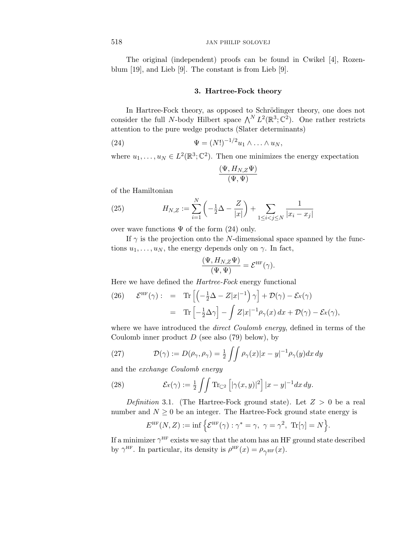The original (independent) proofs can be found in Cwikel [4], Rozenblum [19], and Lieb [9]. The constant is from Lieb [9].

# **3. Hartree-Fock theory**

In Hartree-Fock theory, as opposed to Schrödinger theory, one does not consider the full N-body Hilbert space  $\bigwedge^N L^2(\mathbb{R}^3; \mathbb{C}^2)$ . One rather restricts attention to the pure wedge products (Slater determinants)

(24) 
$$
\Psi = (N!)^{-1/2} u_1 \wedge \ldots \wedge u_N,
$$

where  $u_1, \ldots, u_N \in L^2(\mathbb{R}^3; \mathbb{C}^2)$ . Then one minimizes the energy expectation

$$
\frac{(\Psi,H_{N,Z}\Psi)}{(\Psi,\Psi)}
$$

of the Hamiltonian

(25) 
$$
H_{N,Z} := \sum_{i=1}^{N} \left( -\frac{1}{2}\Delta - \frac{Z}{|x|} \right) + \sum_{1 \le i < j \le N} \frac{1}{|x_i - x_j|}
$$

over wave functions  $\Psi$  of the form (24) only.

If  $\gamma$  is the projection onto the N-dimensional space spanned by the functions  $u_1, \ldots, u_N$ , the energy depends only on  $\gamma$ . In fact,

$$
\frac{(\Psi,H_{N,Z}\Psi)}{(\Psi,\Psi)}=\mathcal{E}^{\rm HF}(\gamma).
$$

Here we have defined the Hartree-Fock energy functional

(26) 
$$
\mathcal{E}^{\text{HF}}(\gamma) : = \text{Tr}\left[\left(-\frac{1}{2}\Delta - Z|x|^{-1}\right)\gamma\right] + \mathcal{D}(\gamma) - \mathcal{E}_x(\gamma)
$$

$$
= \text{Tr}\left[-\frac{1}{2}\Delta\gamma\right] - \int Z|x|^{-1}\rho_\gamma(x) dx + \mathcal{D}(\gamma) - \mathcal{E}_x(\gamma),
$$

where we have introduced the *direct Coulomb energy*, defined in terms of the Coulomb inner product  $D$  (see also (79) below), by

(27) 
$$
\mathcal{D}(\gamma) := D(\rho_{\gamma}, \rho_{\gamma}) = \frac{1}{2} \iint \rho_{\gamma}(x) |x - y|^{-1} \rho_{\gamma}(y) dx dy
$$

and the exchange Coulomb energy

(28) 
$$
\mathcal{E}_x(\gamma) := \frac{1}{2} \iint \text{Tr}_{\mathbb{C}^2} \left[ |\gamma(x, y)|^2 \right] |x - y|^{-1} dx dy.
$$

*Definition* 3.1. (The Hartree-Fock ground state). Let  $Z > 0$  be a real number and  $N \geq 0$  be an integer. The Hartree-Fock ground state energy is

$$
E^{\text{HF}}(N,Z) := \inf \Big\{ \mathcal{E}^{\text{HF}}(\gamma) : \gamma^* = \gamma, \ \gamma = \gamma^2, \ \text{Tr}[\gamma] = N \Big\}.
$$

If a minimizer  $\gamma^{\text{HF}}$  exists we say that the atom has an HF ground state described by  $\gamma^{\text{HF}}$ . In particular, its density is  $\rho^{\text{HF}}(x) = \rho_{\gamma^{\text{HF}}}(x)$ .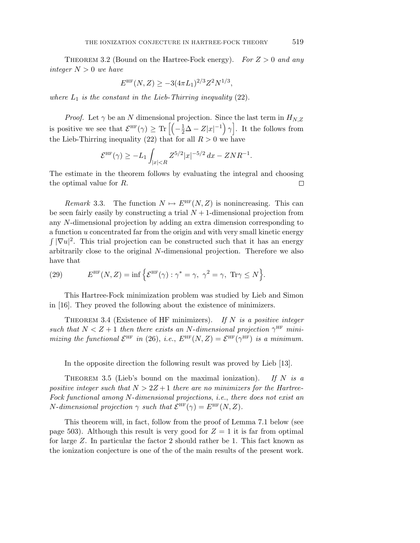THEOREM 3.2 (Bound on the Hartree-Fock energy). For  $Z > 0$  and any integer  $N > 0$  we have

$$
E^{\rm HF}(N, Z) \ge -3(4\pi L_1)^{2/3} Z^2 N^{1/3},
$$

where  $L_1$  is the constant in the Lieb-Thirring inequality (22).

*Proof.* Let  $\gamma$  be an N dimensional projection. Since the last term in  $H_{N,Z}$ is positive we see that  $\mathcal{E}^{\text{HF}}(\gamma) \geq \text{Tr}\left[\left(-\frac{1}{2}\Delta - Z|x|^{-1}\right)\gamma\right]$ . It the follows from the Lieb-Thirring inequality (22) that for all  $R > 0$  we have

$$
\mathcal{E}^{\text{HF}}(\gamma) \ge -L_1 \int_{|x| < R} Z^{5/2} |x|^{-5/2} \, dx - ZNR^{-1}.
$$

The estimate in the theorem follows by evaluating the integral and choosing the optimal value for R.  $\Box$ 

Remark 3.3. The function  $N \mapsto E^{\text{HF}}(N,Z)$  is nonincreasing. This can be seen fairly easily by constructing a trial  $N+1$ -dimensional projection from any N-dimensional projection by adding an extra dimension corresponding to a function  $u$  concentrated far from the origin and with very small kinetic energy  $\int |\nabla u|^2$ . This trial projection can be constructed such that it has an energy arbitrarily close to the original N-dimensional projection. Therefore we also have that

(29) 
$$
E^{\text{HF}}(N,Z) = \inf \left\{ \mathcal{E}^{\text{HF}}(\gamma) : \gamma^* = \gamma, \ \gamma^2 = \gamma, \ \text{Tr}\gamma \leq N \right\}.
$$

This Hartree-Fock minimization problem was studied by Lieb and Simon in [16]. They proved the following about the existence of minimizers.

THEOREM 3.4 (Existence of HF minimizers). If N is a positive integer such that  $N < Z + 1$  then there exists an N-dimensional projection  $\gamma^{\text{HF}}$  minimizing the functional  $\mathcal{E}^{\text{HF}}$  in (26), i.e.,  $E^{\text{HF}}(N,Z) = \mathcal{E}^{\text{HF}}(\gamma^{\text{HF}})$  is a minimum.

In the opposite direction the following result was proved by Lieb [13].

THEOREM 3.5 (Lieb's bound on the maximal ionization). If N is a positive integer such that  $N > 2Z + 1$  there are no minimizers for the Hartree-Fock functional among N-dimensional projections, i.e., there does not exist an *N*-dimensional projection  $\gamma$  such that  $\mathcal{E}^{\text{HF}}(\gamma) = E^{\text{HF}}(N, Z)$ .

This theorem will, in fact, follow from the proof of Lemma 7.1 below (see page 503). Although this result is very good for  $Z = 1$  it is far from optimal for large Z. In particular the factor 2 should rather be 1. This fact known as the ionization conjecture is one of the of the main results of the present work.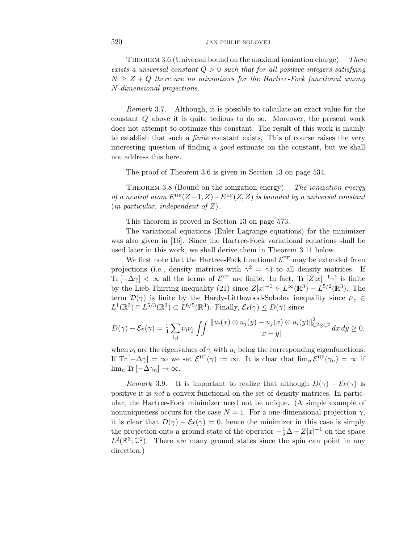THEOREM 3.6 (Universal bound on the maximal ionization charge). There exists a universal constant  $Q > 0$  such that for all positive integers satisfying  $N \geq Z + Q$  there are no minimizers for the Hartree-Fock functional among N-dimensional projections.

Remark 3.7. Although, it is possible to calculate an exact value for the constant Q above it is quite tedious to do so. Moreover, the present work does not attempt to optimize this constant. The result of this work is mainly to establish that such a finite constant exists. This of course raises the very interesting question of finding a good estimate on the constant, but we shall not address this here.

The proof of Theorem 3.6 is given in Section 13 on page 534.

THEOREM 3.8 (Bound on the ionization energy). The ionization energy of a neutral atom  $E^{\text{HF}}(Z-1, Z)-E^{\text{HF}}(Z, Z)$  is bounded by a universal constant  $(in$  particular, independent of  $Z$ ).

This theorem is proved in Section 13 on page 573.

The variational equations (Euler-Lagrange equations) for the minimizer was also given in [16]. Since the Hartree-Fock variational equations shall be used later in this work, we shall derive them in Theorem 3.11 below.

We first note that the Hartree-Fock functional  $\mathcal{E}^{\text{HF}}$  may be extended from projections (i.e., density matrices with  $\gamma^2 = \gamma$ ) to all density matrices. If Tr  $[-\Delta \gamma] < \infty$  all the terms of  $\mathcal{E}^{\text{HF}}$  are finite. In fact, Tr  $[Z|x|^{-1}\gamma]$  is finite by the Lieb-Thirring inequality (21) since  $Z|x|^{-1} \in L^{\infty}(\mathbb{R}^3) + L^{5/2}(\mathbb{R}^3)$ . The term  $\mathcal{D}(\gamma)$  is finite by the Hardy-Littlewood-Sobolev inequality since  $\rho_{\gamma} \in$  $L^1(\mathbb{R}^3) \cap L^{5/3}(\mathbb{R}^3) \subset L^{6/5}(\mathbb{R}^3)$ . Finally,  $\mathcal{E}_X(\gamma) \leq D(\gamma)$  since

$$
D(\gamma) - \mathcal{E}x(\gamma) = \frac{1}{4} \sum_{i,j} \nu_i \nu_j \iint \frac{\|u_i(x) \otimes u_j(y) - u_j(x) \otimes u_i(y)\|_{\mathbb{C}^2 \otimes \mathbb{C}^2}^2}{|x - y|} dx dy \ge 0,
$$

when  $\nu_i$  are the eigenvalues of  $\gamma$  with  $u_i$  being the corresponding eigenfunctions. If Tr  $[-\Delta \gamma] = \infty$  we set  $\mathcal{E}^{\text{HF}}(\gamma) := \infty$ . It is clear that  $\lim_{n \to \infty} \mathcal{E}^{\text{HF}}(\gamma_n) = \infty$  if  $\lim_{n} \text{Tr} \left[ -\Delta \gamma_n \right] \rightarrow \infty.$ 

Remark 3.9. It is important to realize that although  $D(\gamma) - \mathcal{E}_{\chi}(\gamma)$  is positive it is not a convex functional on the set of density matrices. In particular, the Hartree-Fock minimizer need not be unique. (A simple example of nonuniqueness occurs for the case  $N = 1$ . For a one-dimensional projection  $\gamma$ , it is clear that  $D(\gamma) - \mathcal{E}_{\mathcal{X}}(\gamma) = 0$ , hence the minimizer in this case is simply the projection onto a ground state of the operator  $-\frac{1}{2}\Delta - Z|x|^{-1}$  on the space  $L^2(\mathbb{R}^3;\mathbb{C}^2)$ . There are many ground states since the spin can point in any direction.)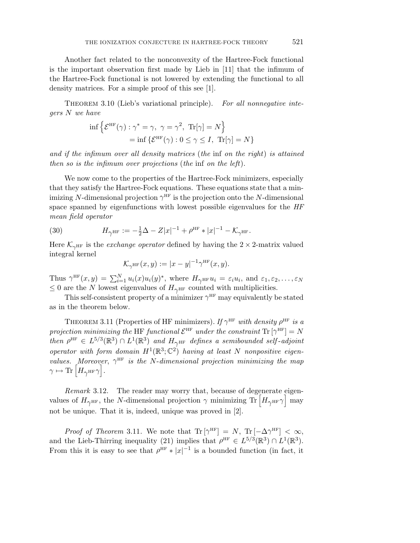Another fact related to the nonconvexity of the Hartree-Fock functional is the important observation first made by Lieb in [11] that the infimum of the Hartree-Fock functional is not lowered by extending the functional to all density matrices. For a simple proof of this see [1].

THEOREM 3.10 (Lieb's variational principle). For all nonnegative integers N we have

$$
\inf \left\{ \mathcal{E}^{\text{HF}}(\gamma) : \gamma^* = \gamma, \ \gamma = \gamma^2, \ \text{Tr}[\gamma] = N \right\}
$$

$$
= \inf \left\{ \mathcal{E}^{\text{HF}}(\gamma) : 0 \le \gamma \le I, \ \text{Tr}[\gamma] = N \right\}
$$

and if the infimum over all density matrices (the inf on the right) is attained then so is the infimum over projections (the inf on the left).

We now come to the properties of the Hartree-Fock minimizers, especially that they satisfy the Hartree-Fock equations. These equations state that a minimizing N-dimensional projection  $\gamma^{\text{HF}}$  is the projection onto the N-dimensional space spanned by eigenfunctions with lowest possible eigenvalues for the  $HF$ mean field operator

(30) 
$$
H_{\gamma^{\rm HF}} := -\frac{1}{2}\Delta - Z|x|^{-1} + \rho^{\rm HF} * |x|^{-1} - \mathcal{K}_{\gamma^{\rm HF}}.
$$

Here  $\mathcal{K}_{\gamma HF}$  is the *exchange operator* defined by having the 2  $\times$  2-matrix valued integral kernel

$$
\mathcal{K}_{\gamma^{\rm HF}}(x, y) := |x - y|^{-1} \gamma^{\rm HF}(x, y).
$$

Thus  $\gamma^{\text{HF}}(x, y) = \sum_{i=1}^{N} u_i(x) u_i(y)^*$ , where  $H_{\gamma^{\text{HF}}} u_i = \varepsilon_i u_i$ , and  $\varepsilon_1, \varepsilon_2, \dots, \varepsilon_N$  $\leq 0$  are the N lowest eigenvalues of  $H_{\gamma^{\rm HF}}$  counted with multiplicities.

This self-consistent property of a minimizer  $\gamma^{\text{HF}}$  may equivalently be stated as in the theorem below.

THEOREM 3.11 (Properties of HF minimizers). If  $\gamma^{\text{HF}}$  with density  $\rho^{\text{HF}}$  is a projection minimizing the HF functional  $\mathcal{E}^{\text{HF}}$  under the constraint  $\text{Tr}[\gamma^{\text{HF}}] = N$ then  $\rho^{\text{HF}} \in L^{5/3}(\mathbb{R}^3) \cap L^1(\mathbb{R}^3)$  and  $H_{\gamma^{\text{HF}}}$  defines a semibounded self-adjoint operator with form domain  $H^1(\mathbb{R}^3; \mathbb{C}^2)$  having at least N nonpositive eigenvalues. Moreover,  $\gamma^{\text{HF}}$  is the N-dimensional projection minimizing the map  $\gamma\mapsto\text{Tr}\left[H_{\gamma^{\text{HF}}}\gamma\right].$ 

Remark 3.12. The reader may worry that, because of degenerate eigenvalues of  $H_{\gamma^{\text{HF}}}$ , the N-dimensional projection  $\gamma$  minimizing Tr  $\left[H_{\gamma^{\text{HF}}} \gamma\right]$  may not be unique. That it is, indeed, unique was proved in [2].

*Proof of Theorem* 3.11. We note that  $Tr[\gamma^{\text{HF}}] = N$ ,  $Tr[-\Delta \gamma^{\text{HF}}] < \infty$ , and the Lieb-Thirring inequality (21) implies that  $\rho^{\text{HF}} \in L^{5/3}(\mathbb{R}^3) \cap L^1(\mathbb{R}^3)$ . From this it is easy to see that  $\rho^{\text{HF}} * |x|^{-1}$  is a bounded function (in fact, it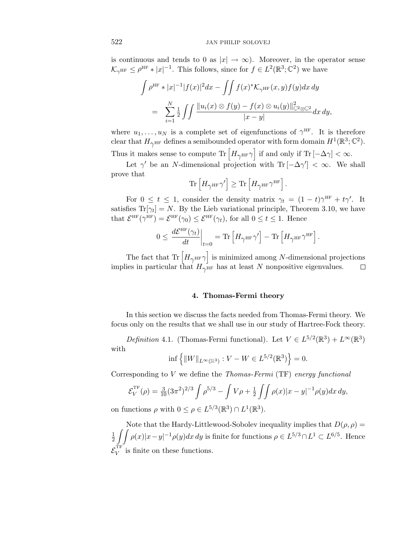is continuous and tends to 0 as  $|x| \to \infty$ ). Moreover, in the operator sense  $\mathcal{K}_{\gamma^{\text{HF}}} \leq \rho^{\text{HF}} * |x|^{-1}$ . This follows, since for  $f \in L^2(\mathbb{R}^3; \mathbb{C}^2)$  we have

$$
\int \rho^{\text{HF}} * |x|^{-1} |f(x)|^2 dx - \int \int f(x)^* \mathcal{K}_{\gamma^{\text{HF}}}(x, y) f(y) dx dy
$$
  
= 
$$
\sum_{i=1}^N \frac{1}{2} \int \int \frac{||u_i(x) \otimes f(y) - f(x) \otimes u_i(y)||^2_{\mathbb{C}^2 \otimes \mathbb{C}^2}}{|x - y|} dx dy,
$$

where  $u_1, \ldots, u_N$  is a complete set of eigenfunctions of  $\gamma^{\text{HF}}$ . It is therefore clear that  $H_{\gamma^{\rm HF}}$  defines a semibounded operator with form domain  $H^1(\mathbb{R}^3; \mathbb{C}^2)$ .

Thus it makes sense to compute  $\text{Tr}\left[H_{\gamma^{\text{HF}}}\gamma\right]$  if and only if  $\text{Tr}\left[-\Delta\gamma\right]<\infty$ .

Let  $\gamma'$  be an N-dimensional projection with Tr  $[-\Delta \gamma'] < \infty$ . We shall prove that

$$
\text{Tr}\left[H_{\gamma^{\text{HF}}}\gamma'\right]\geq\text{Tr}\left[H_{\gamma^{\text{HF}}}\gamma^{\text{HF}}\right].
$$

For  $0 \leq t \leq 1$ , consider the density matrix  $\gamma_t = (1-t)\gamma^{\text{HF}} + t\gamma'$ . It satisfies Tr[ $\gamma_t$ ] = N. By the Lieb variational principle, Theorem 3.10, we have that  $\mathcal{E}^{\text{HF}}(\gamma^{\text{HF}}) = \mathcal{E}^{\text{HF}}(\gamma_0) \leq \mathcal{E}^{\text{HF}}(\gamma_t)$ , for all  $0 \leq t \leq 1$ . Hence

$$
0 \leq \left. \frac{d\mathcal{E}^{\text{HF}}(\gamma_t)}{dt} \right|_{t=0} = \text{Tr}\left[ H_{\gamma^{\text{HF}}} \gamma' \right] - \text{Tr}\left[ H_{\gamma^{\text{HF}}} \gamma^{\text{HF}} \right].
$$

The fact that Tr  $\left[H_{\gamma^{\text{HF}}}\gamma\right]$  is minimized among N-dimensional projections implies in particular that  $H_{\gamma^{\text{HF}}}$  has at least N nonpositive eigenvalues.  $\Box$ 

# **4. Thomas-Fermi theory**

In this section we discuss the facts needed from Thomas-Fermi theory. We focus only on the results that we shall use in our study of Hartree-Fock theory.

Definition 4.1. (Thomas-Fermi functional). Let  $V \in L^{5/2}(\mathbb{R}^3) + L^{\infty}(\mathbb{R}^3)$ with

$$
\inf \left\{ ||W||_{L^{\infty}(\mathbb{R}^3)} : V - W \in L^{5/2}(\mathbb{R}^3) \right\} = 0.
$$

Corresponding to  $V$  we define the *Thomas-Fermi* (TF) energy functional

$$
\mathcal{E}_V^{\rm TF}(\rho) = \frac{3}{10} (3\pi^2)^{2/3} \int \rho^{5/3} - \int V\rho + \frac{1}{2} \int \int \rho(x) |x - y|^{-1} \rho(y) dx dy,
$$

on functions  $\rho$  with  $0 \leq \rho \in L^{5/3}(\mathbb{R}^3) \cap L^1(\mathbb{R}^3)$ .

Note that the Hardy-Littlewood-Sobolev inequality implies that  $D(\rho, \rho)$  = 1 2  $\int \int \rho(x)|x-y|^{-1}\rho(y)dx dy$  is finite for functions  $\rho \in L^{5/3} \cap L^1 \subset L^{6/5}$ . Hence  $\mathcal{E}_V^{\rm TF}$  is finite on these functions.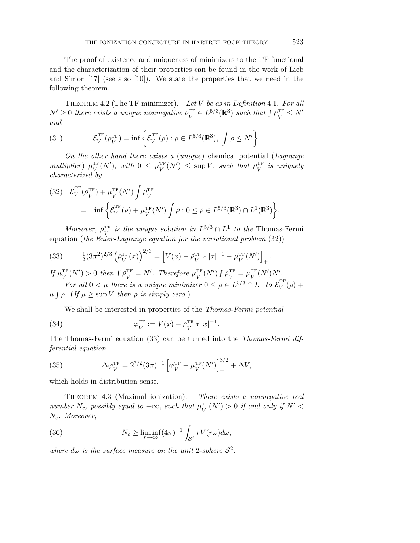The proof of existence and uniqueness of minimizers to the TF functional and the characterization of their properties can be found in the work of Lieb and Simon [17] (see also [10]). We state the properties that we need in the following theorem.

THEOREM 4.2 (The TF minimizer). Let V be as in Definition 4.1. For all  $N' \geq 0$  there exists a unique nonnegative  $\rho_V^{\text{TF}} \in L^{5/3}(\mathbb{R}^3)$  such that  $\int \rho_V^{\text{TF}} \leq N'$ and

(31) 
$$
\mathcal{E}_V^{\mathrm{TF}}(\rho_V^{\mathrm{TF}}) = \inf \left\{ \mathcal{E}_V^{\mathrm{TF}}(\rho) : \rho \in L^{5/3}(\mathbb{R}^3), \int \rho \le N' \right\}.
$$

On the other hand there exists a (unique) chemical potential (Lagrange multiplier)  $\mu_V^{\rm TF}(N')$ , with  $0 \leq \mu_V^{\rm TF}(N') \leq \sup V$ , such that  $\rho_V^{\rm TF}$  is uniquely characterized by

(32) 
$$
\mathcal{E}_V^{\text{TF}}(\rho_V^{\text{TF}}) + \mu_V^{\text{TF}}(N') \int \rho_V^{\text{TF}} \\ = \inf \left\{ \mathcal{E}_V^{\text{TF}}(\rho) + \mu_V^{\text{TF}}(N') \int \rho : 0 \le \rho \in L^{5/3}(\mathbb{R}^3) \cap L^1(\mathbb{R}^3) \right\}.
$$

Moreover,  $\rho_V^{\text{TF}}$  is the unique solution in  $L^{5/3} \cap L^1$  to the Thomas-Fermi equation (the Euler-Lagrange equation for the variational problem  $(32)$ )

(33) 
$$
\frac{1}{2}(3\pi^2)^{2/3} \left(\rho_V^{\rm TF}(x)\right)^{2/3} = \left[V(x) - \rho_V^{\rm TF} * |x|^{-1} - \mu_V^{\rm TF}(N')\right]_+.
$$

If  $\mu_V^{\rm TF}(N') > 0$  then  $\int \rho_V^{\rm TF} = N'$ . Therefore  $\mu_V^{\rm TF}(N') \int \rho_V^{\rm TF} = \mu_V^{\rm TF}(N') N'$ . For all  $0 < \mu$  there is a unique minimizer  $0 \le \rho \in L^{5/3} \cap L^1$  to  $\mathcal{E}_V^{\text{TF}}(\rho)$  +

 $\mu \int \rho$ . (If  $\mu \geq \sup V$  then  $\rho$  is simply zero.)

We shall be interested in properties of the *Thomas-Fermi potential* 

(34) 
$$
\varphi_V^{\rm TF} := V(x) - \rho_V^{\rm TF} * |x|^{-1}.
$$

The Thomas-Fermi equation (33) can be turned into the Thomas-Fermi differential equation

(35) 
$$
\Delta \varphi_V^{\rm TF} = 2^{7/2} (3\pi)^{-1} \left[ \varphi_V^{\rm TF} - \mu_V^{\rm TF}(N') \right]_+^{3/2} + \Delta V,
$$

which holds in distribution sense.

THEOREM 4.3 (Maximal ionization). There exists a nonnegative real number  $N_c$ , possibly equal to  $+\infty$ , such that  $\mu_V^{\rm TF}(N') > 0$  if and only if  $N' <$  $N_c$ . Moreover,

(36) 
$$
N_c \geq \liminf_{r \to \infty} (4\pi)^{-1} \int_{S^2} r V(r\omega) d\omega,
$$

where  $d\omega$  is the surface measure on the unit 2-sphere  $S^2$ .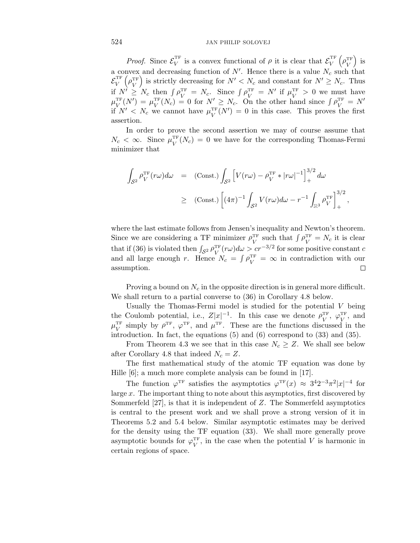*Proof.* Since  $\mathcal{E}_V^{\text{TF}}$  is a convex functional of  $\rho$  it is clear that  $\mathcal{E}_V^{\text{TF}}$  $_V^{\rm TF}\left(\rho_V^{\rm TF}\right)$  $\big)$  is a convex and decreasing function of  $N'$ . Hence there is a value  $N_c$  such that  $\mathcal{E}_V^{\rm TF}$  $\stackrel{\text{TF}}{V}\left(\rho^{\text{TF}}_{V}\right)$ is strictly decreasing for  $N' < N_c$  and constant for  $N' \ge N_c$ . Thus if  $N' \geq N_c$  then  $\int \rho_V^{\text{TF}} = N_c$ . Since  $\int \rho_V^{\text{TF}} = N'$  if  $\mu_V^{\text{TF}} > 0$  we must have  $\mu_V^{\text{TF}}(N') = \mu_V^{\text{TF}}(N_c) = 0$  for  $N' \geq N_c$ . On the other hand since  $\int \rho_V^{\text{TF}} = N'$ if  $N' < N_c$  we cannot have  $\mu_V^{\rm TF}(N') = 0$  in this case. This proves the first assertion.

In order to prove the second assertion we may of course assume that  $N_c < \infty$ . Since  $\mu_V^{\rm TF}(N_c) = 0$  we have for the corresponding Thomas-Fermi minimizer that

$$
\int_{S^2} \rho_V^{\rm TF}(r\omega) d\omega = (\text{Const.}) \int_{S^2} \left[ V(r\omega) - \rho_V^{\rm TF} * |r\omega|^{-1} \right]_+^{3/2} d\omega
$$
  
\n
$$
\geq (\text{Const.}) \left[ (4\pi)^{-1} \int_{S^2} V(r\omega) d\omega - r^{-1} \int_{\mathbb{R}^3} \rho_V^{\rm TF} \right]_+^{3/2},
$$

where the last estimate follows from Jensen's inequality and Newton's theorem. Since we are considering a TF minimizer  $\rho_V^{\text{TF}}$  such that  $\int \rho_V^{\text{TF}} = N_c$  it is clear that if (36) is violated then  $\int_{S^2} \rho_V^{\text{TF}}(r\omega) d\omega > cr^{-3/2}$  for some positive constant c and all large enough r. Hence  $N_c = \int \rho_V^{\text{TF}} = \infty$  in contradiction with our assumption.

Proving a bound on  $N_c$  in the opposite direction is in general more difficult. We shall return to a partial converse to (36) in Corollary 4.8 below.

Usually the Thomas-Fermi model is studied for the potential  $V$  being the Coulomb potential, i.e.,  $Z|x|^{-1}$ . In this case we denote  $\rho_V^{\text{TF}}, \varphi_V^{\text{TF}},$  and  $\mu_V^{\text{TF}}$  simply by  $\rho^{\text{TF}}$ ,  $\varphi^{\text{TF}}$ , and  $\mu^{\text{TF}}$ . These are the functions discussed in the introduction. In fact, the equations (5) and (6) correspond to (33) and (35).

From Theorem 4.3 we see that in this case  $N_c \geq Z$ . We shall see below after Corollary 4.8 that indeed  $N_c = Z$ .

The first mathematical study of the atomic TF equation was done by Hille [6]; a much more complete analysis can be found in [17].

The function  $\varphi^{\text{TF}}$  satisfies the asymptotics  $\varphi^{\text{TF}}(x) \approx 3^4 2^{-3} \pi^2 |x|^{-4}$  for large x. The important thing to note about this asymptotics, first discovered by Sommerfeld [27], is that it is independent of Z. The Sommerfeld asymptotics is central to the present work and we shall prove a strong version of it in Theorems 5.2 and 5.4 below. Similar asymptotic estimates may be derived for the density using the TF equation (33). We shall more generally prove asymptotic bounds for  $\varphi_V^{\text{TF}}$ , in the case when the potential V is harmonic in certain regions of space.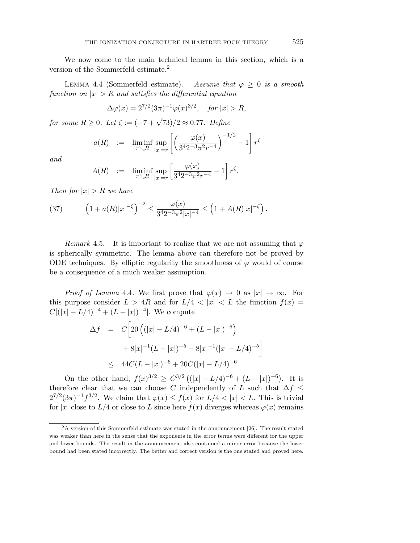We now come to the main technical lemma in this section, which is a version of the Sommerfeld estimate.<sup>2</sup>

LEMMA 4.4 (Sommerfeld estimate). Assume that  $\varphi \geq 0$  is a smooth function on  $|x| > R$  and satisfies the differential equation

$$
\Delta \varphi(x) = 2^{7/2} (3\pi)^{-1} \varphi(x)^{3/2}, \quad \text{for } |x| > R,
$$

for some  $R > 0$ . Let  $\zeta := (-7 + \sqrt{73})/2 \approx 0.77$ . Define

$$
a(R) := \liminf_{r \searrow R} \sup_{|x|=r} \left[ \left( \frac{\varphi(x)}{3^4 2^{-3} \pi^2 r^{-4}} \right)^{-1/2} - 1 \right] r^{\zeta}
$$

and

$$
A(R) := \liminf_{r \searrow R} \sup_{|x|=r} \left[ \frac{\varphi(x)}{3^4 2^{-3} \pi^2 r^{-4}} - 1 \right] r^{\zeta}.
$$

Then for  $|x| > R$  we have

(37) 
$$
\left(1 + a(R)|x|^{-\zeta}\right)^{-2} \leq \frac{\varphi(x)}{3^4 2^{-3} \pi^2 |x|^{-4}} \leq \left(1 + A(R)|x|^{-\zeta}\right).
$$

Remark 4.5. It is important to realize that we are not assuming that  $\varphi$ is spherically symmetric. The lemma above can therefore not be proved by ODE techniques. By elliptic regularity the smoothness of  $\varphi$  would of course be a consequence of a much weaker assumption.

*Proof of Lemma* 4.4. We first prove that  $\varphi(x) \to 0$  as  $|x| \to \infty$ . For this purpose consider  $L > 4R$  and for  $L/4 < |x| < L$  the function  $f(x) =$  $C[(|x|-L/4)^{-4}+(L-|x|)^{-4}]$ . We compute

$$
\Delta f = C \Big[ 20 \left( (|x| - L/4)^{-6} + (L - |x|)^{-6} \right) + 8|x|^{-1} (L - |x|)^{-5} - 8|x|^{-1} (|x| - L/4)^{-5} \Big] \leq 44C(L - |x|)^{-6} + 20C(|x| - L/4)^{-6}.
$$

On the other hand,  $f(x)^{3/2} \geq C^{3/2} ((|x| - L/4)^{-6} + (L - |x|)^{-6})$ . It is therefore clear that we can choose C independently of L such that  $\Delta f \leq$  $2^{7/2}(3\pi)^{-1}f^{3/2}$ . We claim that  $\varphi(x) \leq f(x)$  for  $L/4 < |x| < L$ . This is trivial for |x| close to L/4 or close to L since here  $f(x)$  diverges whereas  $\varphi(x)$  remains

<sup>2</sup>A version of this Sommerfeld estimate was stated in the announcement [26]. The result stated was weaker than here in the sense that the exponents in the error terms were different for the upper and lower bounds. The result in the announcement also contained a minor error because the lower bound had been stated incorrectly. The better and correct version is the one stated and proved here.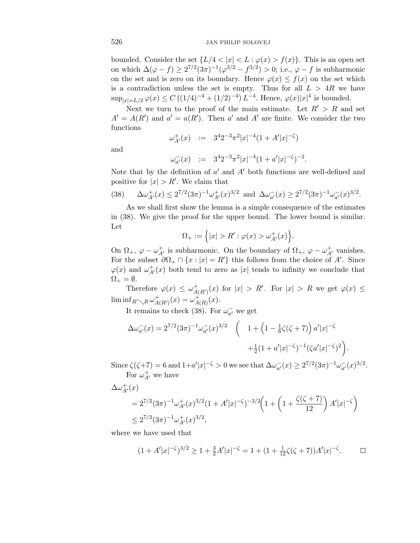bounded. Consider the set  $\{L/4 < |x| < L : \varphi(x) > f(x)\}$ . This is an open set on which  $\Delta(\varphi - f) \geq 2^{7/2} (3\pi)^{-1} (\varphi^{3/2} - f^{3/2}) > 0$ ; i.e.,  $\varphi - f$  is subharmonic on the set and is zero on its boundary. Hence  $\varphi(x) \leq f(x)$  on the set which is a contradiction unless the set is empty. Thus for all  $L > 4R$  we have  $\sup_{|x|=L/2} \varphi(x) \le C \left( (1/4)^{-4} + (1/2)^{-4} \right) L^{-4}$ . Hence,  $\varphi(x)|x|^4$  is bounded.

Next we turn to the proof of the main estimate. Let  $R' > R$  and set  $A' = A(R')$  and  $a' = a(R')$ . Then a' and A' are finite. We consider the two functions

$$
\omega_{A'}^+(x) \quad := \quad 3^4 2^{-3} \pi^2 |x|^{-4} (1 + A' |x|^{-\zeta})
$$

and

$$
\omega_{a'}^-(x) \quad := \quad 3^4 2^{-3} \pi^2 |x|^{-4} (1 + a' |x|^{-\zeta})^{-2}.
$$

Note that by the definition of  $a'$  and  $A'$  both functions are well-defined and positive for  $|x| > R'$ . We claim that

(38) 
$$
\Delta \omega_{A'}^+(x) \le 2^{7/2} (3\pi)^{-1} \omega_{A'}^+(x)^{3/2}
$$
 and  $\Delta \omega_{a'}^-(x) \ge 2^{7/2} (3\pi)^{-1} \omega_{a'}^-(x)^{3/2}$ .

As we shall first show the lemma is a simple consequence of the estimates in (38). We give the proof for the upper bound. The lower bound is similar. Let

$$
\Omega_+ := \Big\{ |x| > R' : \varphi(x) > \omega_{A'}^+(x) \Big\}.
$$

On  $\Omega_+$ ,  $\varphi - \omega_{A'}^+$  is subharmonic. On the boundary of  $\Omega_+$ ,  $\varphi - \omega_{A'}^+$  vanishes. For the subset  $\partial\Omega_+ \cap \{x : |x| = R'\}$  this follows from the choice of A'. Since  $\varphi(x)$  and  $\omega_{A'}^+(x)$  both tend to zero as |x| tends to infinity we conclude that  $\Omega_+ = \emptyset.$ 

Therefore  $\varphi(x) \leq \omega^+_{A(R')}(x)$  for  $|x| > R'$ . For  $|x| > R$  we get  $\varphi(x) \leq$  $\liminf_{R'\searrow R}\omega^+_{A(R')}(x)=\omega^+_{A(R)}(x).$ 

It remains to check (38). For  $\omega_{a'}^-$  we get

$$
\Delta \omega_{a'}^-(x) = 2^{7/2} (3\pi)^{-1} \omega_{a'}^-(x)^{3/2} \quad \left( 1 + \left( 1 - \frac{1}{6} \zeta(\zeta + 7) \right) a' |x|^{-\zeta} + \frac{1}{2} (1 + a' |x|^{-\zeta})^{-1} (\zeta a' |x|^{-\zeta})^2 \right).
$$

Since  $\zeta(\zeta+7) = 6$  and  $1+a'|x|^{-\zeta} > 0$  we see that  $\Delta \omega_{a'}^-(x) \geq 2^{7/2} (3\pi)^{-1} \omega_{a'}^-(x)^{3/2}$ . For  $\omega_{A'}^+$  we have

$$
\Delta \omega_{A'}^+(x)
$$
  
=  $2^{7/2} (3\pi)^{-1} \omega_{A'}^+(x)^{3/2} (1 + A'|x|^{-\zeta})^{-3/2} \left(1 + \left(1 + \frac{\zeta(\zeta + 7)}{12}\right) A'|x|^{-\zeta}\right)$   
 $\leq 2^{7/2} (3\pi)^{-1} \omega_{A'}^+(x)^{3/2},$ 

where we have used that

$$
(1 + A'|x|^{-\zeta})^{3/2} \ge 1 + \frac{3}{2}A'|x|^{-\zeta} = 1 + (1 + \frac{1}{12}\zeta(\zeta + 7))A'|x|^{-\zeta}.
$$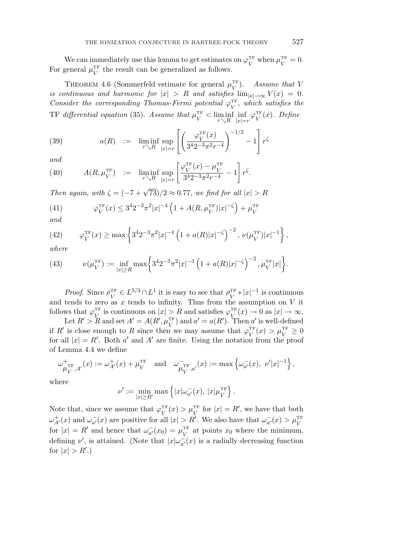We can immediately use this lemma to get estimates on  $\varphi_V^{\text{TF}}$  when  $\mu_V^{\text{TF}} = 0$ . For general  $\mu_V^{\rm TF}$  the result can be generalized as follows.

THEOREM 4.6 (Sommerfeld estimate for general  $\mu_V^{\text{TF}}$ ). Assume that V is continuous and harmonic for  $|x| > R$  and satisfies  $\lim_{|x| \to \infty} V(x) = 0$ . Consider the corresponding Thomas-Fermi potential  $\varphi_V^{\text{TF}}$ , which satisfies the TF differential equation (35). Assume that  $\mu_V^{\text{TF}} < \liminf_{r \searrow R}$ inf  $|x|=r$  $\varphi_V^{\text{TF}}(x)$ . Define

(39) 
$$
a(R) := \liminf_{r \searrow R} \sup_{|x|=r} \left[ \left( \frac{\varphi_V^{\text{TF}}(x)}{3^4 2^{-3} \pi^2 r^{-4}} \right)^{-1/2} - 1 \right] r^{\zeta}
$$

and

(40) 
$$
A(R, \mu_V^{\text{TF}}) := \liminf_{r \searrow R} \sup_{|x|=r} \left[ \frac{\varphi_V^{\text{TF}}(x) - \mu_V^{\text{TF}}}{3^4 2^{-3} \pi^2 r^{-4}} - 1 \right] r^{\zeta}.
$$

Then again, with  $\zeta = (-7 + \sqrt{73})/2 \approx 0.77$ , we find for all  $|x| > R$ 

(41) 
$$
\varphi_V^{\rm TF}(x) \le 3^4 2^{-3} \pi^2 |x|^{-4} \left( 1 + A(R, \mu_V^{\rm TF}) |x|^{-\zeta} \right) + \mu_V^{\rm TF}
$$

and

(42) 
$$
\varphi_V^{\rm TF}(x) \ge \max \left\{ 3^4 2^{-3} \pi^2 |x|^{-4} \left( 1 + a(R)|x|^{-\zeta} \right)^{-2}, \nu(\mu_V^{\rm TF}) |x|^{-1} \right\},
$$

where

(43) 
$$
\nu(\mu_V^{\text{TF}}) := \inf_{|x| \ge R} \max \bigg\{ 3^4 2^{-3} \pi^2 |x|^{-3} \left( 1 + a(R) |x|^{-\zeta} \right)^{-2}, \mu_V^{\text{TF}} |x| \bigg\}.
$$

*Proof.* Since  $\rho_V^{\text{TF}} \in L^{5/3} \cap L^1$  it is easy to see that  $\rho_V^{\text{TF}} * |x|^{-1}$  is continuous and tends to zero as  $x$  tends to infinity. Thus from the assumption on  $V$  it follows that  $\varphi_V^{\text{TF}}$  is continuous on  $|x| > R$  and satisfies  $\varphi_V^{\text{TF}}(x) \to 0$  as  $|x| \to \infty$ .

Let  $R' > R$  and set  $A' = A(R', \mu_V^{\text{TF}})$  and  $a' = a(R')$ . Then a' is well-defined if R' is close enough to R since then we may assume that  $\varphi_V^{\text{TF}}(x) > \mu_V^{\text{TF}} \ge 0$ for all  $|x| = R'$ . Both a' and A' are finite. Using the notation from the proof of Lemma 4.4 we define

$$
\omega^+_{\mu^{\rm TF}_{V},A'}(x) := \omega^+_{A'}(x) + \mu^{\rm TF}_{V} \quad \text{and} \quad \omega^-_{\mu^{\rm TF}_{V},a'}(x) := \max\left\{\omega^-_{a'}(x), \ \nu'|x|^{-1}\right\},\,
$$

where

$$
\nu':=\min_{|x|\geq R'}\max\left\{|x|\omega^-_{a'}(x),\,|x|\mu^{\text{\tiny TF}}_V\right\}.
$$

Note that, since we assume that  $\varphi_V^{\text{TF}}(x) > \mu_V^{\text{TF}}$  for  $|x| = R'$ , we have that both  $\omega_{A'}^+(x)$  and  $\omega_{a'}^-(x)$  are positive for all  $|x| > R'$ . We also have that  $\omega_{a'}^-(x) > \mu_V^{\text{TF}}$ for  $|x| = R'$  and hence that  $\omega_{\alpha'}^-(x_0) = \mu_V^{\text{TF}}$  at points  $x_0$  where the minimum, defining  $\nu'$ , is attained. (Note that  $|x|\omega_{a'}^-(x)$  is a radially decreasing function for  $|x| > R'.$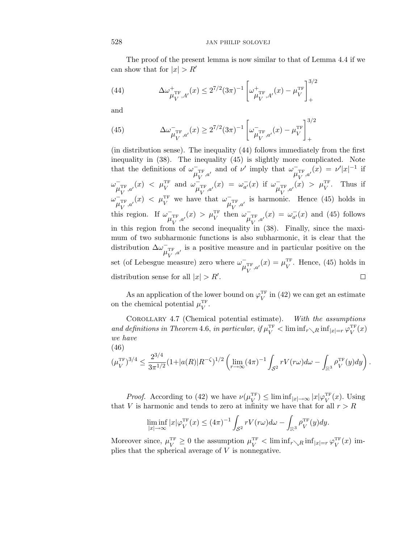The proof of the present lemma is now similar to that of Lemma 4.4 if we can show that for  $|x| > R'$ 

(44) 
$$
\Delta \omega_{\mu_V^{\text{TF}}, A'}^+(x) \leq 2^{7/2} (3\pi)^{-1} \left[ \omega_{\mu_V^{\text{TF}}, A'}^+(x) - \mu_V^{\text{TF}} \right]_+^{3/2}
$$

and

(45) 
$$
\Delta \omega_{\mu_V^{\rm TF}, a'}^{-1}(x) \ge 2^{7/2} (3\pi)^{-1} \left[ \omega_{\mu_V^{\rm TF}, a'}^{-1}(x) - \mu_V^{\rm TF} \right]_{+}^{3/2}
$$

(in distribution sense). The inequality (44) follows immediately from the first inequality in (38). The inequality (45) is slightly more complicated. Note  $(x) = \nu' |x|^{-1}$  if that the definitions of  $\omega_{\mu_V^{\text{TF}},a'}^{\text{TF}},$  and of  $\nu'$  imply that  $\omega_{\mu_V^{\text{TF}},a'}^{\text{TF}},$  $(x)$  <  $\mu_V^{\text{TF}}$  and  $\omega_{\mu_V^{\text{TF}},a'}^{-1}$  $(x) > \mu_V^{\text{TF}}$ . Thus if  $\omega_{\mu_V^{\text{TF}},a'}^{-}$  $f(x) = \omega_{a'}^-(x)$  if  $\omega_{\mu_V^{\text{TF}},a'}^ \omega_{\mu_V^{\text{TF}},a'}^{-}$  $(x) < \mu_V^{\text{TF}}$  we have that  $\omega_{\mu_V^{\text{TF}},a'}^{-1}$  is harmonic. Hence (45) holds in  $(x) > \mu_V^{\text{TF}}$  then  $\omega_{\mu_V^{\text{TF}},a'}^{-1}$ this region. If  $\omega_{\mu_V^{\text{TF}},a'}^{-1}$  $(x) = \omega_{a'}(x)$  and (45) follows in this region from the second inequality in (38). Finally, since the maximum of two subharmonic functions is also subharmonic, it is clear that the distribution  $\Delta \omega_{\mu_V^{\text{TF}},a'}^{-1}$  is a positive measure and in particular positive on the set (of Lebesgue measure) zero where  $\omega_{\mu_V^{\text{TF}},a'}^{\text{TF}},$  $(x) = \mu_V^{\text{TF}}$ . Hence, (45) holds in distribution sense for all  $|x| > R'$ .  $\Box$ 

As an application of the lower bound on  $\varphi_V^{\text{TF}}$  in (42) we can get an estimate on the chemical potential  $\mu_V^{\text{TF}}$ .

COROLLARY 4.7 (Chemical potential estimate). With the assumptions and definitions in Theorem 4.6, in particular, if  $\mu_V^{\text{TF}} < \liminf_{r \searrow R} \inf_{|x|=r} \varphi_V^{\text{TF}}(x)$ we have

(46)  

$$
(\mu_V^{\rm TF})^{3/4} \le \frac{2^{3/4}}{3\pi^{1/2}} (1+|a(R)|R^{-\zeta})^{1/2} \left(\lim_{r \to \infty} (4\pi)^{-1} \int_{S^2} rV(r\omega) d\omega - \int_{\mathbb{R}^3} \rho_V^{\rm TF}(y) dy\right).
$$

*Proof.* According to (42) we have  $\nu(\mu_V^{\text{TF}}) \leq \liminf_{|x| \to \infty} |x| \varphi_V^{\text{TF}}(x)$ . Using that V is harmonic and tends to zero at infinity we have that for all  $r>R$ 

$$
\liminf_{|x| \to \infty} |x| \varphi^{\rm TF}_V(x) \le (4\pi)^{-1} \int_{\mathcal{S}^2} r V(r\omega) d\omega - \int_{\mathbb{R}^3} \rho^{\rm TF}_V(y) dy.
$$

Moreover since,  $\mu_V^{\text{TF}} \geq 0$  the assumption  $\mu_V^{\text{TF}} < \liminf_{r \searrow R} \inf_{|x|=r} \varphi_V^{\text{TF}}(x)$  implies that the spherical average of  $V$  is nonnegative.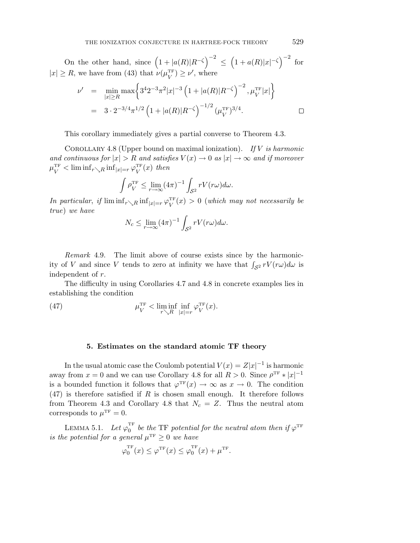On the other hand, since  $(1+|a(R)|R^{-\zeta})^{-2} \le (1+a(R)|x|^{-\zeta})^{-2}$  for  $|x| \ge R$ , we have from (43) that  $\nu(\mu_V^{\text{TF}}) \ge \nu'$ , where

$$
\nu' = \min_{|x| \ge R} \max \left\{ 3^4 2^{-3} \pi^2 |x|^{-3} \left( 1 + |a(R)| R^{-\zeta} \right)^{-2}, \mu_V^{\text{TF}} |x| \right\}
$$
  
=  $3 \cdot 2^{-3/4} \pi^{1/2} \left( 1 + |a(R)| R^{-\zeta} \right)^{-1/2} (\mu_V^{\text{TF}})^{3/4}.$ 

This corollary immediately gives a partial converse to Theorem 4.3.

COROLLARY 4.8 (Upper bound on maximal ionization). If  $V$  is harmonic and continuous for  $|x| > R$  and satisfies  $V(x) \to 0$  as  $|x| \to \infty$  and if moreover  $\mu_V^{\text{TF}} < \liminf_{r \searrow R} \inf_{|x|=r} \varphi_V^{\text{TF}}(x)$  then

$$
\int \rho_V^{\rm TF} \le \lim_{r \to \infty} (4\pi)^{-1} \int_{S^2} r V(r\omega) d\omega.
$$

In particular, if  $\liminf_{r\searrow R} \inf_{|x|=r} \varphi^{\text{TF}}_V(x) > 0$  (which may not necessarily be true) we have

$$
N_c \leq \lim_{r \to \infty} (4\pi)^{-1} \int_{S^2} r V(r\omega) d\omega.
$$

Remark 4.9. The limit above of course exists since by the harmonicity of V and since V tends to zero at infinity we have that  $\int_{S^2} rV(r\omega)d\omega$  is independent of r.

The difficulty in using Corollaries 4.7 and 4.8 in concrete examples lies in establishing the condition

(47) 
$$
\mu_V^{\text{TF}} < \liminf_{r \searrow R} \inf_{|x| = r} \varphi_V^{\text{TF}}(x).
$$

# **5. Estimates on the standard atomic TF theory**

In the usual atomic case the Coulomb potential  $V(x) = Z|x|^{-1}$  is harmonic away from  $x = 0$  and we can use Corollary 4.8 for all  $R > 0$ . Since  $\rho^{TF} * |x|^{-1}$ is a bounded function it follows that  $\varphi^{\text{TF}}(x) \to \infty$  as  $x \to 0$ . The condition  $(47)$  is therefore satisfied if R is chosen small enough. It therefore follows from Theorem 4.3 and Corollary 4.8 that  $N_c = Z$ . Thus the neutral atom corresponds to  $\mu^{\text{TF}} = 0$ .

LEMMA 5.1. Let  $\varphi_0^{\text{TF}}$  be the TF potential for the neutral atom then if  $\varphi^{\text{TF}}$ is the potential for a general  $\mu^{\text{TF}} \geq 0$  we have

$$
\varphi_0^{\rm TF}(x) \le \varphi^{\rm TF}(x) \le \varphi_0^{\rm TF}(x) + \mu^{\rm TF}.
$$

529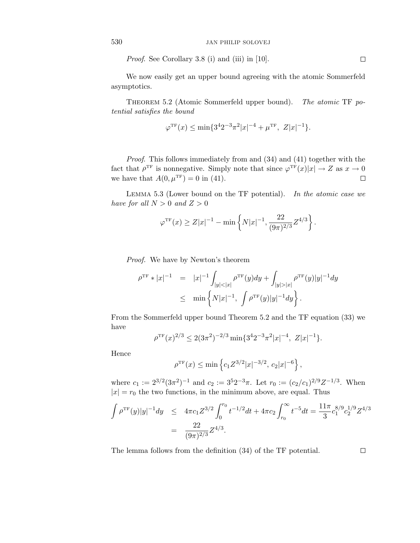Proof. See Corollary 3.8 (i) and (iii) in [10].

We now easily get an upper bound agreeing with the atomic Sommerfeld asymptotics.

THEOREM 5.2 (Atomic Sommerfeld upper bound). The atomic TF potential satisfies the bound

$$
\varphi^{\rm TF}(x) \le \min\{3^4 2^{-3} \pi^2 |x|^{-4} + \mu^{\rm TF}, \ Z |x|^{-1}\}.
$$

Proof. This follows immediately from and (34) and (41) together with the fact that  $\rho^{TF}$  is nonnegative. Simply note that since  $\varphi^{TF}(x)|x| \to Z$  as  $x \to 0$ we have that  $A(0, \mu^{TF})=0$  in (41).  $\Box$ 

LEMMA 5.3 (Lower bound on the TF potential). In the atomic case we have for all  $N > 0$  and  $Z > 0$ 

$$
\varphi^{\rm TF}(x) \ge Z|x|^{-1} - \min\left\{N|x|^{-1}, \frac{22}{(9\pi)^{2/3}}Z^{4/3}\right\}.
$$

Proof. We have by Newton's theorem

$$
\rho^{\rm TF} * |x|^{-1} = |x|^{-1} \int_{|y| < |x|} \rho^{\rm TF}(y) dy + \int_{|y| > |x|} \rho^{\rm TF}(y) |y|^{-1} dy
$$
  

$$
\leq \min \left\{ N|x|^{-1}, \int \rho^{\rm TF}(y) |y|^{-1} dy \right\}.
$$

From the Sommerfeld upper bound Theorem 5.2 and the TF equation (33) we have

$$
\rho^{\rm TF}(x)^{2/3} \le 2(3\pi^2)^{-2/3} \min\{3^4 2^{-3} \pi^2 |x|^{-4}, |Z| |x|^{-1}\}.
$$

Hence

$$
\rho^{\rm TF}(x) \le \min \left\{ c_1 Z^{3/2} |x|^{-3/2}, \, c_2 |x|^{-6} \right\},\,
$$

where  $c_1 := 2^{3/2} (3\pi^2)^{-1}$  and  $c_2 := 3^5 2^{-3} \pi$ . Let  $r_0 := (c_2/c_1)^{2/9} Z^{-1/3}$ . When  $|x| = r_0$  the two functions, in the minimum above, are equal. Thus

$$
\int \rho^{TF}(y)|y|^{-1}dy \leq 4\pi c_1 Z^{3/2} \int_0^{r_0} t^{-1/2} dt + 4\pi c_2 \int_{r_0}^{\infty} t^{-5} dt = \frac{11\pi}{3} c_1^{8/9} c_2^{1/9} Z^{4/3}
$$

$$
= \frac{22}{(9\pi)^{2/3}} Z^{4/3}.
$$

The lemma follows from the definition (34) of the TF potential.

 $\Box$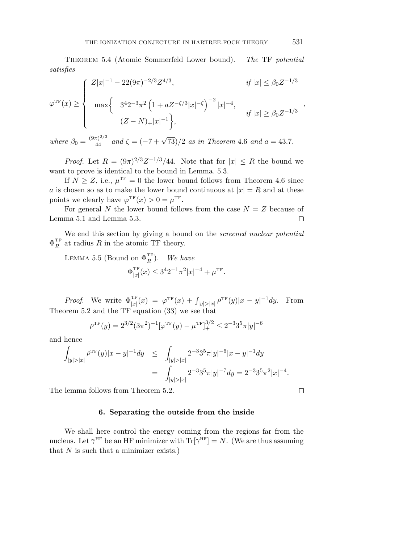THEOREM 5.4 (Atomic Sommerfeld Lower bound). The TF potential satisfies

$$
\varphi^{\rm TF}(x) \ge \begin{cases} Z|x|^{-1} - 22(9\pi)^{-2/3} Z^{4/3}, & \text{if } |x| \le \beta_0 Z^{-1/3} \\ \max \left\{ 3^4 2^{-3} \pi^2 \left( 1 + aZ^{-\zeta/3} |x|^{-\zeta} \right)^{-2} |x|^{-4}, & \text{if } |x| \ge \beta_0 Z^{-1/3} \\ (Z - N)_+ |x|^{-1} \right\}, \end{cases}
$$

where  $\beta_0 = \frac{(9\pi)^{2/3}}{44}$  and  $\zeta = (-7 + \sqrt{73})/2$  as in Theorem 4.6 and  $a = 43.7$ .

*Proof.* Let  $R = (9\pi)^{2/3}Z^{-1/3}/44$ . Note that for  $|x| \leq R$  the bound we want to prove is identical to the bound in Lemma. 5.3.

If  $N \geq Z$ , i.e.,  $\mu^{\text{TF}} = 0$  the lower bound follows from Theorem 4.6 since a is chosen so as to make the lower bound continuous at  $|x| = R$  and at these points we clearly have  $\varphi^{\text{TF}}(x) > 0 = \mu^{\text{TF}}$ .

For general N the lower bound follows from the case  $N = Z$  because of Lemma 5.1 and Lemma 5.3.  $\Box$ 

We end this section by giving a bound on the screened nuclear potential  $\Phi_R^{\rm TF}$  at radius R in the atomic TF theory.

LEMMA 5.5 (Bound on  $\Phi_R^{\text{TF}}$ ). We have  $\Phi_{|x|}^{\text{TF}}(x) \leq 3^4 2^{-1} \pi^2 |x|^{-4} + \mu^{\text{TF}}.$ 

Proof. We write  $\Phi_{|x|}^{\text{TF}}(x) = \varphi^{\text{TF}}(x) + \int_{|y|>|x|} \rho^{\text{TF}}(y)|x-y|^{-1}dy$ . From Theorem 5.2 and the TF equation (33) we see that

$$
\rho^{\rm TF}(y) = 2^{3/2} (3\pi^2)^{-1} [\varphi^{\rm TF}(y) - \mu^{\rm TF}]_+^{3/2} \le 2^{-3} 3^5 \pi |y|^{-6}
$$

and hence

$$
\int_{|y|>|x|} \rho^{\text{TF}}(y)|x-y|^{-1}dy \leq \int_{|y|>|x|} 2^{-3}3^{5}\pi|y|^{-6}|x-y|^{-1}dy
$$
  
= 
$$
\int_{|y|>|x|} 2^{-3}3^{5}\pi|y|^{-7}dy = 2^{-3}3^{5}\pi^{2}|x|^{-4}.
$$

The lemma follows from Theorem 5.2.

# $\Box$

## **6. Separating the outside from the inside**

We shall here control the energy coming from the regions far from the nucleus. Let  $\gamma^{\text{HF}}$  be an HF minimizer with  $\text{Tr}[\gamma^{\text{HF}}] = N$ . (We are thus assuming that  $N$  is such that a minimizer exists.)

,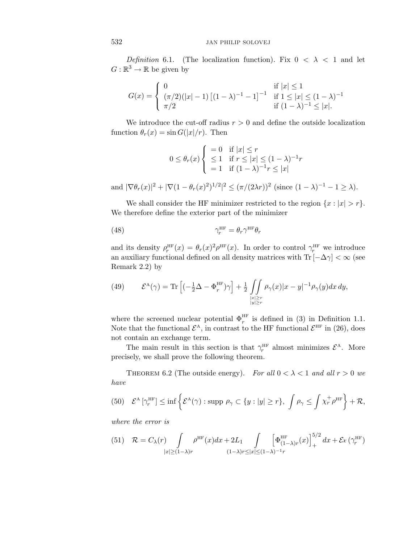Definition 6.1. (The localization function). Fix  $0 < \lambda < 1$  and let  $G:\mathbb{R}^3\to\mathbb{R}$  be given by

$$
G(x) = \begin{cases} 0 & \text{if } |x| \le 1\\ \pi/2 & (\pi/2)(|x| - 1) \left[ (1 - \lambda)^{-1} - 1 \right]^{-1} & \text{if } 1 \le |x| \le (1 - \lambda)^{-1} \\ \pi/2 & \text{if } (1 - \lambda)^{-1} \le |x|. \end{cases}
$$

We introduce the cut-off radius  $r > 0$  and define the outside localization function  $\theta_r(x) = \sin G(|x|/r)$ . Then

$$
0 \le \theta_r(x) \begin{cases} = 0 & \text{if } |x| \le r \\ \le 1 & \text{if } r \le |x| \le (1 - \lambda)^{-1}r \\ = 1 & \text{if } (1 - \lambda)^{-1}r \le |x| \end{cases}
$$

and  $|\nabla \theta_r(x)|^2 + |\nabla (1 - \theta_r(x)^2)^{1/2}|^2 \le (\pi/(2\lambda r))^2$  (since  $(1 - \lambda)^{-1} - 1 \ge \lambda$ ).

We shall consider the HF minimizer restricted to the region  $\{x : |x| > r\}.$ We therefore define the exterior part of the minimizer

(48) 
$$
\gamma_r^{\text{HF}} = \theta_r \gamma^{\text{HF}} \theta_r
$$

and its density  $\rho_r^{\text{HF}}(x) = \theta_r(x)^2 \rho^{\text{HF}}(x)$ . In order to control  $\gamma_r^{\text{HF}}$  we introduce an auxiliary functional defined on all density matrices with  $\text{Tr} \left[-\Delta \gamma\right] < \infty$  (see Remark 2.2) by

(49) 
$$
\mathcal{E}^{\mathcal{A}}(\gamma) = \text{Tr}\left[(-\frac{1}{2}\Delta - \Phi_r^{\text{HF}})\gamma\right] + \frac{1}{2} \iint\limits_{\substack{|x| \geq r \\ |y| \geq r}} \rho_{\gamma}(x)|x - y|^{-1} \rho_{\gamma}(y) dx dy,
$$

where the screened nuclear potential  $\Phi_r^{\text{HF}}$  is defined in (3) in Definition 1.1. Note that the functional  $\mathcal{E}^{\mathsf{A}},$  in contrast to the HF functional  $\mathcal{E}^{\mathsf{HF}}$  in (26), does not contain an exchange term.

The main result in this section is that  $\gamma_r^{\text{HF}}$  almost minimizes  $\mathcal{E}^{\text{A}}$ . More precisely, we shall prove the following theorem.

THEOREM 6.2 (The outside energy). For all  $0 < \lambda < 1$  and all  $r > 0$  we have

(50) 
$$
\mathcal{E}^{\mathcal{A}}[\gamma_r^{\text{HF}}] \le \inf \left\{ \mathcal{E}^{\mathcal{A}}(\gamma) : \text{supp } \rho_{\gamma} \subset \{y : |y| \ge r \}, \int \rho_{\gamma} \le \int \chi_r^+ \rho^{\text{HF}} \right\} + \mathcal{R},
$$

where the error is

(51) 
$$
\mathcal{R} = C_{\lambda}(r) \int_{|x| \ge (1-\lambda)r} \rho^{\text{HF}}(x) dx + 2L_1 \int_{(1-\lambda)r \le |x| \le (1-\lambda)^{-1}r} \left[ \Phi_{(1-\lambda)r}^{\text{HF}}(x) \right]_{+}^{5/2} dx + \mathcal{E}_{\mathcal{X}}(\gamma_r^{\text{HF}})
$$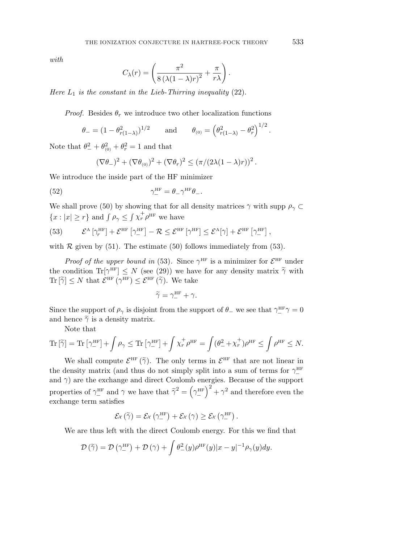with

$$
C_{\lambda}(r) = \left(\frac{\pi^2}{8(\lambda(1-\lambda)r)^2} + \frac{\pi}{r\lambda}\right).
$$

Here  $L_1$  is the constant in the Lieb-Thirring inequality (22).

*Proof.* Besides  $\theta_r$  we introduce two other localization functions

$$
\theta_{-} = (1 - \theta_{r(1-\lambda)}^2)^{1/2}
$$
 and  $\theta_{(0)} = (\theta_{r(1-\lambda)}^2 - \theta_r^2)^{1/2}$ .

Note that  $\theta_-^2 + \theta_{(0)}^2 + \theta_r^2 = 1$  and that

$$
(\nabla \theta_-)^2 + (\nabla \theta_{(0)})^2 + (\nabla \theta_r)^2 \leq (\pi/(2\lambda(1-\lambda)r))^2.
$$

We introduce the inside part of the HF minimizer

(52) 
$$
\gamma^{\text{HF}}_{-} = \theta_{-} \gamma^{\text{HF}} \theta_{-}.
$$

We shall prove (50) by showing that for all density matrices  $\gamma$  with supp  $\rho_{\gamma} \subset$  ${x: |x| \geq r}$  and  $\int \rho_{\gamma} \leq \int \chi_r^+ \rho^{\text{HF}}$  we have

(53) 
$$
\mathcal{E}^{\mathcal{A}}\left[\gamma_{r}^{\mathrm{HF}}\right] + \mathcal{E}^{\mathrm{HF}}\left[\gamma_{-}^{\mathrm{HF}}\right] - \mathcal{R} \leq \mathcal{E}^{\mathrm{HF}}\left[\gamma^{\mathrm{HF}}\right] \leq \mathcal{E}^{\mathcal{A}}\left[\gamma\right] + \mathcal{E}^{\mathrm{HF}}\left[\gamma_{-}^{\mathrm{HF}}\right],
$$

with  $R$  given by (51). The estimate (50) follows immediately from (53).

*Proof of the upper bound in* (53). Since  $\gamma^{\text{HF}}$  is a minimizer for  $\mathcal{E}^{\text{HF}}$  under the condition  $\text{Tr}[\gamma^{\text{HF}}] \leq N$  (see (29)) we have for any density matrix  $\tilde{\gamma}$  with Tr  $[\tilde{\gamma}] \leq N$  that  $\mathcal{E}^{\text{HF}}(\gamma^{\text{HF}}) \leq \mathcal{E}^{\text{HF}}(\tilde{\gamma})$ . We take

$$
\widetilde{\gamma} = \gamma^{\text{HF}}_{-} + \gamma.
$$

Since the support of  $\rho_{\gamma}$  is disjoint from the support of  $\theta_{-}$  we see that  $\gamma_{-}^{\text{HF}}\gamma=0$ and hence  $\widetilde{\gamma}$  is a density matrix.

Note that

$$
\mathrm{Tr}\left[\widetilde{\gamma}\right] = \mathrm{Tr}\left[\gamma_-^{\mathrm{HF}}\right] + \int \rho_{\gamma} \leq \mathrm{Tr}\left[\gamma_-^{\mathrm{HF}}\right] + \int \chi_r^+ \rho^{\mathrm{HF}} = \int (\theta_-^2 + \chi_r^+) \rho^{\mathrm{HF}} \leq \int \rho^{\mathrm{HF}} \leq N.
$$

We shall compute  $\mathcal{E}^{\text{HF}}(\tilde{\gamma})$ . The only terms in  $\mathcal{E}^{\text{HF}}$  that are not linear in the density matrix (and thus do not simply split into a sum of terms for  $\gamma^{\text{HF}}$ and  $\gamma$ ) are the exchange and direct Coulomb energies. Because of the support properties of  $\gamma_{-}^{\text{HF}}$  and  $\gamma$  we have that  $\tilde{\gamma}^2 = (\gamma_{-}^{\text{HF}})$  $\big)^2 + \gamma^2$  and therefore even the exchange term satisfies

$$
\mathcal{E}_{\mathcal{X}}\left(\widetilde{\gamma}\right)=\mathcal{E}_{\mathcal{X}}\left(\gamma_{-}^{\mathrm{HF}}\right)+\mathcal{E}_{\mathcal{X}}\left(\gamma\right)\geq\mathcal{E}_{\mathcal{X}}\left(\gamma_{-}^{\mathrm{HF}}\right)
$$

We are thus left with the direct Coulomb energy. For this we find that

.

$$
\mathcal{D}(\tilde{\gamma}) = \mathcal{D}(\gamma^{\text{HF}}_{-}) + \mathcal{D}(\gamma) + \int \theta^2_{-}(y)\rho^{\text{HF}}(y)|x - y|^{-1}\rho_{\gamma}(y)dy.
$$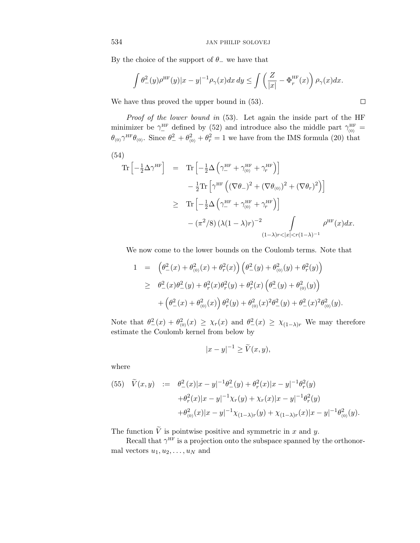By the choice of the support of  $\theta$ <sub>−</sub> we have that

$$
\int \theta_-^2(y)\rho^{\rm HF}(y)|x-y|^{-1}\rho_\gamma(x)dx\,dy \le \int \left(\frac{Z}{|x|} - \Phi_r^{\rm HF}(x)\right)\rho_\gamma(x)dx.
$$

 $\Box$ 

We have thus proved the upper bound in (53).

Proof of the lower bound in  $(53)$ . Let again the inside part of the HF minimizer be  $\gamma_{-}^{\text{HF}}$  defined by (52) and introduce also the middle part  $\gamma_{(0)}^{\text{HF}}$  =  $\theta_{(0)}\gamma^{\text{HF}}\theta_{(0)}$ . Since  $\theta_-^2 + \theta_{(0)}^2 + \theta_r^2 = 1$  we have from the IMS formula (20) that

(54)  
\n
$$
\operatorname{Tr}\left[-\frac{1}{2}\Delta\gamma^{\text{HF}}\right] = \operatorname{Tr}\left[-\frac{1}{2}\Delta\left(\gamma^{\text{HF}}_{-} + \gamma^{\text{HF}}_{(0)} + \gamma^{\text{HF}}_{r}\right)\right]
$$
\n
$$
-\frac{1}{2}\operatorname{Tr}\left[\gamma^{\text{HF}}\left((\nabla\theta_{-})^{2} + (\nabla\theta_{(0)})^{2} + (\nabla\theta_{r})^{2}\right)\right]
$$
\n
$$
\geq \operatorname{Tr}\left[-\frac{1}{2}\Delta\left(\gamma^{\text{HF}}_{-} + \gamma^{\text{HF}}_{(0)} + \gamma^{\text{HF}}_{r}\right)\right]
$$
\n
$$
-(\pi^{2}/8)\left(\lambda(1-\lambda)r\right)^{-2} \int_{(1-\lambda)r<|x|
$$

We now come to the lower bounds on the Coulomb terms. Note that

$$
1 = (\theta_-^2(x) + \theta_{(0)}^2(x) + \theta_r^2(x)) (\theta_-^2(y) + \theta_{(0)}^2(y) + \theta_r^2(y))
$$
  
\n
$$
\geq \theta_-^2(x)\theta_-^2(y) + \theta_r^2(x)\theta_r^2(y) + \theta_r^2(x)(\theta_-^2(y) + \theta_{(0)}^2(y))
$$
  
\n
$$
+ (\theta_-^2(x) + \theta_{(0)}^2(x)) \theta_r^2(y) + \theta_{(0)}^2(x)^2\theta_-^2(y) + \theta_-^2(x)^2\theta_{(0)}^2(y).
$$

Note that  $\theta_-^2(x) + \theta_{(0)}^2(x) \geq \chi_r(x)$  and  $\theta_-^2(x) \geq \chi_{(1-\lambda)r}$  We may therefore estimate the Coulomb kernel from below by

 $|x-y|^{-1} \geq \tilde{V}(x, y),$ 

where

(55) 
$$
\tilde{V}(x, y) := \theta_{-}^{2}(x)|x - y|^{-1}\theta_{-}^{2}(y) + \theta_{r}^{2}(x)|x - y|^{-1}\theta_{r}^{2}(y) + \theta_{r}^{2}(x)|x - y|^{-1}\chi_{r}(y) + \chi_{r}(x)|x - y|^{-1}\theta_{r}^{2}(y) + \theta_{(0)}^{2}(x)|x - y|^{-1}\chi_{(1-\lambda)r}(y) + \chi_{(1-\lambda)r}(x)|x - y|^{-1}\theta_{(0)}^{2}(y).
$$

The function  $\tilde{V}$  is pointwise positive and symmetric in x and y.

Recall that  $\gamma^{\text{HF}}$  is a projection onto the subspace spanned by the orthonormal vectors  $u_1, u_2, \ldots, u_N$  and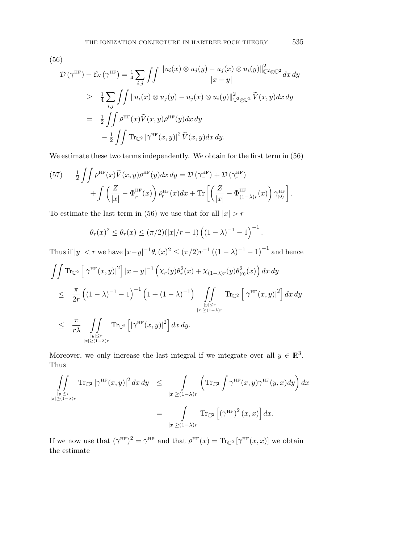(56)  
\n
$$
\mathcal{D}(\gamma^{\text{HF}}) - \mathcal{E}x(\gamma^{\text{HF}}) = \frac{1}{4} \sum_{i,j} \int \int \frac{\|u_i(x) \otimes u_j(y) - u_j(x) \otimes u_i(y)\|_{\mathbb{C}^2 \otimes \mathbb{C}^2}^2}{|x - y|} dx dy
$$
\n
$$
\geq \frac{1}{4} \sum_{i,j} \int \int \|u_i(x) \otimes u_j(y) - u_j(x) \otimes u_i(y)\|_{\mathbb{C}^2 \otimes \mathbb{C}^2}^2 \widetilde{V}(x, y) dx dy
$$
\n
$$
= \frac{1}{2} \int \int \rho^{\text{HF}}(x) \widetilde{V}(x, y) \rho^{\text{HF}}(y) dx dy
$$
\n
$$
- \frac{1}{2} \int \int \text{Tr}_{\mathbb{C}^2} |\gamma^{\text{HF}}(x, y)|^2 \widetilde{V}(x, y) dx dy.
$$

We estimate these two terms independently. We obtain for the first term in (56)

(57) 
$$
\frac{1}{2} \iint \rho^{\text{HF}}(x) \widetilde{V}(x, y) \rho^{\text{HF}}(y) dx dy = \mathcal{D} (\gamma^{\text{HF}}_{-}) + \mathcal{D} (\gamma^{\text{HF}}_{r}) + \int \left( \frac{Z}{|x|} - \Phi^{\text{HF}}_{r}(x) \right) \rho^{\text{HF}}_{r}(x) dx + \text{Tr} \left[ \left( \frac{Z}{|x|} - \Phi^{\text{HF}}_{(1-\lambda)r}(x) \right) \gamma^{\text{HF}}_{(0)} \right].
$$

To estimate the last term in (56) we use that for all  $|x| > r$ 

$$
\theta_r(x)^2 \leq \theta_r(x) \leq (\pi/2)(|x|/r-1) ((1-\lambda)^{-1} - 1)^{-1}.
$$

Thus if  $|y| < r$  we have  $|x-y|^{-1} \theta_r(x)^2 \le (\pi/2)r^{-1} ((1 - \lambda)^{-1} - 1)^{-1}$  and hence

$$
\iint \operatorname{Tr}_{\mathbb{C}^2} \left[ |\gamma^{\mathrm{HF}}(x, y)|^2 \right] |x - y|^{-1} \left( \chi_r(y) \theta_r^2(x) + \chi_{(1-\lambda)r}(y) \theta_{(0)}^2(x) \right) dx dy
$$
\n
$$
\leq \frac{\pi}{2r} \left( (1 - \lambda)^{-1} - 1 \right)^{-1} \left( 1 + (1 - \lambda)^{-1} \right) \iint_{\substack{|y| \leq r \\ |x| \geq (1 - \lambda)r}} \operatorname{Tr}_{\mathbb{C}^2} \left[ |\gamma^{\mathrm{HF}}(x, y)|^2 \right] dx dy
$$
\n
$$
\leq \frac{\pi}{r \lambda} \iint_{\substack{|y| \leq r \\ |x| \geq (1 - \lambda)r}} \operatorname{Tr}_{\mathbb{C}^2} \left[ |\gamma^{\mathrm{HF}}(x, y)|^2 \right] dx dy.
$$

Moreover, we only increase the last integral if we integrate over all  $y \in \mathbb{R}^3$ . Thus

$$
\iint_{\substack{|y| \le r \\ |x| \ge (1-\lambda)r}} \mathrm{Tr}_{\mathbb{C}^2} |\gamma^{\mathrm{HF}}(x,y)|^2 dx dy \le \int_{\substack{|x| \ge (1-\lambda)r}} \left( \mathrm{Tr}_{\mathbb{C}^2} \int \gamma^{\mathrm{HF}}(x,y) \gamma^{\mathrm{HF}}(y,x) dy \right) dx \n= \int_{\substack{|x| \ge (1-\lambda)r}} \mathrm{Tr}_{\mathbb{C}^2} \left[ \left( \gamma^{\mathrm{HF}} \right)^2(x,x) \right] dx.
$$

If we now use that  $(\gamma^{\text{HF}})^2 = \gamma^{\text{HF}}$  and that  $\rho^{\text{HF}}(x) = \text{Tr}_{\mathbb{C}^2} [\gamma^{\text{HF}}(x,x)]$  we obtain the estimate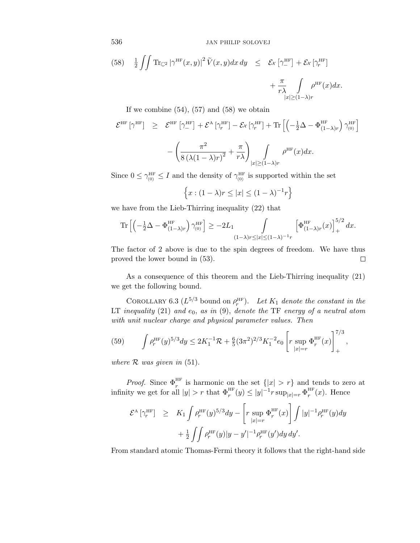(58) 
$$
\frac{1}{2} \iint \text{Tr}_{\mathbb{C}^2} |\gamma^{\text{HF}}(x, y)|^2 \widetilde{V}(x, y) dx dy \leq \mathcal{E}_x [\gamma^{\text{HF}}_{-}] + \mathcal{E}_x [\gamma^{\text{HF}}_{r}] + \frac{\pi}{r \lambda} \int_{|x| \geq (1 - \lambda)r} \rho^{\text{HF}}(x) dx.
$$

If we combine  $(54)$ ,  $(57)$  and  $(58)$  we obtain

$$
\mathcal{E}^{\text{HF}}\left[\gamma^{\text{HF}}\right] \geq \mathcal{E}^{\text{HF}}\left[\gamma^{\text{HF}}_{-}\right] + \mathcal{E}^{\text{A}}\left[\gamma^{\text{HF}}_{r}\right] - \mathcal{E}_{\text{X}}\left[\gamma^{\text{HF}}_{r}\right] + \text{Tr}\left[\left(-\frac{1}{2}\Delta - \Phi^{\text{HF}}_{(1-\lambda)r}\right)\gamma^{\text{HF}}_{(0)}\right] - \left(\frac{\pi^2}{8\left(\lambda(1-\lambda)r\right)^2} + \frac{\pi}{r\lambda}\right) \int_{|x|\geq (1-\lambda)r} \rho^{\text{HF}}(x)dx.
$$

Since  $0 \leq \gamma_{(0)}^{\text{HF}} \leq I$  and the density of  $\gamma_{(0)}^{\text{HF}}$  is supported within the set

$$
\left\{x : (1 - \lambda)r \le |x| \le (1 - \lambda)^{-1}r\right\}
$$

we have from the Lieb-Thirring inequality (22) that

$$
\mathrm{Tr}\left[\left(-\frac{1}{2}\Delta - \Phi_{(1-\lambda)r}^{\mathrm{HF}}\right)\gamma_{(0)}^{\mathrm{HF}}\right] \geq -2L_1 \int\limits_{(1-\lambda)r\leq |x|\leq (1-\lambda)^{-1}r}\left[\Phi_{(1-\lambda)r}^{\mathrm{HF}}(x)\right]_{+}^{5/2}dx.
$$

The factor of 2 above is due to the spin degrees of freedom. We have thus proved the lower bound in (53).  $\Box$ 

As a consequence of this theorem and the Lieb-Thirring inequality (21) we get the following bound.

COROLLARY 6.3 ( $L^{5/3}$  bound on  $\rho_r^{\text{HF}}$ ). Let  $K_1$  denote the constant in the LT inequality  $(21)$  and  $e_0$ , as in  $(9)$ , denote the TF energy of a neutral atom with unit nuclear charge and physical parameter values. Then

(59) 
$$
\int \rho_r^{\text{HF}}(y)^{5/3} dy \leq 2K_1^{-1} \mathcal{R} + \frac{6}{5} (3\pi^2)^{2/3} K_1^{-2} e_0 \left[ r \sup_{|x|=r} \Phi_r^{\text{HF}}(x) \right]_{+}^{7/3},
$$

where  $R$  was given in (51).

*Proof.* Since  $\Phi_r^{\text{HF}}$  is harmonic on the set  $\{|x| > r\}$  and tends to zero at infinity we get for all  $|y| > r$  that  $\Phi_r^{\text{HF}}(y) \le |y|^{-1} r \sup_{|x|=r} \Phi_r^{\text{HF}}(x)$ . Hence

$$
\mathcal{E}^{A} [\gamma_{r}^{\text{HF}}] \geq K_{1} \int \rho_{r}^{\text{HF}}(y)^{5/3} dy - \left[ r \sup_{|x|=r} \Phi_{r}^{\text{HF}}(x) \right] \int |y|^{-1} \rho_{r}^{\text{HF}}(y) dy + \frac{1}{2} \int \int \rho_{r}^{\text{HF}}(y) |y-y'|^{-1} \rho_{r}^{\text{HF}}(y') dy dy'.
$$

From standard atomic Thomas-Fermi theory it follows that the right-hand side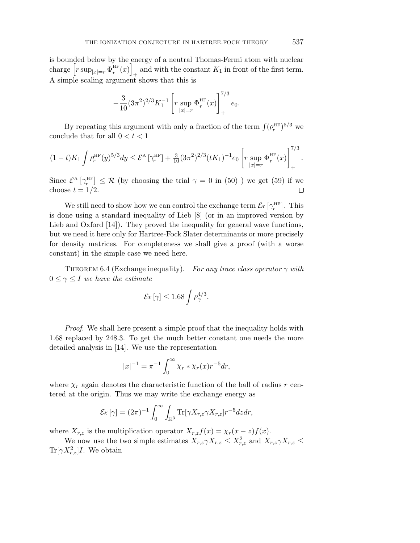is bounded below by the energy of a neutral Thomas-Fermi atom with nuclear charge  $\left[r \sup_{|x|=r} \Phi_r^{\text{HF}}(x)\right]$  $_{+}$  and with the constant  $K_1$  in front of the first term. A simple scaling argument shows that this is

$$
-\frac{3}{10}(3\pi^2)^{2/3}K_1^{-1}\left[r \sup_{|x|=r}\Phi_r^{\rm HF}(x)\right]_{+}^{7/3}e_0.
$$

By repeating this argument with only a fraction of the term  $\int (\rho_r^{\text{HF}})^{5/3}$  we conclude that for all  $0 < t < 1$ 

$$
(1-t)K_1 \int \rho_r^{\rm HF}(y)^{5/3} dy \leq \mathcal{E}^{\rm A} \left[ \gamma_r^{\rm HF} \right] + \frac{3}{10} (3\pi^2)^{2/3} (tK_1)^{-1} e_0 \left[ r \sup_{|x|=r} \Phi_r^{\rm HF}(x) \right]_{+}^{7/3}.
$$

Since  $\mathcal{E}^{\text{A}}\left[\gamma_{r}^{\text{HF}}\right] \leq \mathcal{R}$  (by choosing the trial  $\gamma = 0$  in (50)) we get (59) if we choose  $t = 1/2$ .  $\Box$ 

We still need to show how we can control the exchange term  $\mathcal{E} \mathcal{X} \left[\gamma_r^{\text{HF}}\right]$ . This is done using a standard inequality of Lieb [8] (or in an improved version by Lieb and Oxford [14]). They proved the inequality for general wave functions, but we need it here only for Hartree-Fock Slater determinants or more precisely for density matrices. For completeness we shall give a proof (with a worse constant) in the simple case we need here.

THEOREM 6.4 (Exchange inequality). For any trace class operator  $\gamma$  with  $0 \leq \gamma \leq I$  we have the estimate

$$
\mathcal{E}_x[\gamma] \le 1.68 \int \rho_{\gamma}^{4/3}.
$$

Proof. We shall here present a simple proof that the inequality holds with 1.68 replaced by 248.3. To get the much better constant one needs the more detailed analysis in [14]. We use the representation

$$
|x|^{-1} = \pi^{-1} \int_0^\infty \chi_r * \chi_r(x) r^{-5} dr,
$$

where  $\chi_r$  again denotes the characteristic function of the ball of radius r centered at the origin. Thus we may write the exchange energy as

$$
\mathcal{E}_X[\gamma] = (2\pi)^{-1} \int_0^\infty \int_{\mathbb{R}^3} \text{Tr}[\gamma X_{r,z} \gamma X_{r,z}] r^{-5} dz dr,
$$

where  $X_{r,z}$  is the multiplication operator  $X_{r,z}f(x) = \chi_r(x-z)f(x)$ .

We now use the two simple estimates  $X_{r,z}\gamma X_{r,z} \leq X_{r,z}^2$  and  $X_{r,z}\gamma X_{r,z} \leq$  $\text{Tr}[\gamma X_{r,z}^2]I$ . We obtain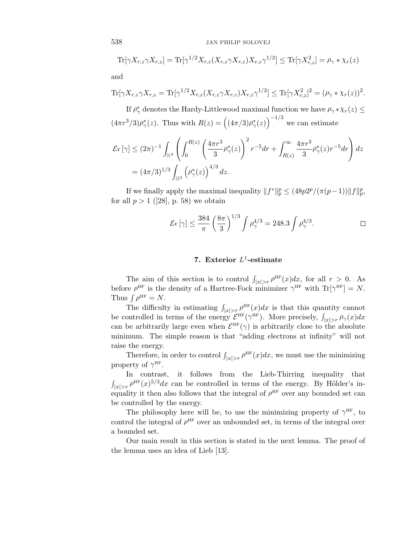$$
\text{Tr}[\gamma X_{r,z}\gamma X_{r,z}] = \text{Tr}[\gamma^{1/2} X_{r,z}(X_{r,z}\gamma X_{r,z})X_{r,z}\gamma^{1/2}] \leq \text{Tr}[\gamma X_{r,z}^2] = \rho_\gamma * \chi_r(z)
$$

and

$$
\text{Tr}[\gamma X_{r,z}\gamma X_{r,z} = \text{Tr}[\gamma^{1/2} X_{r,z}(X_{r,z}\gamma X_{r,z})X_{r,z}\gamma^{1/2}] \leq \text{Tr}[\gamma X_{r,z}^2]^2 = (\rho_\gamma * \chi_r(z))^2.
$$

If  $\rho_{\gamma}^*$  denotes the Hardy-Littlewood maximal function we have  $\rho_{\gamma} * \chi_r(z) \leq$  $(4\pi r^3/3)\rho_{\gamma}^*(z)$ . Thus with  $R(z) = ((4\pi/3)\rho_{\gamma}^*(z))^{-1/3}$  we can estimate

$$
\mathcal{E}_x[\gamma] \le (2\pi)^{-1} \int_{\mathbb{R}^3} \left( \int_0^{R(z)} \left( \frac{4\pi r^3}{3} \rho_\gamma^*(z) \right)^2 r^{-5} dr + \int_{R(z)}^\infty \frac{4\pi r^3}{3} \rho_\gamma^*(z) r^{-5} dr \right) dz
$$
  
=  $(4\pi/3)^{1/3} \int_{\mathbb{R}^3} \left( \rho_\gamma^*(z) \right)^{4/3} dz.$ 

If we finally apply the maximal inequality  $||f^*||_p^p \leq (48p2^p/(\pi(p-1))||f||_p^p$ , for all  $p > 1$  ([28], p. 58) we obtain

$$
\mathcal{E}_X[\gamma] \le \frac{384}{\pi} \left(\frac{8\pi}{3}\right)^{1/3} \int \rho_\gamma^{4/3} = 248.3 \int \rho_\gamma^{4/3}.
$$

# **7. Exterior** L1**-estimate**

The aim of this section is to control  $\int_{|x|>r} \rho^{\text{HF}}(x)dx$ , for all  $r > 0$ . As before  $\rho^{\text{HF}}$  is the density of a Hartree-Fock minimizer  $\gamma^{\text{HF}}$  with  $\text{Tr}[\gamma^{\text{HF}}] = N$ . Thus  $\int \rho^{\text{HF}} = N$ .

The difficulty in estimating  $\int_{|x|>r} \rho^{\text{HF}}(x) dx$  is that this quantity cannot be controlled in terms of the energy  $\mathcal{E}^{\text{HF}}(\gamma^{\text{HF}})$ . More precisely,  $\int_{|x|>r} \rho_{\gamma}(x)dx$ can be arbitrarily large even when  $\mathcal{E}^{\text{HF}}(\gamma)$  is arbitrarily close to the absolute minimum. The simple reason is that "adding electrons at infinity" will not raise the energy.

Therefore, in order to control  $\int_{|x|>r} \rho^{\text{HF}}(x)dx$ , we must use the minimizing property of  $\gamma^{\text{HF}}$ .

In contrast, it follows from the Lieb-Thirring inequality that  $\int_{|x|>r} \rho^{\text{HF}}(x)^{5/3} dx$  can be controlled in terms of the energy. By Hölder's inequality it then also follows that the integral of  $\rho^{\text{HF}}$  over any bounded set can be controlled by the energy.

The philosophy here will be, to use the minimizing property of  $\gamma^{\text{HF}}$ , to control the integral of  $\rho^{\text{HF}}$  over an unbounded set, in terms of the integral over a bounded set.

Our main result in this section is stated in the next lemma. The proof of the lemma uses an idea of Lieb [13].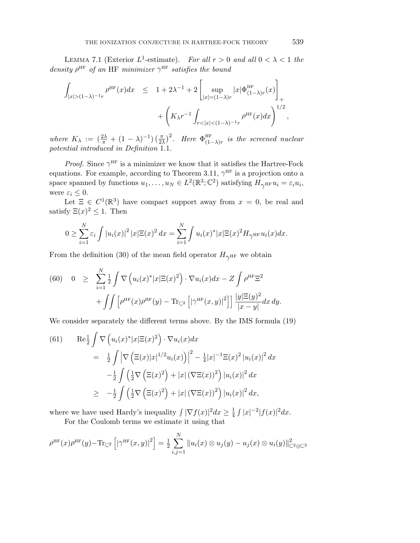LEMMA 7.1 (Exterior L<sup>1</sup>-estimate). For all  $r > 0$  and all  $0 < \lambda < 1$  the density  $\rho^{\text{HF}}$  of an HF minimizer  $\gamma^{\text{HF}}$  satisfies the bound

$$
\int_{|x| > (1-\lambda)^{-1}r} \rho^{\text{HF}}(x) dx \le 1 + 2\lambda^{-1} + 2 \left[ \sup_{|x| = (1-\lambda)r} |x| \Phi^{\text{HF}}_{(1-\lambda)r}(x) \right]_{+}
$$

$$
+ \left( K_{\lambda} r^{-1} \int_{r < |x| < (1-\lambda)^{-1}r} \rho^{\text{HF}}(x) dx \right)^{1/2},
$$

where  $K_{\lambda} := \left(\frac{2\lambda}{\pi} + (1 - \lambda)^{-1}\right) \left(\frac{\pi}{2\lambda}\right)^2$ . Here  $\Phi_{(1-\lambda)r}^{\text{HF}}$  is the screened nuclear potential introduced in Definition 1.1.

*Proof.* Since  $\gamma^{\text{HF}}$  is a minimizer we know that it satisfies the Hartree-Fock equations. For example, according to Theorem 3.11,  $\gamma^{\text{HF}}$  is a projection onto a space spanned by functions  $u_1, \ldots, u_N \in L^2(\mathbb{R}^3; \mathbb{C}^2)$  satisfying  $H_{\gamma^{\text{HF}}} u_i = \varepsilon_i u_i$ , were  $\varepsilon_i \leq 0$ .

Let  $\Xi \in C^1(\mathbb{R}^3)$  have compact support away from  $x = 0$ , be real and satisfy  $\Xi(x)^2 \leq 1$ . Then

$$
0 \geq \sum_{i=1}^{N} \varepsilon_i \int |u_i(x)|^2 |x| \Xi(x)^2 dx = \sum_{i=1}^{N} \int u_i(x)^* |x| \Xi(x)^2 H_{\gamma^{\rm HF}} u_i(x) dx.
$$

From the definition (30) of the mean field operator  $H_{\gamma^{\text{HF}}}$  we obtain

(60) 
$$
0 \geq \sum_{i=1}^{N} \frac{1}{2} \int \nabla \left( u_i(x)^* |x| \Xi(x)^2 \right) \cdot \nabla u_i(x) dx - Z \int \rho^{\text{HF}} \Xi^2 + \int \int \left[ \rho^{\text{HF}}(x) \rho^{\text{HF}}(y) - \text{Tr}_{\mathbb{C}^2} \left[ |\gamma^{\text{HF}}(x, y)|^2 \right] \right] \frac{|y| \Xi(y)^2}{|x - y|} dx dy.
$$

We consider separately the different terms above. By the IMS formula (19)

(61) 
$$
\operatorname{Re} \frac{1}{2} \int \nabla \left( u_i(x)^* |x| \Xi(x)^2 \right) \cdot \nabla u_i(x) dx
$$
  
\n
$$
= \frac{1}{2} \int \left| \nabla \left( \Xi(x) |x|^{1/2} u_i(x) \right) \right|^2 - \frac{1}{4} |x|^{-1} \Xi(x)^2 |u_i(x)|^2 dx
$$
  
\n
$$
- \frac{1}{2} \int \left( \frac{1}{2} \nabla \left( \Xi(x)^2 \right) + |x| (\nabla \Xi(x))^2 \right) |u_i(x)|^2 dx
$$
  
\n
$$
\geq - \frac{1}{2} \int \left( \frac{1}{2} \nabla \left( \Xi(x)^2 \right) + |x| (\nabla \Xi(x))^2 \right) |u_i(x)|^2 dx,
$$

where we have used Hardy's inequality  $\int |\nabla f(x)|^2 dx \geq \frac{1}{4} \int |x|^{-2} |f(x)|^2 dx$ .

For the Coulomb terms we estimate it using that

$$
\rho^{\text{HF}}(x)\rho^{\text{HF}}(y) - \text{Tr}_{\mathbb{C}^2}\left[\left|\gamma^{\text{HF}}(x,y)\right|^2\right] = \frac{1}{2}\sum_{i,j=1}^N \left\|u_i(x) \otimes u_j(y) - u_j(x) \otimes u_i(y)\right\|_{\mathbb{C}^2 \otimes \mathbb{C}^2}^2
$$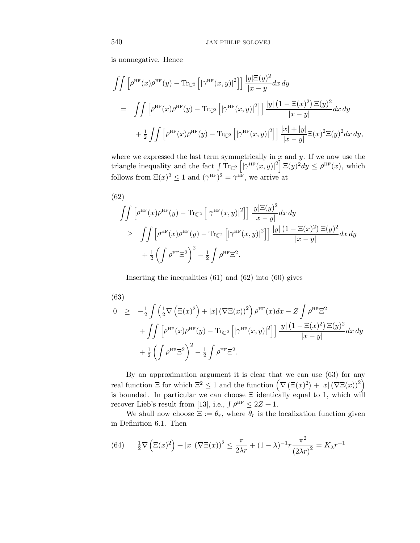is nonnegative. Hence

$$
\iint \left[ \rho^{\mathrm{HF}}(x) \rho^{\mathrm{HF}}(y) - \mathrm{Tr}_{\mathbb{C}^2} \left[ \left| \gamma^{\mathrm{HF}}(x, y) \right|^2 \right] \right] \frac{|y| \Xi(y)^2}{|x - y|} dx dy
$$
  
\n
$$
= \iint \left[ \rho^{\mathrm{HF}}(x) \rho^{\mathrm{HF}}(y) - \mathrm{Tr}_{\mathbb{C}^2} \left[ \left| \gamma^{\mathrm{HF}}(x, y) \right|^2 \right] \right] \frac{|y| (1 - \Xi(x)^2) \Xi(y)^2}{|x - y|} dx dy
$$
  
\n
$$
+ \frac{1}{2} \iint \left[ \rho^{\mathrm{HF}}(x) \rho^{\mathrm{HF}}(y) - \mathrm{Tr}_{\mathbb{C}^2} \left[ \left| \gamma^{\mathrm{HF}}(x, y) \right|^2 \right] \right] \frac{|x| + |y|}{|x - y|} \Xi(x)^2 \Xi(y)^2 dx dy,
$$

where we expressed the last term symmetrically in  $x$  and  $y$ . If we now use the triangle inequality and the fact  $\int \text{Tr}_{\mathbb{C}^2} \left[ |\gamma^{\text{HF}}(x, y)|^2 \right] \Xi(y)^2 dy \leq \rho^{\text{HF}}(x)$ , which follows from  $\Xi(x)^2 \leq 1$  and  $(\gamma^{\text{HF}})^2 = \gamma^{\text{HF}}$ , we arrive at

(62)  
\n
$$
\iint \left[ \rho^{\text{HF}}(x) \rho^{\text{HF}}(y) - \text{Tr}_{\mathbb{C}^2} \left[ \left| \gamma^{\text{HF}}(x, y) \right|^2 \right] \right] \frac{|y| \Xi(y)^2}{|x - y|} dx dy
$$
\n
$$
\geq \iint \left[ \rho^{\text{HF}}(x) \rho^{\text{HF}}(y) - \text{Tr}_{\mathbb{C}^2} \left[ \left| \gamma^{\text{HF}}(x, y) \right|^2 \right] \right] \frac{|y| (1 - \Xi(x)^2) \Xi(y)^2}{|x - y|} dx dy
$$
\n
$$
+ \frac{1}{2} \left( \int \rho^{\text{HF}} \Xi^2 \right)^2 - \frac{1}{2} \int \rho^{\text{HF}} \Xi^2.
$$

Inserting the inequalities  $(61)$  and  $(62)$  into  $(60)$  gives

(63)  
\n
$$
0 \geq -\frac{1}{2} \int \left( \frac{1}{2} \nabla \left( \Xi(x)^2 \right) + |x| \left( \nabla \Xi(x) \right)^2 \right) \rho^{\text{HF}}(x) dx - Z \int \rho^{\text{HF}} \Xi^2 + \int \int \left[ \rho^{\text{HF}}(x) \rho^{\text{HF}}(y) - \text{Tr}_{\mathbb{C}^2} \left[ \left| \gamma^{\text{HF}}(x, y) \right|^2 \right] \right] \frac{|y| \left( 1 - \Xi(x)^2 \right) \Xi(y)^2}{|x - y|} dx dy + \frac{1}{2} \left( \int \rho^{\text{HF}} \Xi^2 \right)^2 - \frac{1}{2} \int \rho^{\text{HF}} \Xi^2.
$$

By an approximation argument it is clear that we can use (63) for any real function  $\Xi$  for which  $\Xi^2 \leq 1$  and the function  $(\nabla (\Xi(x)^2) + |x| (\nabla \Xi(x))^2)$ is bounded. In particular we can choose  $\Xi$  identically equal to 1, which will recover Lieb's result from [13], i.e.,  $\int \rho^{\text{HF}} \leq 2Z + 1$ .

We shall now choose  $\Xi := \theta_r$ , where  $\theta_r$  is the localization function given in Definition 6.1. Then

(64) 
$$
\frac{1}{2}\nabla \left(\Xi(x)^2\right) + |x| \left(\nabla \Xi(x)\right)^2 \le \frac{\pi}{2\lambda r} + (1-\lambda)^{-1} r \frac{\pi^2}{(2\lambda r)^2} = K_\lambda r^{-1}
$$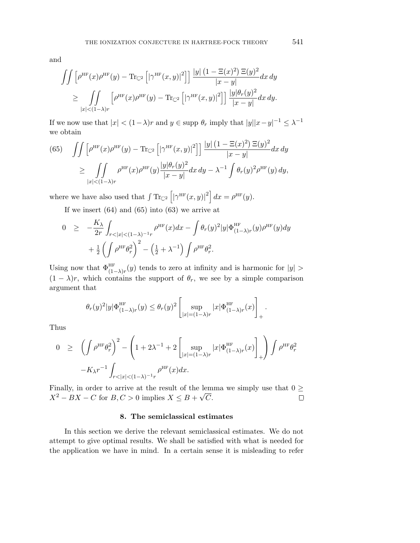and

$$
\iint \left[ \rho^{\rm HF}(x) \rho^{\rm HF}(y) - \text{Tr}_{\mathbb{C}^2} \left[ |\gamma^{\rm HF}(x, y)|^2 \right] \right] \frac{|y| (1 - \Xi(x)^2) \Xi(y)^2}{|x - y|} dx dy
$$
  
\n
$$
\geq \iint \limits_{|x| < (1 - \lambda)r} \left[ \rho^{\rm HF}(x) \rho^{\rm HF}(y) - \text{Tr}_{\mathbb{C}^2} \left[ |\gamma^{\rm HF}(x, y)|^2 \right] \right] \frac{|y| \theta_r(y)^2}{|x - y|} dx dy.
$$

If we now use that  $|x| < (1 - \lambda)r$  and  $y \in \text{supp }\theta_r$  imply that  $|y||x - y|^{-1} \leq \lambda^{-1}$ we obtain

(65) 
$$
\iint \left[ \rho^{\text{HF}}(x) \rho^{\text{HF}}(y) - \text{Tr}_{\mathbb{C}^2} \left[ |\gamma^{\text{HF}}(x, y)|^2 \right] \right] \frac{|y| (1 - \Xi(x)^2) \Xi(y)^2}{|x - y|} dx dy
$$

$$
\geq \iint \rho^{\text{HF}}(x) \rho^{\text{HF}}(y) \frac{|y| \theta_r(y)^2}{|x - y|} dx dy - \lambda^{-1} \int \theta_r(y)^2 \rho^{\text{HF}}(y) dy,
$$

where we have also used that  $\int \text{Tr}_{\mathbb{C}^2} \left[ |\gamma^{\text{HF}}(x,y)|^2 \right] dx = \rho^{\text{HF}}(y)$ .

If we insert  $(64)$  and  $(65)$  into  $(63)$  we arrive at

$$
0 \geq -\frac{K_{\lambda}}{2r} \int_{r<|x|<(1-\lambda)^{-1}r} \rho^{\text{HF}}(x)dx - \int \theta_r(y)^2 |y| \Phi_{(1-\lambda)r}^{\text{HF}}(y)\rho^{\text{HF}}(y)dy
$$
  
+  $\frac{1}{2} \left( \int \rho^{\text{HF}} \theta_r^2 \right)^2 - \left( \frac{1}{2} + \lambda^{-1} \right) \int \rho^{\text{HF}} \theta_r^2.$ 

Using now that  $\Phi_{(1-\lambda)r}^{\text{HF}}(y)$  tends to zero at infinity and is harmonic for  $|y| >$  $(1 - \lambda)r$ , which contains the support of  $\theta_r$ , we see by a simple comparison argument that

$$
\theta_r(y)^2|y|\Phi_{(1-\lambda)r}^{\text{HF}}(y) \le \theta_r(y)^2 \left[\sup_{|x|=(1-\lambda)r}|x|\Phi_{(1-\lambda)r}^{\text{HF}}(x)\right]_+.
$$

Thus

$$
0 \geq \left( \int \rho^{\text{HF}} \theta_r^2 \right)^2 - \left( 1 + 2\lambda^{-1} + 2 \left[ \sup_{|x| = (1-\lambda)r} |x| \Phi_{(1-\lambda)r}^{\text{HF}}(x) \right]_+ \right) \int \rho^{\text{HF}} \theta_r^2
$$

$$
-K_{\lambda} r^{-1} \int_{r < |x| < (1-\lambda)^{-1}r} \rho^{\text{HF}}(x) dx.
$$

Finally, in order to arrive at the result of the lemma we simply use that  $0 \geq$ Finany, in order to arrive at the result of the left<br> $X^2 - BX - C$  for  $B, C > 0$  implies  $X \leq B + \sqrt{C}$ .  $\Box$ 

# **8. The semiclassical estimates**

In this section we derive the relevant semiclassical estimates. We do not attempt to give optimal results. We shall be satisfied with what is needed for the application we have in mind. In a certain sense it is misleading to refer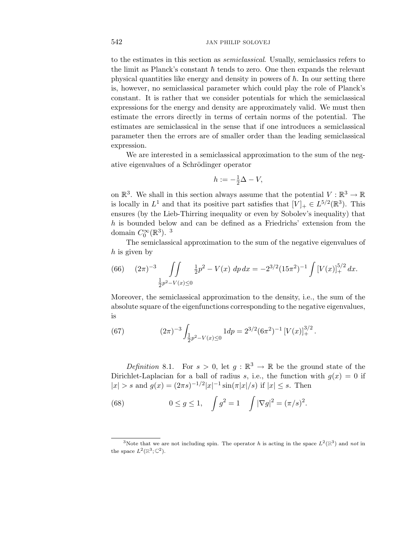to the estimates in this section as semiclassical. Usually, semiclassics refers to the limit as Planck's constant  $\hbar$  tends to zero. One then expands the relevant physical quantities like energy and density in powers of  $\hbar$ . In our setting there is, however, no semiclassical parameter which could play the role of Planck's constant. It is rather that we consider potentials for which the semiclassical expressions for the energy and density are approximately valid. We must then estimate the errors directly in terms of certain norms of the potential. The estimates are semiclassical in the sense that if one introduces a semiclassical parameter then the errors are of smaller order than the leading semiclassical expression.

We are interested in a semiclassical approximation to the sum of the negative eigenvalues of a Schrödinger operator

$$
h:=-\tfrac{1}{2}\Delta-V,
$$

on  $\mathbb{R}^3$ . We shall in this section always assume that the potential  $V : \mathbb{R}^3 \to \mathbb{R}$ is locally in  $L^1$  and that its positive part satisfies that  $[V]_+ \in L^{5/2}(\mathbb{R}^3)$ . This ensures (by the Lieb-Thirring inequality or even by Sobolev's inequality) that h is bounded below and can be defined as a Friedrichs' extension from the domain  $C_0^{\infty}(\mathbb{R}^3)$ .<sup>3</sup>

The semiclassical approximation to the sum of the negative eigenvalues of h is given by

(66) 
$$
(2\pi)^{-3} \int \int \frac{1}{2} p^2 - V(x) dp dx = -2^{3/2} (15\pi^2)^{-1} \int \left[ V(x) \right]_+^{5/2} dx.
$$

Moreover, the semiclassical approximation to the density, i.e., the sum of the absolute square of the eigenfunctions corresponding to the negative eigenvalues, is

(67) 
$$
(2\pi)^{-3} \int_{\frac{1}{2}p^2 - V(x) \le 0} 1 dp = 2^{3/2} (6\pi^2)^{-1} \left[ V(x) \right]_+^{3/2}.
$$

Definition 8.1. For  $s > 0$ , let  $g : \mathbb{R}^3 \to \mathbb{R}$  be the ground state of the Dirichlet-Laplacian for a ball of radius s, i.e., the function with  $g(x) = 0$  if  $|x| > s$  and  $g(x) = (2\pi s)^{-1/2} |x|^{-1} \sin(\pi |x|/s)$  if  $|x| \leq s$ . Then

(68) 
$$
0 \le g \le 1
$$
,  $\int g^2 = 1$ ,  $\int |\nabla g|^2 = (\pi/s)^2$ .

<sup>&</sup>lt;sup>3</sup>Note that we are not including spin. The operator h is acting in the space  $L^2(\mathbb{R}^3)$  and not in the space  $L^2(\mathbb{R}^3; \mathbb{C}^2)$ .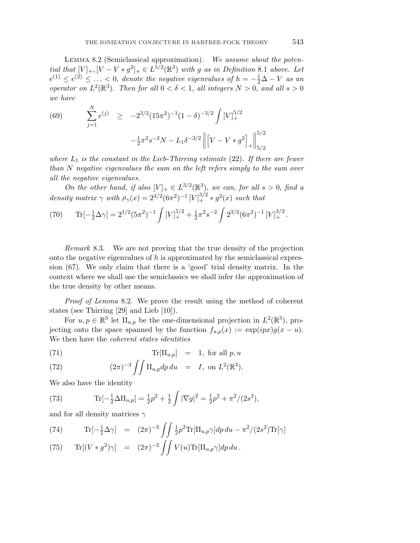LEMMA 8.2 (Semiclassical approximation). We assume about the potential that  $[V]_+, [V - V * g^2]_+ \in L^{5/2}(\mathbb{R}^3)$  with g as in Definition 8.1 above. Let  $e^{(1)} \leq e^{(2)} \leq \ldots \leq 0$ , denote the negative eigenvalues of  $h = -\frac{1}{2}\Delta - V$  as an operator on  $L^2(\mathbb{R}^3)$ . Then for all  $0 < \delta < 1$ , all integers  $N > 0$ , and all  $s > 0$ we have

(69) 
$$
\sum_{j=1}^{N} e^{(j)} \ge -2^{3/2} (15\pi^2)^{-1} (1 - \delta)^{-3/2} \int [V]_{+}^{5/2} -\frac{1}{2} \pi^2 s^{-2} N - L_1 \delta^{-3/2} \left\| \left[ V - V * g^2 \right]_{+} \right\|_{5/2}^{5/2}
$$

where  $L_1$  is the constant in the Lieb-Thirring estimate (22). If there are fewer than N negative eigenvalues the sum on the left refers simply to the sum over all the negative eigenvalues.

On the other hand, if also  $[V]_+ \in L^{3/2}(\mathbb{R}^3)$ , we can, for all  $s > 0$ , find a density matrix  $\gamma$  with  $\rho_{\gamma}(x) = 2^{3/2} (6\pi^2)^{-1} [V]_{+}^{3/2} * g^2(x)$  such that

(70) 
$$
\operatorname{Tr}[-\frac{1}{2}\Delta\gamma] = 2^{1/2}(5\pi^2)^{-1} \int [V]_{+}^{5/2} + \frac{1}{2}\pi^2 s^{-2} \int 2^{3/2}(6\pi^2)^{-1} [V]_{+}^{3/2}.
$$

Remark 8.3. We are not proving that the true density of the projection onto the negative eigenvalues of  $h$  is approximated by the semiclassical expression (67). We only claim that there is a 'good' trial density matrix. In the context where we shall use the semiclassics we shall infer the approximation of the true density by other means.

Proof of Lemma 8.2. We prove the result using the method of coherent states (see Thirring [29] and Lieb [10]).

For  $u, p \in \mathbb{R}^3$  let  $\Pi_{u,p}$  be the one-dimensional projection in  $L^2(\mathbb{R}^3)$ , projecting onto the space spanned by the function  $f_{u,p}(x) := \exp(ipx)g(x - u)$ . We then have the coherent states identities

(71) 
$$
\text{Tr}[\Pi_{u,p}] = 1, \text{ for all } p, u
$$

(72) 
$$
(2\pi)^{-3} \int \int \Pi_{u,p} dp \, du = I, \text{ on } L^2(\mathbb{R}^3).
$$

We also have the identity

(73) 
$$
\text{Tr}[-\frac{1}{2}\Delta\Pi_{u,p}] = \frac{1}{2}p^2 + \frac{1}{2}\int |\nabla g|^2 = \frac{1}{2}p^2 + \pi^2/(2s^2),
$$

and for all density matrices  $\gamma$ 

(74) 
$$
\text{Tr}\left[-\frac{1}{2}\Delta\gamma\right] = (2\pi)^{-3} \iint \frac{1}{2} p^2 \text{Tr}\left[\Pi_{u,p}\gamma\right] dp \, du - \pi^2/(2s^2) \text{Tr}[\gamma]
$$
  
(75) 
$$
\text{Tr}\left[(V * g^2)\gamma\right] = (2\pi)^{-3} \iint V(u) \text{Tr}\left[\Pi_{u,p}\gamma\right] dp \, du.
$$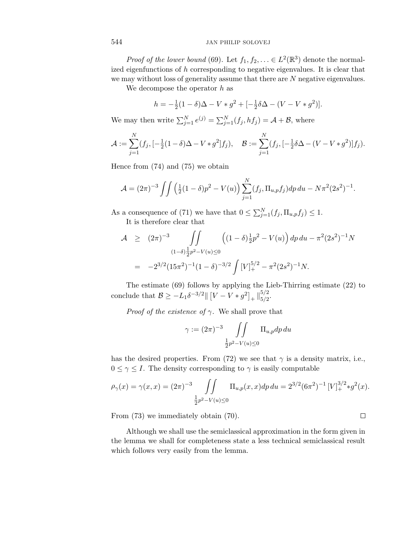*Proof of the lower bound* (69). Let  $f_1, f_2, \ldots \in L^2(\mathbb{R}^3)$  denote the normalized eigenfunctions of h corresponding to negative eigenvalues. It is clear that we may without loss of generality assume that there are N negative eigenvalues.

We decompose the operator  $h$  as

$$
h = -\frac{1}{2}(1 - \delta)\Delta - V * g^{2} + [-\frac{1}{2}\delta\Delta - (V - V * g^{2})].
$$

We may then write  $\sum_{j=1}^{N} e^{(j)} = \sum_{j=1}^{N} (f_j, hf_j) = A + B$ , where

$$
\mathcal{A} := \sum_{j=1}^{N} (f_j, \left[ -\frac{1}{2}(1-\delta)\Delta - V \ast g^2 \right] f_j), \quad \mathcal{B} := \sum_{j=1}^{N} (f_j, \left[ -\frac{1}{2}\delta\Delta - (V - V \ast g^2) \right] f_j).
$$

Hence from (74) and (75) we obtain

$$
\mathcal{A} = (2\pi)^{-3} \iint \left( \frac{1}{2} (1 - \delta) p^2 - V(u) \right) \sum_{j=1}^N (f_j, \Pi_{u,p} f_j) dp du - N\pi^2 (2s^2)^{-1}.
$$

As a consequence of (71) we have that  $0 \le \sum_{j=1}^{N} (f_j, \Pi_{u,p} f_j) \le 1$ .

It is therefore clear that

$$
\mathcal{A} \geq (2\pi)^{-3} \iint\limits_{(1-\delta)\frac{1}{2}p^2 - V(u) \leq 0} \left( (1-\delta)\frac{1}{2}p^2 - V(u) \right) dp du - \pi^2 (2s^2)^{-1} N
$$
  
=  $-2^{3/2} (15\pi^2)^{-1} (1-\delta)^{-3/2} \int [V]_+^{5/2} - \pi^2 (2s^2)^{-1} N.$ 

The estimate (69) follows by applying the Lieb-Thirring estimate (22) to conclude that  $\mathcal{B} \ge -L_1 \delta^{-3/2} \| [V - V * g^2]_+ \|_{5/2}^{5/2}.$ 

*Proof of the existence of*  $\gamma$ . We shall prove that

$$
\gamma := (2\pi)^{-3} \iint\limits_{\frac{1}{2}p^2 - V(u) \le 0} \Pi_{u,p} dp \, du
$$

has the desired properties. From (72) we see that  $\gamma$  is a density matrix, i.e.,  $0 \leq \gamma \leq I$ . The density corresponding to  $\gamma$  is easily computable

$$
\rho_{\gamma}(x) = \gamma(x, x) = (2\pi)^{-3} \iint\limits_{\frac{1}{2}p^2 - V(u) \le 0} \Pi_{u,p}(x, x) dp du = 2^{3/2} (6\pi^2)^{-1} [V]_{+}^{3/2} * g^2(x).
$$

From (73) we immediately obtain (70).

 $\Box$ 

Although we shall use the semiclassical approximation in the form given in the lemma we shall for completeness state a less technical semiclassical result which follows very easily from the lemma.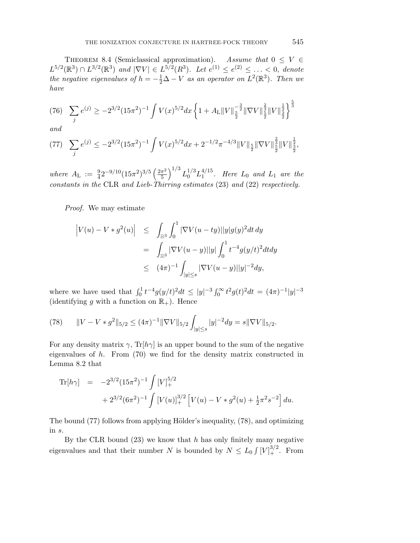THEOREM 8.4 (Semiclassical approximation). Assume that  $0 \leq V \in$  $L^{5/2}(\mathbb{R}^3) \cap L^{3/2}(\mathbb{R}^3)$  and  $|\nabla V| \in L^{5/2}(R^3)$ . Let  $e^{(1)} \leq e^{(2)} \leq \ldots < 0$ , denote the negative eigenvalues of  $h = -\frac{1}{2}\Delta - V$  as an operator on  $L^2(\mathbb{R}^3)$ . Then we have

$$
(76)\quad \sum_{j} e^{(j)} \ge -2^{3/2} (15\pi^2)^{-1} \int V(x)^{5/2} dx \left\{ 1 + A_{\rm L} \|V\|_{\frac{5}{2}}^{-\frac{3}{2}} \|\nabla V\|_{\frac{3}{2}}^{\frac{2}{3}} \|V\|_{\frac{3}{2}}^{\frac{1}{3}} \right\}^{\frac{5}{3}}
$$

and

(77) 
$$
\sum_{j} e^{(j)} \leq -2^{3/2} (15\pi^2)^{-1} \int V(x)^{5/2} dx + 2^{-1/2} \pi^{-4/3} ||V||_{\frac{5}{2}} ||\nabla V||_{\frac{5}{2}}^{\frac{2}{3}} ||V||_{\frac{3}{2}}^{\frac{1}{2}},
$$

where  $A_{\rm L} := \frac{9}{4} 2^{-9/10} (15\pi^2)^{3/5} \left(\frac{2\pi^2}{5}\right)$  $\left(\frac{\pi^2}{5}\right)^{1/3}L_0^{1/3}L_1^{4/15}$ . Here  $L_0$  and  $L_1$  are the constants in the CLR and Lieb-Thirring estimates (23) and (22) respectively.

Proof. We may estimate

$$
\begin{array}{rcl} \left| V(u) - V \ast g^2(u) \right| & \leq & \int_{\mathbb{R}^3} \int_0^1 |\nabla V(u - ty)| |y| g(y)^2 dt \, dy \\ & = & \int_{\mathbb{R}^3} |\nabla V(u - y)| |y| \int_0^1 t^{-4} g(y/t)^2 dt dy \\ & \leq & (4\pi)^{-1} \int_{|y| \leq s} |\nabla V(u - y)| |y|^{-2} dy, \end{array}
$$

where we have used that  $\int_0^1 t^{-4}g(y/t)^2 dt \le |y|^{-3} \int_0^\infty t^2 g(t)^2 dt = (4\pi)^{-1}|y|^{-3}$ (identifying g with a function on  $\mathbb{R}_+$ ). Hence

(78) 
$$
||V - V * g2||_{5/2} \le (4\pi)^{-1} ||\nabla V||_{5/2} \int_{|y| \le s} |y|^{-2} dy = s ||\nabla V||_{5/2}.
$$

For any density matrix  $\gamma$ , Tr[h $\gamma$ ] is an upper bound to the sum of the negative eigenvalues of  $h$ . From  $(70)$  we find for the density matrix constructed in Lemma 8.2 that

Tr
$$
[h\gamma]
$$
 =  $-2^{3/2}(15\pi^2)^{-1} \int [V]_+^{5/2}$   
+  $2^{3/2}(6\pi^2)^{-1} \int [V(u)]_+^{3/2} [V(u) - V * g^2(u) + \frac{1}{2}\pi^2 s^{-2}] du.$ 

The bound (77) follows from applying Hölder's inequality, (78), and optimizing in s.

By the CLR bound  $(23)$  we know that h has only finitely many negative eigenvalues and that their number N is bounded by  $N \leq L_0 \int [V]_+^{3/2}$ . From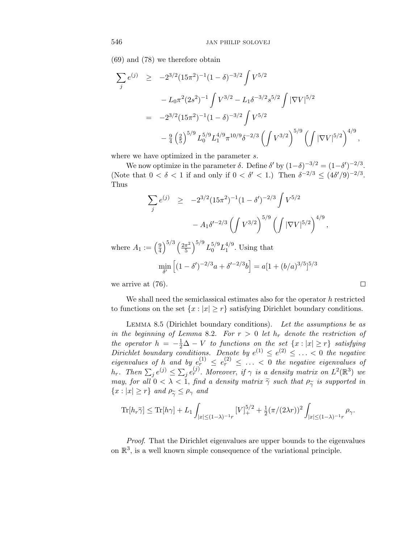(69) and (78) we therefore obtain

$$
\sum_{j} e^{(j)} \geq -2^{3/2} (15\pi^2)^{-1} (1 - \delta)^{-3/2} \int V^{5/2}
$$
  

$$
-L_0 \pi^2 (2s^2)^{-1} \int V^{3/2} - L_1 \delta^{-3/2} s^{5/2} \int |\nabla V|^{5/2}
$$
  

$$
= -2^{3/2} (15\pi^2)^{-1} (1 - \delta)^{-3/2} \int V^{5/2}
$$
  

$$
- \frac{9}{4} (\frac{2}{5})^{5/9} L_0^{5/9} L_1^{4/9} \pi^{10/9} \delta^{-2/3} (\int V^{3/2})^{5/9} (\int |\nabla V|^{5/2})^{4/9},
$$

where we have optimized in the parameter s.

We now optimize in the parameter  $\delta$ . Define  $\delta'$  by  $(1-\delta)^{-3/2} = (1-\delta')^{-2/3}$ . (Note that  $0 < \delta < 1$  if and only if  $0 < \delta' < 1$ .) Then  $\delta^{-2/3} \leq (4\delta'/9)^{-2/3}$ . Thus

$$
\sum_{j} e^{(j)} \geq -2^{3/2} (15\pi^2)^{-1} (1 - \delta')^{-2/3} \int V^{5/2}
$$

$$
- A_1 \delta'^{-2/3} \left( \int V^{3/2} \right)^{5/9} \left( \int |\nabla V|^{5/2} \right)^{4/9}
$$

,

 $\Box$ 

where  $A_1 := \left(\frac{9}{4}\right)$  $\frac{9}{4}\right)^{5/3}\left(\frac{2\pi^2}{5}\right)$  $\left(\frac{\pi^2}{5}\right)^{5/9} L_0^{5/9} L_1^{4/9}$ . Using that

$$
\min_{\delta'} \left[ (1 - \delta')^{-2/3} a + \delta'^{-2/3} b \right] = a [1 + (b/a)^{3/5}]^{5/3}
$$

we arrive at (76).

We shall need the semiclassical estimates also for the operator h restricted to functions on the set  $\{x : |x| \geq r\}$  satisfying Dirichlet boundary conditions.

LEMMA 8.5 (Dirichlet boundary conditions). Let the assumptions be as in the beginning of Lemma 8.2. For  $r > 0$  let  $h_r$  denote the restriction of the operator  $h = -\frac{1}{2}\Delta - V$  to functions on the set  $\{x : |x| \geq r\}$  satisfying Dirichlet boundary conditions. Denote by  $e^{(1)} \n\t\leq e^{(2)} \leq \ldots \leq 0$  the negative eigenvalues of h and by  $e_r^{(1)} \leq e_r^{(2)} \leq \ldots < 0$  the negative eigenvalues of  $h_r$ . Then  $\sum_j e^{(j)} \leq \sum_j e^{(j)}_r$ . Moreover, if  $\gamma$  is a density matrix on  $L^2(\mathbb{R}^3)$  we may, for all  $0 < \lambda < 1$ , find a density matrix  $\tilde{\gamma}$  such that  $\rho_{\tilde{\gamma}}$  is supported in  $\{x : |x| > r\}$  and  $\rho_{\tilde{\gamma}} < \rho_{\gamma}$  and  ${x : |x| \geq r}$  and  $\rho_{\widetilde{\gamma}} \leq \rho_{\gamma}$  and

$$
\text{Tr}[h_r \tilde{\gamma}] \le \text{Tr}[h\gamma] + L_1 \int_{|x| \le (1-\lambda)^{-1}r} [V]_+^{5/2} + \frac{1}{2} (\pi/(2\lambda r))^2 \int_{|x| \le (1-\lambda)^{-1}r} \rho_{\gamma}.
$$

Proof. That the Dirichlet eigenvalues are upper bounds to the eigenvalues on  $\mathbb{R}^3$ , is a well known simple consequence of the variational principle.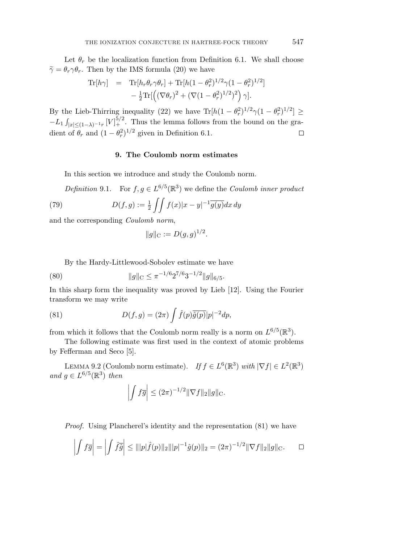Let  $\theta_r$  be the localization function from Definition 6.1. We shall choose  $\tilde{\gamma} = \theta_r \gamma \theta_r$ . Then by the IMS formula (20) we have

$$
\begin{array}{rcl}\n\text{Tr}[h\gamma] & = & \text{Tr}[h_r \theta_r \gamma \theta_r] + \text{Tr}[h(1 - \theta_r^2)^{1/2} \gamma (1 - \theta_r^2)^{1/2}] \\
& & -\frac{1}{2} \text{Tr}[\left( (\nabla \theta_r)^2 + (\nabla (1 - \theta_r^2)^{1/2})^2 \right) \gamma].\n\end{array}
$$

By the Lieb-Thirring inequality (22) we have  $\text{Tr}[h(1 - \theta_r^2)^{1/2}\gamma(1 - \theta_r^2)^{1/2}] \ge$  $-L_1 \int_{|x| \leq (1-\lambda)^{-1}r} [V]_+^{5/2}$ . Thus the lemma follows from the bound on the gradient of  $\theta_r$  and  $(1 - \theta_r^2)^{1/2}$  given in Definition 6.1.  $\Box$ 

# **9. The Coulomb norm estimates**

In this section we introduce and study the Coulomb norm.

*Definition* 9.1. For  $f, g \in L^{6/5}(\mathbb{R}^3)$  we define the *Coulomb inner product* 

(79) 
$$
D(f,g) := \frac{1}{2} \int \int f(x)|x-y|^{-1} \overline{g(y)} dx dy
$$

and the corresponding Coulomb norm,

$$
||g||_{\mathcal{C}} := D(g, g)^{1/2}.
$$

By the Hardy-Littlewood-Sobolev estimate we have

(80) 
$$
||g||_{\mathcal{C}} \leq \pi^{-1/6} 2^{7/6} 3^{-1/2} ||g||_{6/5}.
$$

In this sharp form the inequality was proved by Lieb [12]. Using the Fourier transform we may write

(81) 
$$
D(f,g) = (2\pi) \int \hat{f}(p)\overline{\hat{g}(p)}|p|^{-2}dp,
$$

from which it follows that the Coulomb norm really is a norm on  $L^{6/5}(\mathbb{R}^3)$ .

The following estimate was first used in the context of atomic problems by Fefferman and Seco [5].

LEMMA 9.2 (Coulomb norm estimate). If  $f \in L^{6}(\mathbb{R}^{3})$  with  $|\nabla f| \in L^{2}(\mathbb{R}^{3})$ and  $g \in L^{6/5}(\mathbb{R}^3)$  then

$$
\left| \int f\overline{g} \right| \le (2\pi)^{-1/2} \|\nabla f\|_2 \|g\|_{\mathcal{C}}.
$$

Proof. Using Plancherel's identity and the representation (81) we have

$$
\left| \int f \overline{g} \right| = \left| \int \hat{f} \overline{\hat{g}} \right| \le |||p| \hat{f}(p)||_2 |||p|^{-1} \hat{g}(p)||_2 = (2\pi)^{-1/2} ||\nabla f||_2 ||g||_{\mathcal{C}}.
$$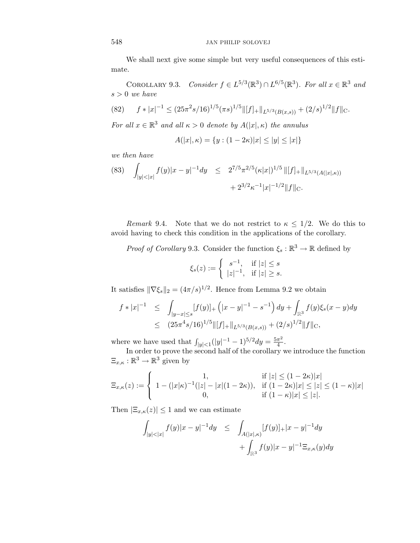We shall next give some simple but very useful consequences of this estimate.

COROLLARY 9.3. Consider  $f \in L^{5/3}(\mathbb{R}^3) \cap L^{6/5}(\mathbb{R}^3)$ . For all  $x \in \mathbb{R}^3$  and  $s > 0$  we have

(82) 
$$
f * |x|^{-1} \le (25\pi^2 s/16)^{1/5} (\pi s)^{1/5} ||[f]_+||_{L^{5/3}(B(x,s))} + (2/s)^{1/2} ||f||_{\mathcal{C}}.
$$

For all  $x \in \mathbb{R}^3$  and all  $\kappa > 0$  denote by  $A(|x|, \kappa)$  the annulus

$$
A(|x|, \kappa) = \{ y : (1 - 2\kappa)|x| \le |y| \le |x| \}
$$

we then have

(83) 
$$
\int_{|y|<|x|} f(y)|x-y|^{-1} dy \leq 2^{7/5} \pi^{2/5} (\kappa |x|)^{1/5} ||[f]_+||_{L^{5/3}(A(|x|,\kappa))} + 2^{3/2} \kappa^{-1} |x|^{-1/2} ||f||_{\mathcal{C}}.
$$

Remark 9.4. Note that we do not restrict to  $\kappa \leq 1/2$ . We do this to avoid having to check this condition in the applications of the corollary.

*Proof of Corollary* 9.3. Consider the function  $\xi_s : \mathbb{R}^3 \to \mathbb{R}$  defined by

$$
\xi_s(z) := \begin{cases} s^{-1}, & \text{if } |z| \le s \\ |z|^{-1}, & \text{if } |z| \ge s. \end{cases}
$$

It satisfies  $\|\nabla \xi_s\|_2 = (4\pi/s)^{1/2}$ . Hence from Lemma 9.2 we obtain

$$
f * |x|^{-1} \leq \int_{|y-x| \leq s} [f(y)]_+ \left( |x-y|^{-1} - s^{-1} \right) dy + \int_{\mathbb{R}^3} f(y) \xi_s(x-y) dy
$$
  

$$
\leq (25\pi^4 s/16)^{1/5} ||[f]_+||_{L^{5/3}(B(x,s))} + (2/s)^{1/2} ||f||_{C},
$$

where we have used that  $\int_{|y| < 1} (|y|^{-1} - 1)^{5/2} dy = \frac{5\pi^2}{4}$ .

In order to prove the second half of the corollary we introduce the function  $\Xi_{x,\kappa}: \mathbb{R}^3 \to \mathbb{R}^3$  given by

$$
\Xi_{x,\kappa}(z) := \begin{cases}\n1, & \text{if } |z| \le (1 - 2\kappa)|x| \\
1 - (|x|\kappa)^{-1}(|z| - |x|(1 - 2\kappa)), & \text{if } (1 - 2\kappa)|x| \le |z| \le (1 - \kappa)|x| \\
0, & \text{if } (1 - \kappa)|x| \le |z|. \n\end{cases}
$$

Then  $|\Xi_{x,\kappa}(z)| \leq 1$  and we can estimate

$$
\int_{|y|<|x|} f(y)|x-y|^{-1}dy \le \int_{A(|x|,\kappa)} [f(y)]_+|x-y|^{-1}dy \n+ \int_{\mathbb{R}^3} f(y)|x-y|^{-1} \Xi_{x,\kappa}(y)dy
$$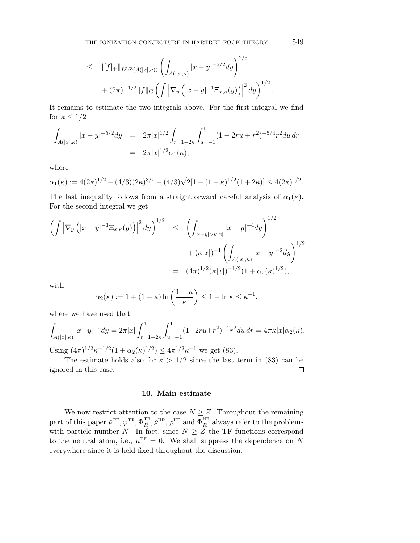$$
\leq \| [f]_+ \|_{L^{5/3}(A(|x|,\kappa))} \left( \int_{A(|x|,\kappa)} |x-y|^{-5/2} dy \right)^{2/5} + (2\pi)^{-1/2} \| f \|_{\mathcal{C}} \left( \int \left| \nabla_y \left( |x-y|^{-1} \Xi_{x,\kappa}(y) \right) \right|^2 dy \right)^{1/2}.
$$

It remains to estimate the two integrals above. For the first integral we find for  $\kappa \leq 1/2$ 

$$
\int_{A(|x|,\kappa)} |x-y|^{-5/2} dy = 2\pi |x|^{1/2} \int_{r=1-2\kappa}^{1} \int_{u=-1}^{1} (1 - 2ru + r^2)^{-5/4} r^2 du dr
$$
  
=  $2\pi |x|^{1/2} \alpha_1(\kappa),$ 

where

$$
\alpha_1(\kappa) := 4(2\kappa)^{1/2} - (4/3)(2\kappa)^{3/2} + (4/3)\sqrt{2}[1 - (1 - \kappa)^{1/2}(1 + 2\kappa)] \le 4(2\kappa)^{1/2}.
$$

The last inequality follows from a straightforward careful analysis of  $\alpha_1(\kappa)$ . For the second integral we get

$$
\left(\int \left|\nabla_y \left(|x-y|^{-1}\Xi_{x,\kappa}(y)\right)\right|^2 dy\right)^{1/2} \le \left(\int_{|x-y|>\kappa|x|} |x-y|^{-4}dy\right)^{1/2} \n+ (\kappa|x|)^{-1} \left(\int_{A(|x|,\kappa)} |x-y|^{-2}dy\right)^{1/2} \n= (4\pi)^{1/2} (\kappa|x|)^{-1/2} (1+\alpha_2(\kappa)^{1/2}),
$$

with

$$
\alpha_2(\kappa) := 1 + (1 - \kappa) \ln \left( \frac{1 - \kappa}{\kappa} \right) \le 1 - \ln \kappa \le \kappa^{-1},
$$

where we have used that

$$
\int_{A(|x|,\kappa)} |x-y|^{-2} dy = 2\pi |x| \int_{r=1-2\kappa}^1 \int_{u=-1}^1 (1-2ru+r^2)^{-1} r^2 du dr = 4\pi \kappa |x| \alpha_2(\kappa).
$$

Using  $(4\pi)^{1/2} \kappa^{-1/2} (1 + \alpha_2(\kappa)^{1/2}) \le 4\pi^{1/2} \kappa^{-1}$  we get (83).

The estimate holds also for  $\kappa > 1/2$  since the last term in (83) can be ignored in this case.  $\Box$ 

# **10. Main estimate**

We now restrict attention to the case  $N \geq Z$ . Throughout the remaining part of this paper  $\rho^{TF}, \varphi^{TF}, \Phi_R^{TF}, \rho^{HF}, \varphi^{HF}$  and  $\Phi_R^{HF}$  always refer to the problems with particle number N. In fact, since  $N \geq Z$  the TF functions correspond to the neutral atom, i.e.,  $\mu^{\text{TF}} = 0$ . We shall suppress the dependence on N everywhere since it is held fixed throughout the discussion.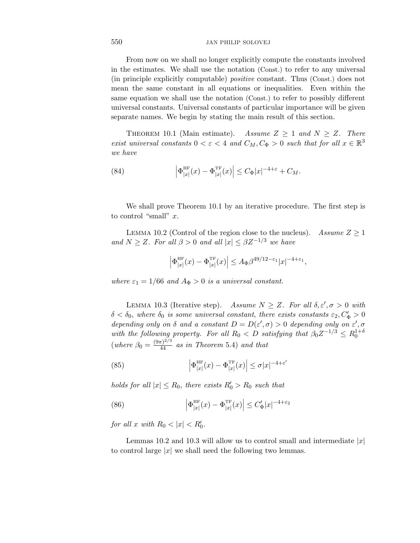From now on we shall no longer explicitly compute the constants involved in the estimates. We shall use the notation (Const.) to refer to any universal (in principle explicitly computable) positive constant. Thus (Const.) does not mean the same constant in all equations or inequalities. Even within the same equation we shall use the notation (Const.) to refer to possibly different universal constants. Universal constants of particular importance will be given separate names. We begin by stating the main result of this section.

THEOREM 10.1 (Main estimate). Assume  $Z \geq 1$  and  $N \geq Z$ . There exist universal constants  $0 < \varepsilon < 4$  and  $C_M, C_\Phi > 0$  such that for all  $x \in \mathbb{R}^3$ we have

(84) 
$$
\left| \Phi_{|x|}^{\text{HF}}(x) - \Phi_{|x|}^{\text{TF}}(x) \right| \leq C_{\Phi} |x|^{-4+\varepsilon} + C_M.
$$

We shall prove Theorem 10.1 by an iterative procedure. The first step is to control "small"  $x$ .

LEMMA 10.2 (Control of the region close to the nucleus). Assume  $Z \ge 1$ and  $N \geq Z$ . For all  $\beta > 0$  and all  $|x| \leq \beta Z^{-1/3}$  we have

$$
\left| \Phi_{|x|}^{\text{HF}}(x) - \Phi_{|x|}^{\text{TF}}(x) \right| \le A_{\Phi} \beta^{49/12 - \varepsilon_1} |x|^{-4 + \varepsilon_1},
$$

where  $\varepsilon_1 = 1/66$  and  $A_{\Phi} > 0$  is a universal constant.

LEMMA 10.3 (Iterative step). Assume  $N \geq Z$ . For all  $\delta, \varepsilon', \sigma > 0$  with  $\delta < \delta_0$ , where  $\delta_0$  is some universal constant, there exists constants  $\varepsilon_2, C'_\Phi > 0$ depending only on  $\delta$  and a constant  $D = D(\varepsilon', \sigma) > 0$  depending only on  $\varepsilon', \sigma$ with the following property. For all  $R_0 < D$  satisfying that  $\beta_0 Z^{-1/3} \leq R_0^{1+\delta}$ (where  $\beta_0 = \frac{(9\pi)^{2/3}}{44}$  as in Theorem 5.4) and that

(85) 
$$
\left| \Phi_{|x|}^{\text{HF}}(x) - \Phi_{|x|}^{\text{TF}}(x) \right| \leq \sigma |x|^{-4+\varepsilon'}
$$

holds for all  $|x| \le R_0$ , there exists  $R'_0 > R_0$  such that

(86) 
$$
\left| \Phi_{|x|}^{\text{HF}}(x) - \Phi_{|x|}^{\text{TF}}(x) \right| \leq C_{\Phi}^{\prime} |x|^{-4+\varepsilon_2}
$$

for all x with  $R_0 < |x| < R'_0$ .

Lemmas 10.2 and 10.3 will allow us to control small and intermediate  $|x|$ to control large  $|x|$  we shall need the following two lemmas.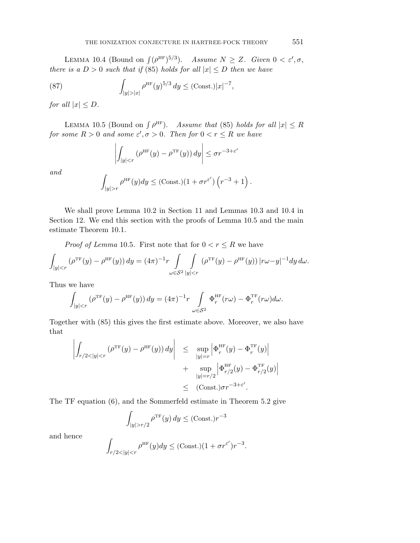LEMMA 10.4 (Bound on  $\int (\rho^{\text{HF}})^{5/3}$ ). Assume  $N \geq Z$ . Given  $0 < \varepsilon', \sigma$ , there is a  $D > 0$  such that if (85) holds for all  $|x| \le D$  then we have

(87) 
$$
\int_{|y|>|x|} \rho^{\text{HF}}(y)^{5/3} dy \leq (\text{Const.})|x|^{-7},
$$

for all  $|x| \leq D$ .

LEMMA 10.5 (Bound on  $\int \rho^{\text{HF}}$ ). Assume that (85) holds for all  $|x| \leq R$ for some  $R > 0$  and some  $\varepsilon', \sigma > 0$ . Then for  $0 < r \leq R$  we have

$$
\left| \int_{|y|< r} \left( \rho^{\text{HF}}(y) - \rho^{\text{TF}}(y) \right) dy \right| \leq \sigma r^{-3+\varepsilon'}
$$

 $and$ 

$$
\int_{|y|>r} \rho^{\text{HF}}(y) dy \leq (\text{Const.})(1+\sigma r^{\varepsilon'}) \left( r^{-3}+1 \right).
$$

We shall prove Lemma 10.2 in Section 11 and Lemmas 10.3 and 10.4 in Section 12. We end this section with the proofs of Lemma 10.5 and the main estimate Theorem 10.1.

*Proof of Lemma* 10.5. First note that for  $0 < r \leq R$  we have

$$
\int_{|y|
$$

Thus we have

$$
\int_{|y|< r} \left(\rho^{\rm TF}(y) - \rho^{\rm HF}(y)\right) dy = (4\pi)^{-1} r \int_{\omega \in S^2} \Phi_r^{\rm HF}(r\omega) - \Phi_r^{\rm TF}(r\omega) d\omega.
$$

Together with (85) this gives the first estimate above. Moreover, we also have that

$$
\left| \int_{r/2 < |y| < r} (\rho^{\text{TF}}(y) - \rho^{\text{HF}}(y)) dy \right| \le \sup_{|y|=r} \left| \Phi_r^{\text{HF}}(y) - \Phi_r^{\text{TF}}(y) \right|
$$
  
+ 
$$
\sup_{|y|=r/2} \left| \Phi_{r/2}^{\text{HF}}(y) - \Phi_{r/2}^{\text{TF}}(y) \right|
$$
  

$$
\le (\text{Const.}) \sigma r^{-3+\varepsilon'}.
$$

The TF equation (6), and the Sommerfeld estimate in Theorem 5.2 give

$$
\int_{|y|>r/2} \rho^{\rm TF}(y) \, dy \le (\text{Const.}) r^{-3}
$$

and hence

$$
\int_{r/2 < |y| < r} \rho^{\text{HF}}(y) dy \leq (\text{Const.})(1 + \sigma r^{\varepsilon'}) r^{-3}.
$$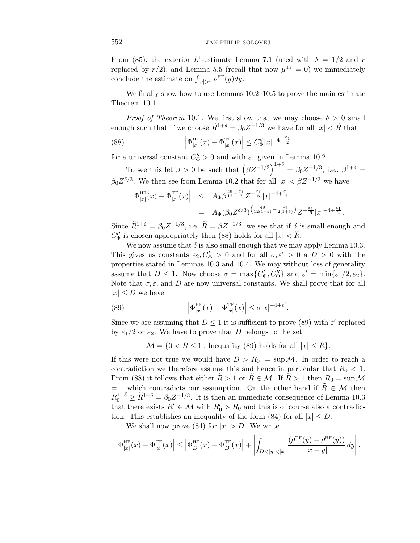From (85), the exterior  $L^1$ -estimate Lemma 7.1 (used with  $\lambda = 1/2$  and r replaced by  $r/2$ , and Lemma 5.5 (recall that now  $\mu^{\text{TF}} = 0$ ) we immediately conclude the estimate on  $\int_{|y|>r} \rho^{\text{HF}}(y) dy$ . 口

We finally show how to use Lemmas 10.2–10.5 to prove the main estimate Theorem 10.1.

*Proof of Theorem* 10.1. We first show that we may choose  $\delta > 0$  small enough such that if we choose  $\tilde{R}^{1+\delta} = \beta_0 Z^{-1/3}$  we have for all  $|x| < \tilde{R}$  that

(88) 
$$
\left| \Phi_{|x|}^{\text{HF}}(x) - \Phi_{|x|}^{\text{TF}}(x) \right| \leq C_{\Phi}'' |x|^{-4 + \frac{\varepsilon_1}{2}}
$$

for a universal constant  $C''_{\Phi} > 0$  and with  $\varepsilon_1$  given in Lemma 10.2.

To see this let  $\beta > 0$  be such that  $(\beta Z^{-1/3})^{1+\delta} = \beta_0 Z^{-1/3}$ , i.e.,  $\beta^{1+\delta} =$  $\beta_0 Z^{\delta/3}$ . We then see from Lemma 10.2 that for all  $|x| < \beta Z^{-1/3}$  we have

$$
\left| \Phi_{|x|}^{\text{HF}}(x) - \Phi_{|x|}^{\text{TF}}(x) \right| \leq A_{\Phi} \beta^{\frac{49}{12} - \frac{\varepsilon_1}{2}} Z^{-\frac{\varepsilon_1}{6}} |x|^{-4 + \frac{\varepsilon_1}{2}} = A_{\Phi} (\beta_0 Z^{\delta/3})^{\left(\frac{49}{12(1+\delta)} - \frac{\varepsilon_1}{2(1+\delta)}\right)} Z^{-\frac{\varepsilon_1}{6}} |x|^{-4 + \frac{\varepsilon_1}{2}}.
$$

Since  $\widetilde{R}^{1+\delta} = \beta_0 Z^{-1/3}$ , i.e.  $\widetilde{R} = \beta Z^{-1/3}$ , we see that if  $\delta$  is small enough and  $C''_{\Phi}$  is chosen appropriately then (88) holds for all  $|x| < R$ .

We now assume that  $\delta$  is also small enough that we may apply Lemma 10.3. This gives us constants  $\varepsilon_2, C'_\Phi > 0$  and for all  $\sigma, \varepsilon' > 0$  a  $D > 0$  with the properties stated in Lemmas 10.3 and 10.4. We may without loss of generality assume that  $D \leq 1$ . Now choose  $\sigma = \max\{C'_{\Phi}, C''_{\Phi}\}\$ and  $\varepsilon' = \min\{\varepsilon_1/2, \varepsilon_2\}.$ Note that  $\sigma, \varepsilon$ , and D are now universal constants. We shall prove that for all  $|x| \leq D$  we have

(89) 
$$
\left| \Phi_{|x|}^{\text{HF}}(x) - \Phi_{|x|}^{\text{TF}}(x) \right| \leq \sigma |x|^{-4+\varepsilon'}.
$$

Since we are assuming that  $D \leq 1$  it is sufficient to prove (89) with  $\varepsilon'$  replaced by  $\varepsilon_1/2$  or  $\varepsilon_2$ . We have to prove that D belongs to the set

 $\mathcal{M} = \{0 < R \leq 1 : \text{Inequality (89) holds for all } |x| \leq R\}.$ 

If this were not true we would have  $D > R_0 := \sup \mathcal{M}$ . In order to reach a contradiction we therefore assume this and hence in particular that  $R_0 < 1$ . From (88) it follows that either  $R > 1$  or  $R \in \mathcal{M}$ . If  $R > 1$  then  $R_0 = \sup \mathcal{M}$ = 1 which contradicts our assumption. On the other hand if  $\tilde{R} \in \mathcal{M}$  then  $R_0^{1+\delta} \ge \tilde{R}^{1+\delta} = \beta_0 Z^{-1/3}$ . It is then an immediate consequence of Lemma 10.3 that there exists  $R'_0 \in \mathcal{M}$  with  $R'_0 > R_0$  and this is of course also a contradiction. This establishes an inequality of the form (84) for all  $|x| \le D$ .

We shall now prove (84) for  $|x| > D$ . We write

$$
\left| \Phi_{|x|}^{\text{HF}}(x) - \Phi_{|x|}^{\text{TF}}(x) \right| \le \left| \Phi_D^{\text{HF}}(x) - \Phi_D^{\text{TF}}(x) \right| + \left| \int_{D < |y| < |x|} \frac{(\rho^{\text{TF}}(y) - \rho^{\text{HF}}(y))}{|x - y|} \, dy \right|.
$$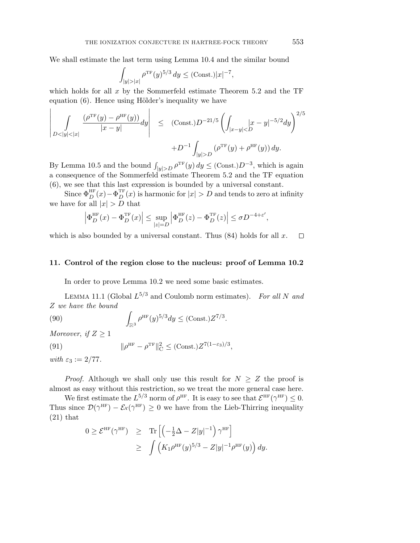We shall estimate the last term using Lemma 10.4 and the similar bound

$$
\int_{|y|>|x|} \rho^{\rm TF}(y)^{5/3} \, dy \leq (\text{Const.}) |x|^{-7},
$$

which holds for all  $x$  by the Sommerfeld estimate Theorem 5.2 and the TF equation  $(6)$ . Hence using Hölder's inequality we have

$$
\left| \int_{D < |y| < |x|} \frac{(\rho^{\text{TF}}(y) - \rho^{\text{HF}}(y))}{|x - y|} dy \right| \leq (\text{Const.}) D^{-21/5} \left( \int_{|x - y| < D} |x - y|^{-5/2} dy \right)^{2/5} + D^{-1} \int_{|y| > D} (\rho^{\text{TF}}(y) + \rho^{\text{HF}}(y)) dy.
$$

By Lemma 10.5 and the bound  $\int_{|y|>D} \rho^{TF}(y) dy \leq$  (Const.) $D^{-3}$ , which is again a consequence of the Sommerfeld estimate Theorem 5.2 and the TF equation (6), we see that this last expression is bounded by a universal constant.

Since  $\Phi_D^{\text{HF}}(x) - \Phi_D^{\text{TF}}(x)$  is harmonic for  $|x| > D$  and tends to zero at infinity we have for all  $|x| > D$  that

$$
\left|\Phi^{\rm HF}_D(x) - \Phi^{\rm TF}_D(x)\right| \leq \sup_{|z|=D}\left|\Phi^{\rm HF}_D(z) - \Phi^{\rm TF}_D(z)\right| \leq \sigma D^{-4+\varepsilon'},
$$

which is also bounded by a universal constant. Thus  $(84)$  holds for all x.  $\Box$ 

### **11. Control of the region close to the nucleus: proof of Lemma 10.2**

In order to prove Lemma 10.2 we need some basic estimates.

LEMMA 11.1 (Global  $L^{5/3}$  and Coulomb norm estimates). For all N and Z we have the bound

(90) 
$$
\int_{\mathbb{R}^3} \rho^{\text{HF}}(y)^{5/3} dy \leq (\text{Const.})Z^{7/3}.
$$

Moreover, if  $Z \geq 1$ 

(91) 
$$
\|\rho^{\text{HF}} - \rho^{\text{TF}}\|_{\text{C}}^2 \leq (\text{Const.})Z^{7(1-\varepsilon_3)/3},
$$

with  $\varepsilon_3 := 2/77$ .

*Proof.* Although we shall only use this result for  $N \geq Z$  the proof is almost as easy without this restriction, so we treat the more general case here.

We first estimate the  $L^{5/3}$  norm of  $\rho^{\text{HF}}$ . It is easy to see that  $\mathcal{E}^{\text{HF}}(\gamma^{\text{HF}}) \leq 0$ . Thus since  $\mathcal{D}(\gamma^{\text{HF}}) - \mathcal{E}_{\mathcal{X}}(\gamma^{\text{HF}}) \geq 0$  we have from the Lieb-Thirring inequality  $(21)$  that

$$
0 \geq \mathcal{E}^{\text{HF}}(\gamma^{\text{HF}}) \geq \text{Tr}\left[\left(-\frac{1}{2}\Delta - Z|y|^{-1}\right)\gamma^{\text{HF}}\right] \geq \int \left(K_1\rho^{\text{HF}}(y)^{5/3} - Z|y|^{-1}\rho^{\text{HF}}(y)\right) dy.
$$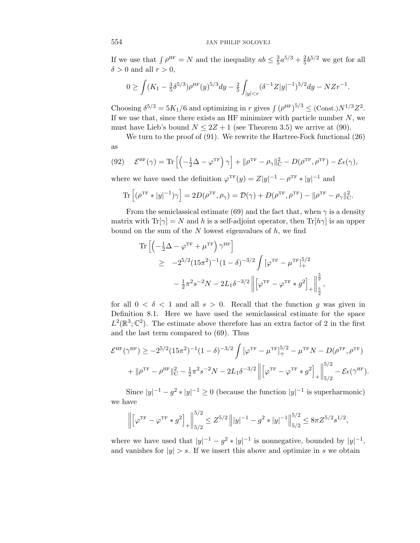If we use that  $\int \rho^{\text{HF}} = N$  and the inequality  $ab \leq \frac{3}{5}a^{5/3} + \frac{2}{5}b^{5/2}$  we get for all  $\delta > 0$  and all  $r > 0$ ,

$$
0 \ge \int (K_1 - \frac{3}{5} \delta^{5/3}) \rho^{\text{HF}}(y)^{5/3} dy - \frac{2}{5} \int_{|y| < r} (\delta^{-1} Z |y|^{-1})^{5/2} dy - N Z r^{-1}.
$$

Choosing  $\delta^{5/3} = 5K_1/6$  and optimizing in r gives  $\int (\rho^{\text{HF}})^{5/3} \leq (\text{Const.})N^{1/3}Z^2$ . If we use that, since there exists an HF minimizer with particle number  $N$ , we must have Lieb's bound  $N \leq 2Z + 1$  (see Theorem 3.5) we arrive at (90).

We turn to the proof of (91). We rewrite the Hartree-Fock functional (26) as

(92) 
$$
\mathcal{E}^{\text{HF}}(\gamma) = \text{Tr}\left[\left(-\frac{1}{2}\Delta - \varphi^{\text{TF}}\right)\gamma\right] + \|\rho^{\text{TF}} - \rho_{\gamma}\|_{\text{C}}^2 - D(\rho^{\text{TF}}, \rho^{\text{TF}}) - \mathcal{E}_{\mathcal{X}}(\gamma),
$$

where we have used the definition  $\varphi^{\text{TF}}(y) = Z|y|^{-1} - \rho^{\text{TF}} * |y|^{-1}$  and

$$
\mathrm{Tr}\left[ (\rho^{\mathrm{TF}} * |y|^{-1})\gamma \right] = 2D(\rho^{\mathrm{TF}}, \rho_{\gamma}) = \mathcal{D}(\gamma) + D(\rho^{\mathrm{TF}}, \rho^{\mathrm{TF}}) - ||\rho^{\mathrm{TF}} - \rho_{\gamma}||_{\mathcal{C}}^2.
$$

From the semiclassical estimate (69) and the fact that, when  $\gamma$  is a density matrix with  $Tr[\gamma] = N$  and h is a self-adjoint operator, then  $Tr[h\gamma]$  is an upper bound on the sum of the  $N$  lowest eigenvalues of  $h$ , we find

$$
\begin{split} \operatorname{Tr}\left[\left(-\tfrac{1}{2}\Delta-\varphi^{\mathrm{TF}}+\mu^{\mathrm{TF}}\right)\gamma^{\mathrm{HF}}\right] \\ \geq \quad & -2^{5/2}(15\pi^2)^{-1}(1-\delta)^{-3/2}\int\left[\varphi^{\mathrm{TF}}-\mu^{\mathrm{TF}}\right]_{+}^{5/2} \\ & -\tfrac{1}{2}\pi^2s^{-2}N-2L_1\delta^{-3/2}\left\|\left[\varphi^{\mathrm{TF}}-\varphi^{\mathrm{TF}}*g^2\right]_{+}\right\|_{\frac{5}{2}}^{\frac{5}{2}}, \end{split}
$$

for all  $0 < \delta < 1$  and all  $s > 0$ . Recall that the function g was given in Definition 8.1. Here we have used the semiclassical estimate for the space  $L^2(\mathbb{R}^3;\mathbb{C}^2)$ . The estimate above therefore has an extra factor of 2 in the first and the last term compared to (69). Thus

$$
\mathcal{E}^{\text{HF}}(\gamma^{\text{HF}}) \ge -2^{5/2} (15\pi^2)^{-1} (1-\delta)^{-3/2} \int [\varphi^{\text{TF}} - \mu^{\text{TF}}]_{+}^{5/2} - \mu^{\text{TF}} N - D(\rho^{\text{TF}}, \rho^{\text{TF}})
$$

$$
+ \|\rho^{\text{TF}} - \rho^{\text{HF}}\|_{\mathcal{C}}^{2} - \frac{1}{2}\pi^2 s^{-2} N - 2L_1 \delta^{-3/2} \left\| \left[ \varphi^{\text{TF}} - \varphi^{\text{TF}} * g^2 \right]_{+} \right\|_{5/2}^{5/2} - \mathcal{E} \chi(\gamma^{\text{HF}}).
$$

Since  $|y|^{-1} - g^2 * |y|^{-1} \ge 0$  (because the function  $|y|^{-1}$  is superharmonic) we have

$$
\left\| \left[ \varphi^{\mathrm{TF}} - \varphi^{\mathrm{TF}} * g^2 \right]_+ \right\|_{5/2}^{5/2} \le Z^{5/2} \left\| |y|^{-1} - g^2 * |y|^{-1} \right\|_{5/2}^{5/2} \le 8\pi Z^{5/2} s^{1/2},
$$

where we have used that  $|y|^{-1} - g^2 * |y|^{-1}$  is nonnegative, bounded by  $|y|^{-1}$ , and vanishes for  $|y| > s$ . If we insert this above and optimize in s we obtain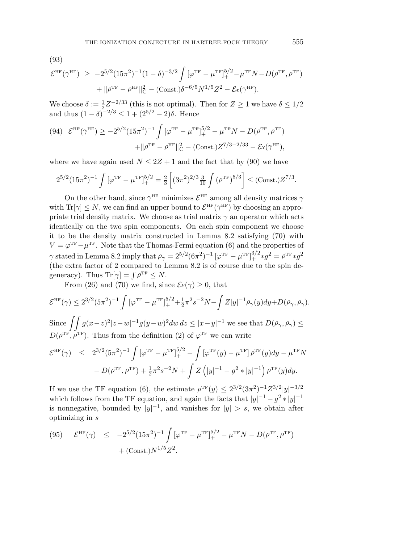(93)

$$
\mathcal{E}^{\text{HF}}(\gamma^{\text{HF}}) \ge -2^{5/2} (15\pi^2)^{-1} (1-\delta)^{-3/2} \int [\varphi^{\text{TF}} - \mu^{\text{TF}}]_{+}^{5/2} - \mu^{\text{TF}} N - D(\rho^{\text{TF}}, \rho^{\text{TF}})
$$

$$
+ \|\rho^{\text{TF}} - \rho^{\text{HF}}\|_{C}^{2} - (\text{Const.})\delta^{-6/5} N^{1/5} Z^{2} - \mathcal{E}x(\gamma^{\text{HF}}).
$$

We choose  $\delta := \frac{1}{2}Z^{-2/33}$  (this is not optimal). Then for  $Z \ge 1$  we have  $\delta \le 1/2$ and thus  $(1 - \delta)^{-2/3} \le 1 + (2^{5/2} - 2)\delta$ . Hence

$$
(94) \quad \mathcal{E}^{\text{HF}}(\gamma^{\text{HF}}) \ge -2^{5/2} (15\pi^2)^{-1} \int [\varphi^{\text{TF}} - \mu^{\text{TF}}]_{+}^{5/2} - \mu^{\text{TF}} N - D(\rho^{\text{TF}}, \rho^{\text{TF}}) + ||\rho^{\text{TF}} - \rho^{\text{HF}}||_{C}^{2} - (\text{Const.})Z^{7/3 - 2/33} - \mathcal{E}_{\mathcal{X}}(\gamma^{\text{HF}}),
$$

where we have again used  $N \leq 2Z + 1$  and the fact that by (90) we have

$$
2^{5/2} (15\pi^2)^{-1} \int [\varphi^{\rm TF} - \mu^{\rm TF}]_+^{5/2} = \frac{2}{3} \left[ (3\pi^2)^{2/3} \frac{3}{10} \int (\rho^{\rm TF})^{5/3} \right] \leq (\text{Const.}) Z^{7/3}.
$$

On the other hand, since  $\gamma^{\text{HF}}$  minimizes  $\mathcal{E}^{\text{HF}}$  among all density matrices  $\gamma$ with  $Tr[\gamma] \leq N$ , we can find an upper bound to  $\mathcal{E}^{\text{HF}}(\gamma^{\text{HF}})$  by choosing an appropriate trial density matrix. We choose as trial matrix  $\gamma$  an operator which acts identically on the two spin components. On each spin component we choose it to be the density matrix constructed in Lemma 8.2 satisfying (70) with  $V = \varphi^{TF} - \mu^{TF}$ . Note that the Thomas-Fermi equation (6) and the properties of  $\gamma$  stated in Lemma 8.2 imply that  $\rho_\gamma = 2^{5/2} (6\pi^2)^{-1} \left[ \varphi^{\rm TF} - \mu^{\rm TF} \right]_+^{3/2} * g^2 = \rho^{\rm TF} * g^2$ (the extra factor of 2 compared to Lemma 8.2 is of course due to the spin degeneracy). Thus  $\text{Tr}[\gamma] = \int \rho^{\text{TF}} \leq N$ .

From (26) and (70) we find, since  $\mathcal{E}_{\chi}(\gamma) \geq 0$ , that

$$
\mathcal{E}^{\text{HF}}(\gamma) \le 2^{3/2} (5\pi^2)^{-1} \int \left[ \varphi^{\text{TF}} - \mu^{\text{TF}} \right]_+^{5/2} + \frac{1}{2} \pi^2 s^{-2} N - \int Z |y|^{-1} \rho_\gamma(y) dy + D(\rho_\gamma, \rho_\gamma).
$$
  
Since  $\int \int_R g(x, z)^{2|z|} dx |y|^{-1} g(y, z) dy dx \le |x|^{-1}$  we see that  $D(\rho, \rho)$ 

Since  $\int\int g(x-z)^2|z-w|^{-1}g(y-w)^2dw\,dz \le |x-y|^{-1}$  we see that  $D(\rho_\gamma,\rho_\gamma) \le$  $D(\rho^{\text{TF}}, \rho^{\text{TF}})$ . Thus from the definition (2) of  $\varphi^{\text{TF}}$  we can write

$$
\mathcal{E}^{\text{HF}}(\gamma) \leq 2^{3/2} (5\pi^2)^{-1} \int [\varphi^{\text{TF}} - \mu^{\text{TF}}]_{+}^{5/2} - \int [\varphi^{\text{TF}}(y) - \mu^{\text{TF}}] \rho^{\text{TF}}(y) dy - \mu^{\text{TF}} N
$$
  
-  $D(\rho^{\text{TF}}, \rho^{\text{TF}}) + \frac{1}{2} \pi^2 s^{-2} N + \int Z (|y|^{-1} - g^2 * |y|^{-1}) \rho^{\text{TF}}(y) dy.$ 

If we use the TF equation (6), the estimate  $\rho^{TF}(y) \leq 2^{3/2} (3\pi^2)^{-1} Z^{3/2} |y|^{-3/2}$ which follows from the TF equation, and again the facts that  $|y|^{-1} - g^2 * |y|^{-1}$ is nonnegative, bounded by  $|y|^{-1}$ , and vanishes for  $|y| > s$ , we obtain after optimizing in s

(95) 
$$
\mathcal{E}^{\text{HF}}(\gamma) \leq -2^{5/2} (15\pi^2)^{-1} \int [\varphi^{\text{TF}} - \mu^{\text{TF}}]_+^{5/2} - \mu^{\text{TF}} N - D(\rho^{\text{TF}}, \rho^{\text{TF}}) + (\text{Const.}) N^{1/5} Z^2.
$$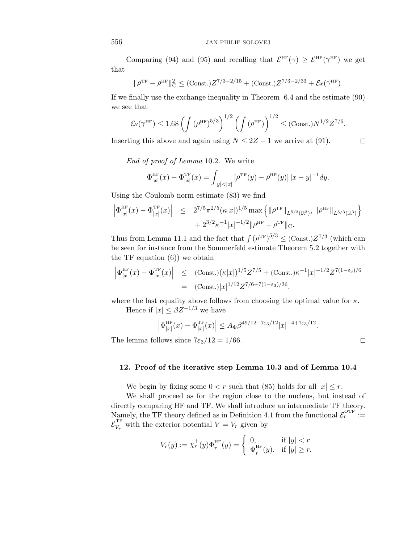Comparing (94) and (95) and recalling that  $\mathcal{E}^{\text{HF}}(\gamma) \geq \mathcal{E}^{\text{HF}}(\gamma^{\text{HF}})$  we get that

$$
\|\rho^{\rm TF} - \rho^{\rm HF}\|_{\rm C}^2 \leq (\text{Const.})Z^{7/3 - 2/15} + (\text{Const.})Z^{7/3 - 2/33} + \mathcal{E}_X(\gamma^{\rm HF}).
$$

If we finally use the exchange inequality in Theorem 6.4 and the estimate (90) we see that

$$
\mathcal{E}_{\mathcal{X}}(\gamma^{\text{HF}}) \le 1.68 \left( \int (\rho^{\text{HF}})^{5/3} \right)^{1/2} \left( \int (\rho^{\text{HF}}) \right)^{1/2} \le (\text{Const.}) N^{1/2} Z^{7/6}.
$$

 $\Box$ 

 $\Box$ 

Inserting this above and again using  $N \leq 2Z + 1$  we arrive at (91).

End of proof of Lemma 10.2. We write

$$
\Phi_{|x|}^{\text{HF}}(x) - \Phi_{|x|}^{\text{TF}}(x) = \int_{|y| < |x|} \left[ \rho^{\text{TF}}(y) - \rho^{\text{HF}}(y) \right] |x - y|^{-1} dy.
$$

Using the Coulomb norm estimate (83) we find

$$
\left| \Phi_{|x|}^{\text{HF}}(x) - \Phi_{|x|}^{\text{TF}}(x) \right| \leq 2^{7/5} \pi^{2/5} (\kappa |x|)^{1/5} \max \left\{ \|\rho^{\text{TF}}\|_{L^{5/3}(\mathbb{R}^3)}, \|\rho^{\text{HF}}\|_{L^{5/3}(\mathbb{R}^3)} \right\} + 2^{3/2} \kappa^{-1} |x|^{-1/2} \|\rho^{\text{HF}} - \rho^{\text{TF}}\|_{C}.
$$

Thus from Lemma 11.1 and the fact that  $\int (\rho^{\text{TF}})^{5/3} \leq (\text{Const.})Z^{7/3}$  (which can be seen for instance from the Sommerfeld estimate Theorem 5.2 together with the TF equation (6)) we obtain

$$
\left| \Phi_{|x|}^{\text{HF}}(x) - \Phi_{|x|}^{\text{TF}}(x) \right| \leq (\text{Const.})(\kappa |x|)^{1/5} Z^{7/5} + (\text{Const.})\kappa^{-1} |x|^{-1/2} Z^{7(1-\varepsilon_3)/6}
$$
  
= (\text{Const.})|x|^{1/12} Z^{7/6+7(1-\varepsilon\_3)/36},

where the last equality above follows from choosing the optimal value for  $\kappa$ . Hence if  $|x| \leq \beta Z^{-1/3}$  we have

$$
\left| \Phi_{|x|}^{\text{HF}}(x) - \Phi_{|x|}^{\text{TF}}(x) \right| \le A_{\Phi} \beta^{49/12 - 7\varepsilon_3/12} |x|^{-4 + 7\varepsilon_3/12}.
$$

The lemma follows since  $7\varepsilon_3/12=1/66$ .

#### **12. Proof of the iterative step Lemma 10.3 and of Lemma 10.4**

We begin by fixing some  $0 < r$  such that (85) holds for all  $|x| \leq r$ .

We shall proceed as for the region close to the nucleus, but instead of directly comparing HF and TF. We shall introduce an intermediate TF theory. Namely, the TF theory defined as in Definition 4.1 from the functional  $\mathcal{E}_r^{\text{OTF}} :=$  $\mathcal{E}_{V_r}^{\text{TF}}$  with the exterior potential  $V = V_r$  given by

$$
V_r(y) := \chi_r^+(y) \Phi_r^{\text{HF}}(y) = \begin{cases} 0, & \text{if } |y| < r \\ \Phi_r^{\text{HF}}(y), & \text{if } |y| \ge r. \end{cases}
$$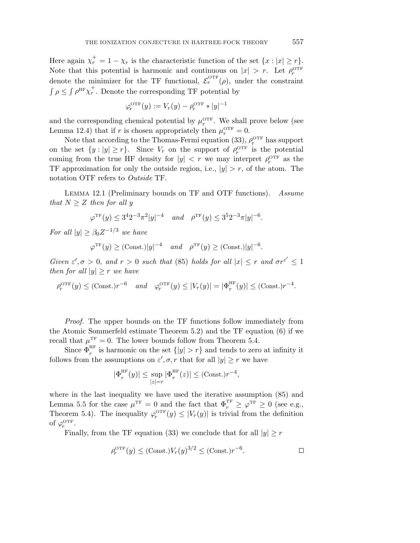Here again  $\chi_r^+ = 1 - \chi_r$  is the characteristic function of the set  $\{x : |x| \ge r\}$ . Note that this potential is harmonic and continuous on  $|x| > r$ . Let  $\rho_r^{\text{OTF}}$ denote the minimizer for the TF functional,  $\mathcal{E}_r^{\text{OTF}}(\rho)$ , under the constraint  $\int \rho \leq \int \rho^{\text{HF}} \chi_r^+$ . Denote the corresponding TF potential by

$$
\varphi_r^{\mathrm{OFF}}(y):=V_r(y)-\rho_r^{\mathrm{OFF}}*|y|^{-1}
$$

and the corresponding chemical potential by  $\mu_r^{\text{OTF}}$ . We shall prove below (see Lemma 12.4) that if r is chosen appropriately then  $\mu_r^{\text{OTF}} = 0$ .

Note that according to the Thomas-Fermi equation (33),  $\rho_r^{\text{OFF}}$  has support on the set  $\{y : |y| \ge r\}$ . Since  $V_r$  on the support of  $\rho_r^{\text{OTF}}$  is the potential coming from the true HF density for  $|y| < r$  we may interpret  $\rho_r^{\text{OTF}}$  as the TF approximation for only the outside region, i.e.,  $|y| > r$ , of the atom. The notation OTF refers to Outside TF.

LEMMA 12.1 (Preliminary bounds on TF and OTF functions). Assume that  $N \geq Z$  then for all y

$$
\varphi^{\text{TF}}(y) \le 3^4 2^{-3} \pi^2 |y|^{-4}
$$
 and  $\rho^{\text{TF}}(y) \le 3^5 2^{-3} \pi |y|^{-6}$ .

For all  $|y| \geq \beta_0 Z^{-1/3}$  we have

$$
\varphi^{\rm TF}(y) \geq (\text{Const.})|y|^{-4}
$$
 and  $\rho^{\rm TF}(y) \geq (\text{Const.})|y|^{-6}$ .

Given  $\varepsilon', \sigma > 0$ , and  $r > 0$  such that (85) holds for all  $|x| \leq r$  and  $\sigma r^{\varepsilon'} \leq 1$ then for all  $|y| \geq r$  we have

$$
\rho_r^{\text{OTF}}(y) \le (\text{Const.})r^{-6} \quad and \quad \varphi_r^{\text{OTF}}(y) \le |V_r(y)| = |\Phi_r^{\text{HF}}(y)| \le (\text{Const.})r^{-4}.
$$

Proof. The upper bounds on the TF functions follow immediately from the Atomic Sommerfeld estimate Theorem 5.2) and the TF equation (6) if we recall that  $\mu^{\text{TF}} = 0$ . The lower bounds follow from Theorem 5.4.

Since  $\Phi_r^{\text{HF}}$  is harmonic on the set  $\{|y| > r\}$  and tends to zero at infinity it follows from the assumptions on  $\varepsilon', \sigma, r$  that for all  $|y| \geq r$  we have

$$
|\Phi_r^{\rm HF}(y)| \leq \sup_{|z|=r} |\Phi_r^{\rm HF}(z)| \leq (\text{Const.}) r^{-4},
$$

where in the last inequality we have used the iterative assumption (85) and Lemma 5.5 for the case  $\mu^{\text{TF}} = 0$  and the fact that  $\Phi_r^{\text{TF}} \geq \varphi^{\text{TF}} \geq 0$  (see e.g., Theorem 5.4). The inequality  $\varphi_r^{\text{OTF}}(y) \leq |V_r(y)|$  is trivial from the definition of  $\varphi_r^{\text{OTF}}$ .

Finally, from the TF equation (33) we conclude that for all  $|y| \geq r$ 

$$
\rho_r^{\text{OTF}}(y) \le (\text{Const.})V_r(y)^{3/2} \le (\text{Const.})r^{-6}.
$$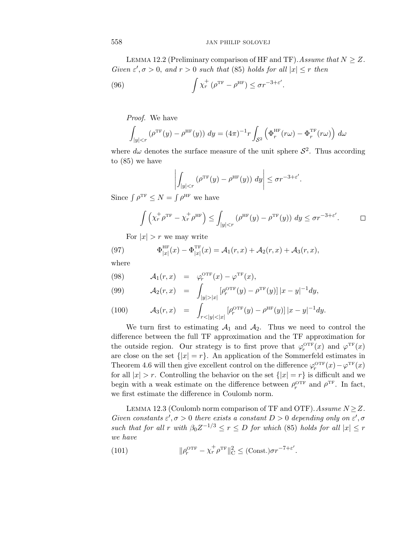LEMMA 12.2 (Preliminary comparison of HF and TF). Assume that  $N \geq Z$ . Given  $\varepsilon', \sigma > 0$ , and  $r > 0$  such that (85) holds for all  $|x| \leq r$  then

(96) 
$$
\int \chi_r^+ \left( \rho^{\rm TF} - \rho^{\rm HF} \right) \leq \sigma r^{-3+\epsilon'}.
$$

Proof. We have

$$
\int_{|y|< r} (\rho^{\text{TF}}(y) - \rho^{\text{HF}}(y)) dy = (4\pi)^{-1} r \int_{S^2} \left( \Phi_r^{\text{HF}}(r\omega) - \Phi_r^{\text{TF}}(r\omega) \right) d\omega
$$

where  $d\omega$  denotes the surface measure of the unit sphere  $S^2$ . Thus according to (85) we have

$$
\left| \int_{|y|< r} \left( \rho^{\rm TF}(y) - \rho^{\rm HF}(y) \right) \, dy \right| \leq \sigma r^{-3+\varepsilon'}.
$$

Since  $\int \rho^{TF} \leq N = \int \rho^{HF}$  we have

$$
\int \left( \chi_r^+ \rho^{TF} - \chi_r^+ \rho^{HF} \right) \le \int_{|y| < r} \left( \rho^{HF}(y) - \rho^{TF}(y) \right) dy \le \sigma r^{-3 + \varepsilon'}.
$$

For  $|x| > r$  we may write

(97) 
$$
\Phi_{|x|}^{\text{HF}}(x) - \Phi_{|x|}^{\text{TF}}(x) = \mathcal{A}_1(r, x) + \mathcal{A}_2(r, x) + \mathcal{A}_3(r, x),
$$

where

(98) 
$$
\mathcal{A}_1(r,x) = \varphi_r^{\text{OFF}}(x) - \varphi^{\text{TF}}(x),
$$

(99) 
$$
\mathcal{A}_2(r,x) = \int_{|y|>|x|} [\rho_r^{\text{OTE}}(y) - \rho^{\text{TF}}(y)] |x-y|^{-1} dy,
$$

(100) 
$$
\mathcal{A}_3(r,x) = \int_{r<|y|<|x|} [\rho_r^{\text{OTF}}(y) - \rho^{\text{HF}}(y)] |x-y|^{-1} dy.
$$

We turn first to estimating  $A_1$  and  $A_2$ . Thus we need to control the difference between the full TF approximation and the TF approximation for the outside region. Our strategy is to first prove that  $\varphi_r^{\text{OFF}}(x)$  and  $\varphi^{\text{TF}}(x)$ are close on the set  $\{|x|=r\}$ . An application of the Sommerfeld estimates in Theorem 4.6 will then give excellent control on the difference  $\varphi_r^{\text{OFF}}(x) - \varphi^{\text{TF}}(x)$ for all  $|x| > r$ . Controlling the behavior on the set  $\{|x| = r\}$  is difficult and we begin with a weak estimate on the difference between  $\rho_r^{\text{OFF}}$  and  $\rho^{\text{TF}}$ . In fact, we first estimate the difference in Coulomb norm.

LEMMA 12.3 (Coulomb norm comparison of TF and OTF). Assume  $N \geq Z$ . Given constants  $\varepsilon', \sigma > 0$  there exists a constant  $D > 0$  depending only on  $\varepsilon', \sigma$ such that for all r with  $\beta_0 Z^{-1/3} \le r \le D$  for which (85) holds for all  $|x| \le r$ we have

(101) 
$$
\|\rho_r^{\text{OFF}} - \chi_r^+ \rho^{\text{TF}}\|_{\text{C}}^2 \leq (\text{Const.}) \sigma r^{-7+\varepsilon'}.
$$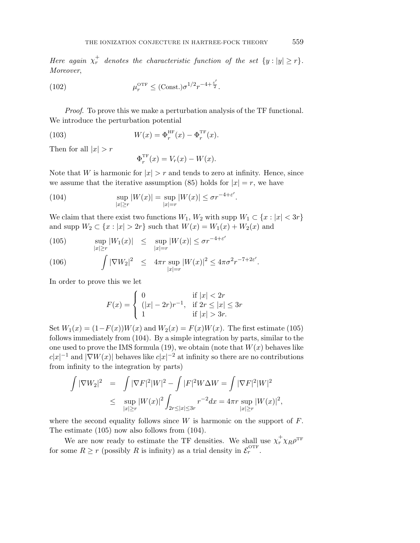Here again  $\chi_r^+$  denotes the characteristic function of the set  $\{y : |y| \ge r\}$ . Moreover,

(102) 
$$
\mu_r^{\text{OTF}} \leq (\text{Const.})\sigma^{1/2}r^{-4+\frac{\varepsilon'}{2}}.
$$

Proof. To prove this we make a perturbation analysis of the TF functional. We introduce the perturbation potential

(103) 
$$
W(x) = \Phi_r^{\text{HF}}(x) - \Phi_r^{\text{TF}}(x).
$$

Then for all  $|x| > r$ 

$$
\Phi_r^{\rm TF}(x) = V_r(x) - W(x).
$$

Note that W is harmonic for  $|x| > r$  and tends to zero at infinity. Hence, since we assume that the iterative assumption (85) holds for  $|x| = r$ , we have

.

(104) 
$$
\sup_{|x| \ge r} |W(x)| = \sup_{|x|=r} |W(x)| \le \sigma r^{-4+\varepsilon'}
$$

We claim that there exist two functions  $W_1, W_2$  with supp  $W_1 \subset \{x : |x| < 3r\}$ and supp  $W_2 \subset \{x : |x| > 2r\}$  such that  $W(x) = W_1(x) + W_2(x)$  and

(105) 
$$
\sup_{|x| \ge r} |W_1(x)| \le \sup_{|x|=r} |W(x)| \le \sigma r^{-4+\varepsilon'}
$$

(106) 
$$
\int |\nabla W_2|^2 \leq 4\pi r \sup_{|x|=r} |W(x)|^2 \leq 4\pi \sigma^2 r^{-7+2\varepsilon'}.
$$

In order to prove this we let

$$
F(x) = \begin{cases} 0 & \text{if } |x| < 2r \\ (|x| - 2r)r^{-1}, & \text{if } 2r \le |x| \le 3r \\ 1 & \text{if } |x| > 3r. \end{cases}
$$

Set  $W_1(x) = (1 - F(x))W(x)$  and  $W_2(x) = F(x)W(x)$ . The first estimate (105) follows immediately from (104). By a simple integration by parts, similar to the one used to prove the IMS formula (19), we obtain (note that  $W(x)$  behaves like  $c|x|^{-1}$  and  $|\nabla W(x)|$  behaves like  $c|x|^{-2}$  at infinity so there are no contributions from infinity to the integration by parts)

$$
\int |\nabla W_2|^2 = \int |\nabla F|^2 |W|^2 - \int |F|^2 W \Delta W = \int |\nabla F|^2 |W|^2
$$
  
\n
$$
\leq \sup_{|x| \geq r} |W(x)|^2 \int_{2r \leq |x| \leq 3r} r^{-2} dx = 4\pi r \sup_{|x| \geq r} |W(x)|^2,
$$

where the second equality follows since  $W$  is harmonic on the support of  $F$ . The estimate (105) now also follows from (104).

We are now ready to estimate the TF densities. We shall use  $\chi^+_r \chi_R \rho^{\text{TF}}$ for some  $R \ge r$  (possibly R is infinity) as a trial density in  $\mathcal{E}_r^{\text{OTF}}$ .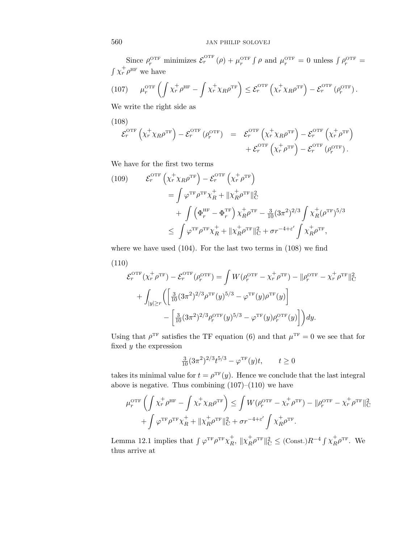Since  $\rho_r^{\text{OTF}}$  minimizes  $\mathcal{E}_r^{\text{OTF}}(\rho) + \mu_r^{\text{OTF}} \int \rho$  and  $\mu_r^{\text{OTF}} = 0$  unless  $\int \rho_r^{\text{OTF}} =$  $\int \chi_r^+ \rho^{\text{HF}}$  we have

(107) 
$$
\mu_r^{\text{OTF}} \left( \int \chi_r^+ \rho^{\text{HF}} - \int \chi_r^+ \chi_R \rho^{\text{TF}} \right) \leq \mathcal{E}_r^{\text{OTF}} \left( \chi_r^+ \chi_R \rho^{\text{TF}} \right) - \mathcal{E}_r^{\text{OTF}} \left( \rho_r^{\text{OTF}} \right).
$$

We write the right side as

(108)  
\n
$$
\mathcal{E}_r^{\text{OTF}}\left(\chi_r^+ \chi_R \rho^{\text{TF}}\right) - \mathcal{E}_r^{\text{OTF}}\left(\rho_r^{\text{OTF}}\right) = \mathcal{E}_r^{\text{OTF}}\left(\chi_r^+ \chi_R \rho^{\text{TF}}\right) - \mathcal{E}_r^{\text{OTF}}\left(\chi_r^+ \rho^{\text{TF}}\right) + \mathcal{E}_r^{\text{OTF}}\left(\chi_r^+ \rho^{\text{TF}}\right) - \mathcal{E}_r^{\text{OTF}}\left(\rho_r^{\text{OTF}}\right).
$$

We have for the first two terms

(109) 
$$
\mathcal{E}_r^{\text{OFF}} \left( \chi_r^+ \chi_R \rho^{\text{TF}} \right) - \mathcal{E}_r^{\text{OFF}} \left( \chi_r^+ \rho^{\text{TF}} \right)
$$
  
\n
$$
= \int \varphi^{\text{TF}} \rho^{\text{TF}} \chi_R^+ + \|\chi_R^+ \rho^{\text{TF}}\|_{\text{C}}^2
$$
  
\n
$$
+ \int \left( \Phi_r^{\text{HF}} - \Phi_r^{\text{TF}} \right) \chi_R^+ \rho^{\text{TF}} - \frac{3}{10} (3\pi^2)^{2/3} \int \chi_R^+ (\rho^{\text{TF}})^{5/3}
$$
  
\n
$$
\leq \int \varphi^{\text{TF}} \rho^{\text{TF}} \chi_R^+ + \|\chi_R^+ \rho^{\text{TF}}\|_{\text{C}}^2 + \sigma r^{-4+\varepsilon'} \int \chi_R^+ \rho^{\text{TF}},
$$

where we have used (104). For the last two terms in (108) we find

(110)  
\n
$$
\mathcal{E}_r^{\text{OTF}}(\chi_r^+ \rho^{\text{TF}}) - \mathcal{E}_r^{\text{OTF}}(\rho_r^{\text{OTF}}) = \int W(\rho_r^{\text{OTF}} - \chi_r^+ \rho^{\text{TF}}) - ||\rho_r^{\text{OTF}} - \chi_r^+ \rho^{\text{TF}}||_C^2
$$
\n
$$
+ \int_{|y| \ge r} \left( \left[ \frac{3}{10} (3\pi^2)^{2/3} \rho^{\text{TF}}(y)^{5/3} - \varphi^{\text{TF}}(y) \rho^{\text{TF}}(y) \right] - \left[ \frac{3}{10} (3\pi^2)^{2/3} \rho_r^{\text{OTF}}(y)^{5/3} - \varphi^{\text{TF}}(y) \rho_r^{\text{OTF}}(y) \right] \right) dy.
$$

Using that  $\rho^{\text{TF}}$  satisfies the TF equation (6) and that  $\mu^{\text{TF}} = 0$  we see that for fixed  $\boldsymbol{y}$  the expression

$$
\frac{3}{10}(3\pi^2)^{2/3}t^{5/3} - \varphi^{\rm TF}(y)t, \qquad t \ge 0
$$

takes its minimal value for  $t = \rho^{TF}(y)$ . Hence we conclude that the last integral above is negative. Thus combining  $(107)$ – $(110)$  we have

$$
\mu_r^{\text{OTF}} \left( \int \chi_r^+ \rho^{\text{HF}} - \int \chi_r^+ \chi_R \rho^{\text{TF}} \right) \le \int W(\rho_r^{\text{OTF}} - \chi_r^+ \rho^{\text{TF}}) - ||\rho_r^{\text{OTF}} - \chi_r^+ \rho^{\text{TF}}||_{\mathcal{C}}^2 + \int \varphi^{\text{TF}} \rho^{\text{TF}} \chi_R^+ + ||\chi_R^+ \rho^{\text{TF}}||_{\mathcal{C}}^2 + \sigma r^{-4+\varepsilon'} \int \chi_R^+ \rho^{\text{TF}}.
$$

Lemma 12.1 implies that  $\int \varphi^{TF} \rho^{TF} \chi_R^+ , \, \|\chi_R^+ \rho^{TF}\|_C^2 \leq (\text{Const.})R^{-4} \int \chi_R^+ \rho^{TF} .$  We thus arrive at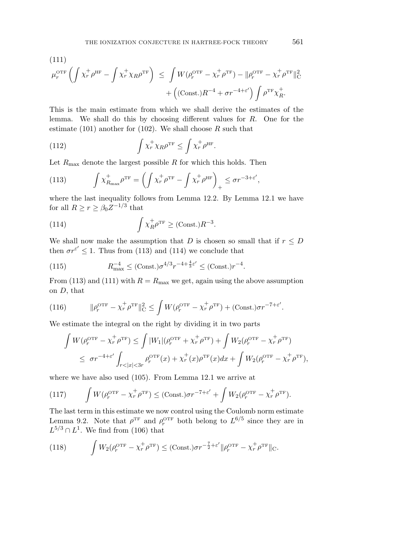(111)  
\n
$$
\mu_r^{\text{OFF}} \left( \int \chi_r^+ \rho^{\text{HF}} - \int \chi_r^+ \chi_R \rho^{\text{TF}} \right) \leq \int W(\rho_r^{\text{OFF}} - \chi_r^+ \rho^{\text{TF}}) - ||\rho_r^{\text{OFF}} - \chi_r^+ \rho^{\text{TF}}||_C^2 + \left( (\text{Const.})R^{-4} + \sigma r^{-4+\epsilon'} \right) \int \rho^{\text{TF}} \chi_R^+.
$$

This is the main estimate from which we shall derive the estimates of the lemma. We shall do this by choosing different values for R. One for the estimate (101) another for (102). We shall choose  $R$  such that

(112) 
$$
\int \chi_r^+ \chi_R \rho^{\rm TF} \leq \int \chi_r^+ \rho^{\rm HF}.
$$

Let  $R_{\text{max}}$  denote the largest possible  $R$  for which this holds. Then

(113) 
$$
\int \chi^+_{R_{\text{max}}} \rho^{\text{TF}} = \left( \int \chi^+_{r} \rho^{\text{TF}} - \int \chi^+_{r} \rho^{\text{HF}} \right)_+ \leq \sigma r^{-3+\epsilon'},
$$

where the last inequality follows from Lemma 12.2. By Lemma 12.1 we have for all  $R \ge r \ge \beta_0 Z^{-1/3}$  that

(114) 
$$
\int \chi_R^+ \rho^{\rm TF} \geq (\text{Const.})R^{-3}.
$$

We shall now make the assumption that D is chosen so small that if  $r \leq D$ then  $\sigma r^{\varepsilon'} \leq 1$ . Thus from (113) and (114) we conclude that

(115) 
$$
R_{\max}^{-4} \leq (\text{Const.}) \sigma^{4/3} r^{-4 + \frac{4}{3}\varepsilon'} \leq (\text{Const.}) r^{-4}.
$$

From (113) and (111) with  $R = R_{\text{max}}$  we get, again using the above assumption on  $D$ , that

(116) 
$$
\|\rho_r^{\text{OTF}} - \chi_r^+ \rho^{\text{TF}}\|_{\mathcal{C}}^2 \leq \int W(\rho_r^{\text{OTF}} - \chi_r^+ \rho^{\text{TF}}) + (\text{Const.}) \sigma r^{-7+\varepsilon'}.
$$

We estimate the integral on the right by dividing it in two parts

$$
\int W(\rho_r^{\text{OFF}} - \chi_r^+ \rho^{\text{TF}}) \le \int |W_1|(\rho_r^{\text{OFF}} + \chi_r^+ \rho^{\text{TF}}) + \int W_2(\rho_r^{\text{OFF}} - \chi_r^+ \rho^{\text{TF}})
$$
  

$$
\le \sigma r^{-4+\varepsilon'} \int_{r<|x|<3r} \rho_r^{\text{OFF}}(x) + \chi_r^+(x)\rho^{\text{TF}}(x)dx + \int W_2(\rho_r^{\text{OFF}} - \chi_r^+ \rho^{\text{TF}}),
$$

where we have also used (105). From Lemma 12.1 we arrive at

(117) 
$$
\int W(\rho_r^{\text{OTF}} - \chi_r^+ \rho^{\text{TF}}) \leq (\text{Const.}) \sigma r^{-7+\varepsilon'} + \int W_2(\rho_r^{\text{OTF}} - \chi_r^+ \rho^{\text{TF}}).
$$

The last term in this estimate we now control using the Coulomb norm estimate Lemma 9.2. Note that  $\rho^{\text{TF}}$  and  $\rho_r^{\text{OFF}}$  both belong to  $L^{6/5}$  since they are in  $L^{5/3} \cap L^1$ . We find from (106) that

(118) 
$$
\int W_2(\rho_r^{\text{OFF}} - \chi_r^+ \rho^{\text{TF}}) \leq (\text{Const.}) \sigma r^{-\frac{7}{2} + \varepsilon'} \|\rho_r^{\text{OFF}} - \chi_r^+ \rho^{\text{TF}}\|_{\mathcal{C}}.
$$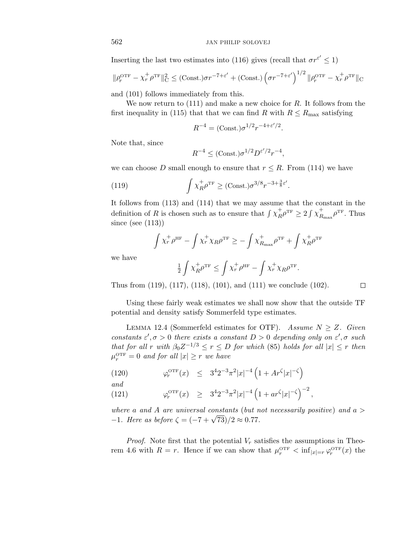Inserting the last two estimates into (116) gives (recall that  $\sigma r^{\varepsilon'} \leq 1$ )

$$
\|\rho_r^{\text{OTF}} - \chi_r^+ \rho^{\text{TF}}\|_{\mathcal{C}}^2 \leq (\text{Const.}) \sigma r^{-7+\varepsilon'} + (\text{Const.}) \left(\sigma r^{-7+\varepsilon'}\right)^{1/2} \|\rho_r^{\text{OTF}} - \chi_r^+ \rho^{\text{TF}}\|_{\mathcal{C}}
$$

and (101) follows immediately from this.

We now return to  $(111)$  and make a new choice for R. It follows from the first inequality in (115) that that we can find R with  $R \le R_{\text{max}}$  satisfying

$$
R^{-4} = (\text{Const.})\sigma^{1/2}r^{-4+\varepsilon'/2}.
$$

Note that, since

$$
R^{-4} \leq (\text{Const.})\sigma^{1/2}D^{\varepsilon'/2}r^{-4},
$$

we can choose D small enough to ensure that  $r \leq R$ . From (114) we have

(119) 
$$
\int \chi_R^+ \rho^{\rm TF} \ge (\text{Const.}) \sigma^{3/8} r^{-3 + \frac{3}{8}\varepsilon'}.
$$

It follows from (113) and (114) that we may assume that the constant in the definition of R is chosen such as to ensure that  $\int \chi_R^{\dagger} \rho^{\rm TF} \geq 2 \int \chi_{R_{\rm max}}^{\dagger} \rho^{\rm TF}$ . Thus since (see (113))

$$
\int \chi_r^+ \rho^{\rm HF} - \int \chi_r^+ \chi_R \rho^{\rm TF} \ge - \int \chi_{R_{\rm max}}^+ \rho^{\rm TF} + \int \chi_R^+ \rho^{\rm TF}
$$

we have

$$
\frac{1}{2} \int \chi_R^+ \rho^{\rm TF} \le \int \chi_r^+ \rho^{\rm HF} - \int \chi_r^+ \chi_R \rho^{\rm TF}.
$$

Thus from (119), (117), (118), (101), and (111) we conclude (102).

Using these fairly weak estimates we shall now show that the outside TF potential and density satisfy Sommerfeld type estimates.

 $\Box$ 

LEMMA 12.4 (Sommerfeld estimates for OTF). Assume  $N \geq Z$ . Given constants  $\varepsilon', \sigma > 0$  there exists a constant  $D > 0$  depending only on  $\varepsilon', \sigma$  such that for all r with  $\beta_0 Z^{-1/3} \le r \le D$  for which (85) holds for all  $|x| \le r$  then  $\mu_r^{\text{OFF}}=0$  and for all  $|x|\geq r$  we have

(120) 
$$
\varphi_r^{\text{OTF}}(x) \leq 3^4 2^{-3} \pi^2 |x|^{-4} \left( 1 + Ar^{\zeta} |x|^{-\zeta} \right)
$$

and (121)  $\varphi_r^{\text{OTF}}(x) \geq 3^4 2^{-3} \pi^2 |x|^{-4} \left(1 + ar^{\zeta} |x|^{-\zeta}\right)^{-2},$ 

where a and A are universal constants (but not necessarily positive) and  $a >$  $-1.$  Here as before  $\zeta = (-7 + \sqrt{73})/2 \approx 0.77$ .

*Proof.* Note first that the potential  $V_r$  satisfies the assumptions in Theorem 4.6 with  $R = r$ . Hence if we can show that  $\mu_r^{\text{OTF}} < \inf_{|x|=r} \varphi_r^{\text{OTF}}(x)$  the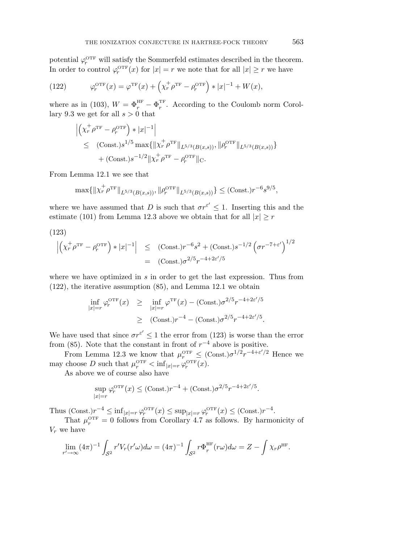potential  $\varphi_r^{\text{OFF}}$  will satisfy the Sommerfeld estimates described in the theorem. In order to control  $\varphi_r^{\text{OTF}}(x)$  for  $|x| = r$  we note that for all  $|x| \geq r$  we have

(122) 
$$
\varphi_r^{\text{OTF}}(x) = \varphi^{\text{TF}}(x) + \left(\chi_r^+ \rho^{\text{TF}} - \rho_r^{\text{OTF}}\right) * |x|^{-1} + W(x),
$$

where as in (103),  $W = \Phi_r^{\text{HF}} - \Phi_r^{\text{TF}}$ . According to the Coulomb norm Corollary 9.3 we get for all  $s > 0$  that

$$
\left| \left( \chi_r^+ \rho^{TF} - \rho_r^{\text{OFF}} \right) * |x|^{-1} \right|
$$
\n
$$
\leq \text{(Const.)} s^{1/5} \max \{ ||\chi_r^+ \rho^{TF}||_{L^{5/3}(B(x,s))}, ||\rho_r^{\text{OFF}}||_{L^{5/3}(B(x,s))} \}
$$
\n
$$
+ \text{(Const.)} s^{-1/2} ||\chi_r^+ \rho^{TF} - \rho_r^{\text{OFF}}||_{\text{C}}.
$$

From Lemma 12.1 we see that

$$
\max\{\|\chi_r^+ \rho^{\rm TF}\|_{L^{5/3}(B(x,s))}, \|\rho_r^{\rm OTF}\|_{L^{5/3}(B(x,s))}\} \leq (\text{Const.})r^{-6}s^{9/5},
$$

where we have assumed that D is such that  $\sigma r^{\varepsilon'} \leq 1$ . Inserting this and the estimate (101) from Lemma 12.3 above we obtain that for all  $|x| \geq r$ 

(123)  
\n
$$
\left| \left( \chi_r^+ \rho^{TF} - \rho_r^{\text{OFF}} \right) * |x|^{-1} \right| \leq (\text{Const.})r^{-6} s^2 + (\text{Const.})s^{-1/2} \left( \sigma r^{-7 + \varepsilon'} \right)^{1/2}
$$
\n
$$
= (\text{Const.})\sigma^{2/5} r^{-4 + 2\varepsilon'/5}
$$

where we have optimized in  $s$  in order to get the last expression. Thus from (122), the iterative assumption (85), and Lemma 12.1 we obtain

$$
\inf_{|x|=r} \varphi_r^{\text{OTF}}(x) \geq \inf_{|x|=r} \varphi^{\text{TF}}(x) - (\text{Const.})\sigma^{2/5}r^{-4+2\varepsilon'/5}
$$

$$
\geq (\text{Const.})r^{-4} - (\text{Const.})\sigma^{2/5}r^{-4+2\varepsilon'/5}.
$$

We have used that since  $\sigma r^{\varepsilon'} \leq 1$  the error from (123) is worse than the error from (85). Note that the constant in front of  $r^{-4}$  above is positive.

From Lemma 12.3 we know that  $\mu_r^{\text{OTF}} \leq (\text{Const.})\sigma^{1/2}r^{-4+\epsilon'/2}$  Hence we may choose D such that  $\mu_r^{\text{OTF}} < \inf_{|x|=r} \varphi_r^{\text{OTF}}(x)$ .

As above we of course also have

$$
\sup_{|x|=r} \varphi_r^{\text{OTF}}(x) \leq (\text{Const.})r^{-4} + (\text{Const.})\sigma^{2/5}r^{-4+2\varepsilon'/5}.
$$

Thus  $(\text{Const.})r^{-4} \leq \inf_{|x|=r} \varphi_r^{\text{OFF}}(x) \leq \sup_{|x|=r} \varphi_r^{\text{OFF}}(x) \leq (\text{Const.})r^{-4}.$ 

That  $\mu_r^{\text{OFF}} = 0$  follows from Corollary 4.7 as follows. By harmonicity of  $V_r$  we have

$$
\lim_{r' \to \infty} (4\pi)^{-1} \int_{S^2} r' V_r(r'\omega) d\omega = (4\pi)^{-1} \int_{S^2} r \Phi_r^{\text{HF}}(r\omega) d\omega = Z - \int \chi_r \rho^{\text{HF}}.
$$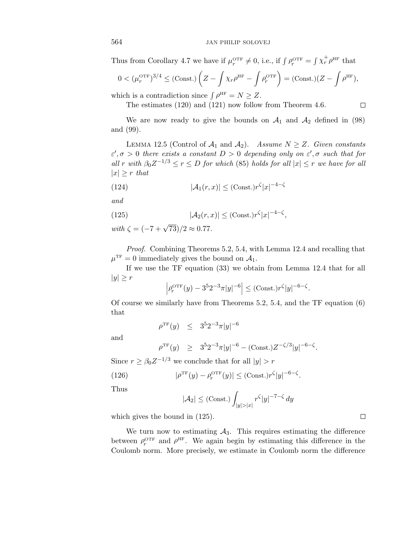Thus from Corollary 4.7 we have if  $\mu_r^{\text{OTF}} \neq 0$ , i.e., if  $\int \rho_r^{\text{OTF}} = \int \chi_r^+ \rho^{\text{HF}}$  that  $0 < (\mu_r^{\rm OTF})^{3/4} \leq (\text{Const.}) \left( Z - \int \chi_r \rho^{\rm HF} - \int \rho_r^{\rm OTF} \right)$  $\Big) = (\text{Const.})(Z - \int \rho^{\text{HF}}),$ 

which is a contradiction since  $\int \rho^{\text{HF}} = N \geq Z$ .

The estimates (120) and (121) now follow from Theorem 4.6.

We are now ready to give the bounds on  $A_1$  and  $A_2$  defined in (98) and (99).

LEMMA 12.5 (Control of  $A_1$  and  $A_2$ ). Assume  $N \geq Z$ . Given constants  $\varepsilon', \sigma > 0$  there exists a constant  $D > 0$  depending only on  $\varepsilon', \sigma$  such that for all r with  $\beta_0 Z^{-1/3} \le r \le D$  for which (85) holds for all  $|x| \le r$  we have for all  $|x| \geq r$  that

(124) 
$$
|\mathcal{A}_1(r,x)| \leq (\text{Const.})r^{\zeta}|x|^{-4-\zeta}
$$

and

(125) 
$$
|\mathcal{A}_2(r,x)| \leq (\text{Const.})r^{\zeta}|x|^{-4-\zeta},
$$

with  $\zeta = (-7 + \sqrt{73})/2 \approx 0.77$ .

Proof. Combining Theorems 5.2, 5.4, with Lemma 12.4 and recalling that  $\mu^{\text{TF}} = 0$  immediately gives the bound on  $\mathcal{A}_1$ .

If we use the TF equation (33) we obtain from Lemma 12.4 that for all  $|y| \geq r$ 

$$
\left| \rho_r^{\text{OTF}}(y) - 3^5 2^{-3} \pi |y|^{-6} \right| \le (\text{Const.}) r^{\zeta} |y|^{-6-\zeta}.
$$

Of course we similarly have from Theorems 5.2, 5.4, and the TF equation (6) that

and

$$
\rho^{\rm TF}(y) \geq 3^5 2^{-3} \pi |y|^{-6} - (\text{Const.}) Z^{-\zeta/3} |y|^{-6-\zeta}.
$$

Since  $r \geq \beta_0 Z^{-1/3}$  we conclude that for all  $|y| > r$ 

 $\rho^{\rm TF}(y) \leq 3^5 2^{-3} \pi |y|^{-6}$ 

(126) 
$$
|\rho^{\text{TF}}(y) - \rho_r^{\text{OFF}}(y)| \leq (\text{Const.})r^{\zeta}|y|^{-6-\zeta}.
$$

Thus

$$
|\mathcal{A}_2| \leq \text{(Const.)} \int_{|y|>|x|} r^{\zeta} |y|^{-7-\zeta} \, dy
$$

which gives the bound in (125).

We turn now to estimating  $A_3$ . This requires estimating the difference between  $\rho_r^{\text{OFF}}$  and  $\rho^{\text{HF}}$ . We again begin by estimating this difference in the Coulomb norm. More precisely, we estimate in Coulomb norm the difference

 $\Box$ 

 $\Box$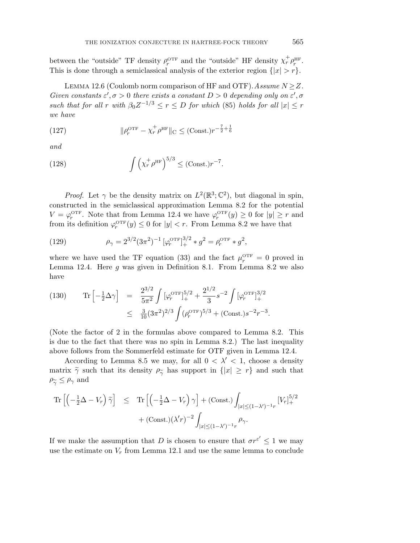between the "outside" TF density  $\rho_r^{\text{OTF}}$  and the "outside" HF density  $\chi_r^+ \rho_r^{\text{HF}}$ . This is done through a semiclassical analysis of the exterior region  $\{|x| > r\}$ .

LEMMA 12.6 (Coulomb norm comparison of HF and OTF). Assume  $N \geq Z$ . Given constants  $\varepsilon', \sigma > 0$  there exists a constant  $D > 0$  depending only on  $\varepsilon', \sigma$ such that for all r with  $\beta_0 Z^{-1/3} \le r \le D$  for which (85) holds for all  $|x| \le r$ we have

(127) 
$$
\|\rho_r^{\text{OTF}} - \chi_r^+ \rho^{\text{HF}}\|_{\text{C}} \leq (\text{Const.})r^{-\frac{7}{2} + \frac{1}{6}}
$$

and

(128) 
$$
\int \left(\chi_r^+ \rho^{\rm HF}\right)^{5/3} \leq (\text{Const.})r^{-7}.
$$

*Proof.* Let  $\gamma$  be the density matrix on  $L^2(\mathbb{R}^3; \mathbb{C}^2)$ , but diagonal in spin, constructed in the semiclassical approximation Lemma 8.2 for the potential  $V = \varphi_r^{\text{OFF}}$ . Note that from Lemma 12.4 we have  $\varphi_r^{\text{OFF}}(y) \ge 0$  for  $|y| \ge r$  and from its definition  $\varphi_r^{\text{OFF}}(y) \leq 0$  for  $|y| < r$ . From Lemma 8.2 we have that

(129) 
$$
\rho_{\gamma} = 2^{3/2} (3\pi^2)^{-1} \left[ \varphi_r^{\text{OFF}} \right]_+^{3/2} * g^2 = \rho_r^{\text{OFF}} * g^2,
$$

where we have used the TF equation (33) and the fact  $\mu_r^{\text{OTF}} = 0$  proved in Lemma 12.4. Here  $g$  was given in Definition 8.1. From Lemma 8.2 we also have

(130) 
$$
\text{Tr}\left[-\frac{1}{2}\Delta\gamma\right] = \frac{2^{3/2}}{5\pi^2} \int \left[\varphi_r^{\text{OTF}}\right]_+^{5/2} + \frac{2^{1/2}}{3} s^{-2} \int \left[\varphi_r^{\text{OTF}}\right]_+^{3/2} \leq \frac{3}{10} (3\pi^2)^{2/3} \int \left(\varphi_r^{\text{OTF}}\right)^{5/3} + (\text{Const.})s^{-2} r^{-3}.
$$

(Note the factor of 2 in the formulas above compared to Lemma 8.2. This is due to the fact that there was no spin in Lemma 8.2.) The last inequality above follows from the Sommerfeld estimate for OTF given in Lemma 12.4.

According to Lemma 8.5 we may, for all  $0 < \lambda' < 1$ , choose a density matrix  $\tilde{\gamma}$  such that its density  $\rho_{\tilde{\gamma}}$  has support in  $\{|x| \ge r\}$  and such that  $\rho_{\tilde{\gamma}} \le \rho_{\tilde{\gamma}}$  and  $\rho_{\widetilde{\gamma}} \leq \rho_{\gamma}$  and

$$
\begin{array}{rcl} \operatorname{Tr}\left[\left(-\frac{1}{2}\Delta - V_r\right)\tilde{\gamma}\right] & \leq & \operatorname{Tr}\left[\left(-\frac{1}{2}\Delta - V_r\right)\gamma\right] + (\operatorname{Const.})\int_{|x| \leq (1-\lambda')^{-1}r} \left[V_r\right]_{+}^{5/2} \\ & + (\operatorname{Const.}) (\lambda'r)^{-2} \int_{|x| \leq (1-\lambda')^{-1}r} \rho_{\gamma}. \end{array}
$$

If we make the assumption that D is chosen to ensure that  $\sigma r^{\varepsilon'} \leq 1$  we may use the estimate on  $V_r$  from Lemma 12.1 and use the same lemma to conclude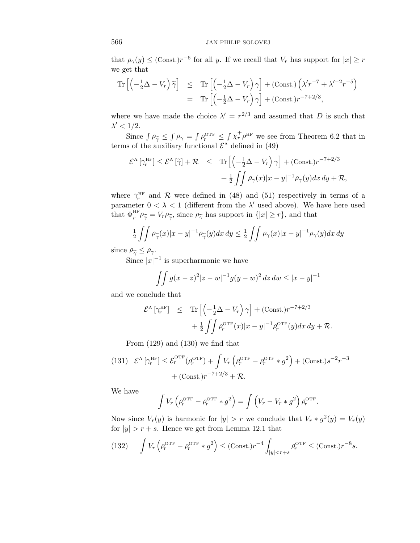that  $\rho_{\gamma}(y) \leq$  (Const.) $r^{-6}$  for all y. If we recall that  $V_r$  has support for  $|x| \geq r$ we get that

$$
\begin{array}{rcl}\n\operatorname{Tr}\left[\left(-\frac{1}{2}\Delta - V_r\right)\tilde{\gamma}\right] & \leq & \operatorname{Tr}\left[\left(-\frac{1}{2}\Delta - V_r\right)\gamma\right] + (\operatorname{Const.})\left(\lambda'r^{-7} + \lambda'^{-2}r^{-5}\right) \\
& = & \operatorname{Tr}\left[\left(-\frac{1}{2}\Delta - V_r\right)\gamma\right] + (\operatorname{Const.})r^{-7+2/3},\n\end{array}
$$

where we have made the choice  $\lambda' = r^{2/3}$  and assumed that D is such that  $\lambda' < 1/2$ .

Since  $\int \rho_{\gamma} \leq \int \rho_{\gamma} = \int \rho_{r}^{\text{OFF}} \leq \int \chi_{r}^{+} \rho^{\text{HF}}$  we see from Theorem 6.2 that in s of the auxiliary functional  $\mathcal{E}^{\text{A}}$  defined in (49) terms of the auxiliary functional  $\mathcal{E}^A$  defined in (49)

$$
\mathcal{E}^{\mathcal{A}}\left[\gamma_r^{\text{HF}}\right] \leq \mathcal{E}^{\mathcal{A}}\left[\widetilde{\gamma}\right] + \mathcal{R} \leq \text{Tr}\left[\left(-\frac{1}{2}\Delta - V_r\right)\gamma\right] + (\text{Const.})r^{-7+2/3} + \frac{1}{2}\iint \rho_{\gamma}(x)|x-y|^{-1}\rho_{\gamma}(y)dx dy + \mathcal{R},
$$

where  $\gamma_r^{\text{HF}}$  and  $\mathcal R$  were defined in (48) and (51) respectively in terms of a parameter  $0 < \lambda < 1$  (different from the  $\lambda'$  used above). We have here used that  $\Phi_r^{\text{HF}} \rho_{\widetilde{\gamma}} = V_r \rho_{\widetilde{\gamma}}$ , since  $\rho_{\widetilde{\gamma}}$  has support in  $\{|x| \ge r\}$ , and that

$$
\frac{1}{2} \int \int \rho_{\widetilde{\gamma}}(x) |x-y|^{-1} \rho_{\widetilde{\gamma}}(y) dx dy \le \frac{1}{2} \int \int \rho_{\gamma}(x) |x-y|^{-1} \rho_{\gamma}(y) dx dy
$$

since  $\rho_{\widetilde{\gamma}} \leq \rho_{\gamma}$ .<br>Since  $|x|^{-}$ 

Since  $|x|^{-1}$  is superharmonic we have

$$
\int \int g(x-z)^2 |z-w|^{-1} g(y-w)^2 dz dw \le |x-y|^{-1}
$$

and we conclude that

$$
\mathcal{E}^{\mathcal{A}}\left[\gamma_r^{\text{HF}}\right] \leq \text{Tr}\left[\left(-\frac{1}{2}\Delta - V_r\right)\gamma\right] + (\text{Const.})r^{-7+2/3} \n+ \frac{1}{2}\iint \rho_r^{\text{OFF}}(x)|x-y|^{-1}\rho_r^{\text{OFF}}(y)dx\,dy + \mathcal{R}.
$$

From (129) and (130) we find that

(131) 
$$
\mathcal{E}^{\mathcal{A}}\left[\gamma_r^{\text{HF}}\right] \leq \mathcal{E}_r^{\text{OTF}}\left(\rho_r^{\text{OTF}}\right) + \int V_r\left(\rho_r^{\text{OTF}} - \rho_r^{\text{OTF}} * g^2\right) + (\text{Const.})s^{-2}r^{-3} + (\text{Const.})r^{-7+2/3} + \mathcal{R}.
$$

We have

$$
\int V_r \left( \rho_r^{\text{OTF}} - \rho_r^{\text{OTF}} * g^2 \right) = \int \left( V_r - V_r * g^2 \right) \rho_r^{\text{OTF}}.
$$

Now since  $V_r(y)$  is harmonic for  $|y| > r$  we conclude that  $V_r * g^2(y) = V_r(y)$ for  $|y| > r + s$ . Hence we get from Lemma 12.1 that

(132) 
$$
\int V_r \left( \rho_r^{\text{OFF}} - \rho_r^{\text{OFF}} * g^2 \right) \leq (\text{Const.}) r^{-4} \int_{|y| < r+s} \rho_r^{\text{OFF}} \leq (\text{Const.}) r^{-8} s.
$$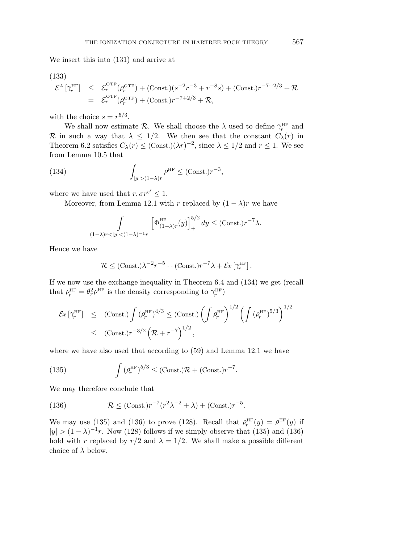We insert this into (131) and arrive at

(133)  
\n
$$
\mathcal{E}^{\mathcal{A}}[\gamma_r^{\text{HF}}] \leq \mathcal{E}_r^{\text{OTF}}(\rho_r^{\text{OTF}}) + (\text{Const.})(s^{-2}r^{-3} + r^{-8}s) + (\text{Const.})r^{-7+2/3} + \mathcal{R}
$$
\n
$$
= \mathcal{E}_r^{\text{OTF}}(\rho_r^{\text{OTF}}) + (\text{Const.})r^{-7+2/3} + \mathcal{R},
$$

with the choice  $s = r^{5/3}$ .

We shall now estimate  $\mathcal{R}$ . We shall choose the  $\lambda$  used to define  $\gamma_r^{\text{HF}}$  and R in such a way that  $\lambda \leq 1/2$ . We then see that the constant  $C_{\lambda}(r)$  in Theorem 6.2 satisfies  $C_\lambda(r) \leq (Const.)(\lambda r)^{-2}$ , since  $\lambda \leq 1/2$  and  $r \leq 1$ . We see from Lemma 10.5 that

(134) 
$$
\int_{|y| > (1-\lambda)r} \rho^{\text{HF}} \leq (\text{Const.})r^{-3},
$$

where we have used that  $r, \sigma r^{\varepsilon'} \leq 1$ .

Moreover, from Lemma 12.1 with r replaced by  $(1 - \lambda)r$  we have

$$
\int_{(1-\lambda)r<|y|<(1-\lambda)^{-1}r} \left[\Phi^{\mathrm{HF}}_{(1-\lambda)r}(y)\right]_{+}^{5/2} dy \leq (\mathrm{Const.})r^{-7}\lambda.
$$

Hence we have

$$
\mathcal{R} \leq (\text{Const.}) \lambda^{-2} r^{-5} + (\text{Const.}) r^{-7} \lambda + \mathcal{E} \chi \left[ \gamma_r^{\text{HF}} \right].
$$

If we now use the exchange inequality in Theorem 6.4 and (134) we get (recall that  $\rho_r^{\text{HF}} = \theta_r^2 \rho^{\text{HF}}$  is the density corresponding to  $\gamma_r^{\text{HF}}$ )

$$
\mathcal{E}x\left[\gamma_r^{\text{HF}}\right] \leq (\text{Const.}) \int (\rho_r^{\text{HF}})^{4/3} \leq (\text{Const.}) \left(\int \rho_r^{\text{HF}}\right)^{1/2} \left(\int (\rho_r^{\text{HF}})^{5/3}\right)^{1/2}
$$
  

$$
\leq (\text{Const.})r^{-3/2} \left(\mathcal{R} + r^{-7}\right)^{1/2},
$$

where we have also used that according to (59) and Lemma 12.1 we have

(135) 
$$
\int (\rho_r^{\text{HF}})^{5/3} \leq (\text{Const.}) \mathcal{R} + (\text{Const.}) r^{-7}.
$$

We may therefore conclude that

(136) 
$$
\mathcal{R} \leq (\text{Const.})r^{-7}(r^2\lambda^{-2} + \lambda) + (\text{Const.})r^{-5}.
$$

We may use (135) and (136) to prove (128). Recall that  $\rho_r^{\text{HF}}(y) = \rho^{\text{HF}}(y)$  if  $|y| > (1 - \lambda)^{-1}r$ . Now (128) follows if we simply observe that (135) and (136) hold with r replaced by  $r/2$  and  $\lambda = 1/2$ . We shall make a possible different choice of  $\lambda$  below.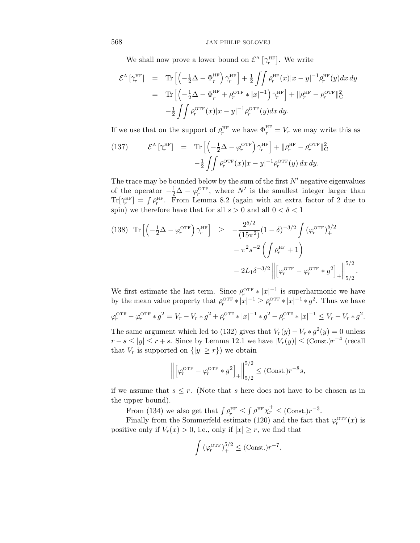We shall now prove a lower bound on  $\mathcal{E}^{\mathbf{A}}\left[\gamma_{r}^{\text{HF}}\right]$ . We write

$$
\mathcal{E}^{\mathcal{A}}\left[\gamma_r^{\text{HF}}\right] = \text{Tr}\left[\left(-\frac{1}{2}\Delta - \Phi_r^{\text{HF}}\right)\gamma_r^{\text{HF}}\right] + \frac{1}{2}\iint \rho_r^{\text{HF}}(x)|x - y|^{-1}\rho_r^{\text{HF}}(y)dx dy
$$
  
\n
$$
= \text{Tr}\left[\left(-\frac{1}{2}\Delta - \Phi_r^{\text{HF}} + \rho_r^{\text{OFF}} * |x|^{-1}\right)\gamma_r^{\text{HF}}\right] + \|\rho_r^{\text{HF}} - \rho_r^{\text{OFF}}\|_C^2
$$
  
\n
$$
-\frac{1}{2}\iint \rho_r^{\text{OFF}}(x)|x - y|^{-1}\rho_r^{\text{OFF}}(y)dx dy.
$$

If we use that on the support of  $\rho_r^{\text{HF}}$  we have  $\Phi_r^{\text{HF}} = V_r$  we may write this as

(137) 
$$
\mathcal{E}^{\mathcal{A}}\left[\gamma_r^{\text{HF}}\right] = \text{Tr}\left[\left(-\frac{1}{2}\Delta - \varphi_r^{\text{OFF}}\right)\gamma_r^{\text{HF}}\right] + \|\rho_r^{\text{HF}} - \rho_r^{\text{OFF}}\|_{\text{C}}^2 -\frac{1}{2}\iint \rho_r^{\text{OFF}}(x)|x - y|^{-1}\rho_r^{\text{OFF}}(y) dx dy.
$$

The trace may be bounded below by the sum of the first  $N'$  negative eigenvalues of the operator  $-\frac{1}{2}\Delta - \varphi_r^{\text{OFF}}$ , where N' is the smallest integer larger than  $\text{Tr}[\gamma_r^{\text{HF}}] = \int \rho_r^{\text{HF}}$ . From Lemma 8.2 (again with an extra factor of 2 due to spin) we therefore have that for all  $s > 0$  and all  $0 < \delta < 1$ 

(138) Tr 
$$
\left[ \left( -\frac{1}{2} \Delta - \varphi_r^{\text{OFF}} \right) \gamma_r^{\text{HF}} \right] \ge -\frac{2^{5/2}}{(15\pi^2)} (1 - \delta)^{-3/2} \int (\varphi_r^{\text{OFF}})^{5/2} + \frac{\pi^2 s^{-2} \left( \int \rho_r^{\text{HF}} + 1 \right)}{-\pi^2 s^{-2} \left( \int \rho_r^{\text{OFF}} + \varphi_r^{\text{OFF}} * g^2 \right)_{+}} \Big|_{5/2}^{5/2}
$$

We first estimate the last term. Since  $\rho_r^{\text{OFF}} \cdot |x|^{-1}$  is superharmonic we have by the mean value property that  $\rho_r^{\text{OTF}} * |x|^{-1} \geq \rho_r^{\text{OTF}} * |x|^{-1} * g^2$ . Thus we have

.

$$
\varphi_r^{\text{OFF}} - \varphi_r^{\text{OFF}} * g^2 = V_r - V_r * g^2 + \rho_r^{\text{OFF}} * |x|^{-1} * g^2 - \rho_r^{\text{OFF}} * |x|^{-1} \le V_r - V_r * g^2.
$$

The same argument which led to (132) gives that  $V_r(y) - V_r * g^2(y) = 0$  unless  $r - s \le |y| \le r + s$ . Since by Lemma 12.1 we have  $|V_r(y)| \le (\text{Const.})r^{-4}$  (recall that  $V_r$  is supported on  $\{|y| \geq r\}$  we obtain

$$
\left\| \left[ \varphi_r^{\text{OFF}} - \varphi_r^{\text{OFF}} * g^2 \right]_+ \right\|_{5/2}^{5/2} \leq (\text{Const.}) r^{-8} s,
$$

if we assume that  $s \leq r$ . (Note that s here does not have to be chosen as in the upper bound).

From (134) we also get that  $\int \rho_r^{\text{HF}} \leq \int \rho^{\text{HF}} \chi_r^+ \leq (\text{Const.})r^{-3}$ .

Finally from the Sommerfeld estimate (120) and the fact that  $\varphi_r^{\text{OFF}}(x)$  is positive only if  $V_r(x) > 0$ , i.e., only if  $|x| \geq r$ , we find that

$$
\int (\varphi_r^{\text{OFF}})_+^{5/2} \leq (\text{Const.})r^{-7}.
$$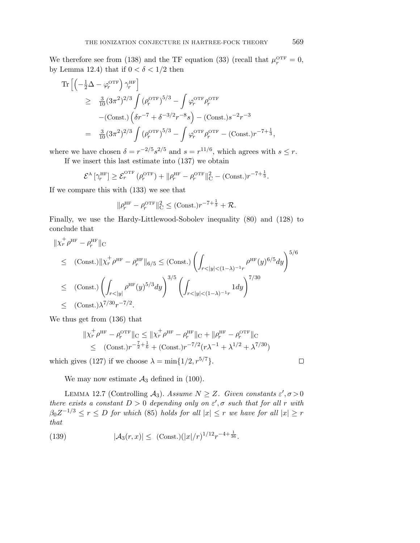We therefore see from (138) and the TF equation (33) (recall that  $\mu_r^{\text{OTF}} = 0$ , by Lemma 12.4) that if  $0 < \delta < 1/2$  then

$$
\begin{split} \operatorname{Tr}\left[\left(-\tfrac{1}{2}\Delta-\varphi_r^{\mathrm{OFF}}\right)\gamma_r^{\mathrm{HF}}\right] \\ &\geq \frac{3}{10}(3\pi^2)^{2/3}\int\left(\rho_r^{\mathrm{OFF}}\right)^{5/3}-\int\varphi_r^{\mathrm{OFF}}\rho_r^{\mathrm{OFF}} \\ &-(\mathrm{Const.})\left(\delta r^{-7}+\delta^{-3/2}r^{-8}s\right)-(\mathrm{Const.})s^{-2}r^{-3} \\ & = \frac{3}{10}(3\pi^2)^{2/3}\int\left(\rho_r^{\mathrm{OFF}}\right)^{5/3}-\int\varphi_r^{\mathrm{OFF}}\rho_r^{\mathrm{OFF}}-(\mathrm{Const.})r^{-7+\frac{1}{3}}, \end{split}
$$

where we have chosen  $\delta = r^{-2/5} s^{2/5}$  and  $s = r^{11/6}$ , which agrees with  $s \leq r$ .

If we insert this last estimate into (137) we obtain

$$
\mathcal{E}^{\mathsf{A}}\left[\gamma_{r}^{\mathsf{HF}}\right] \geq \mathcal{E}_{r}^{\mathsf{OTF}}\left(\rho_{r}^{\mathsf{OTF}}\right) + \|\rho_{r}^{\mathsf{HF}} - \rho_{r}^{\mathsf{OTF}}\|_{\mathsf{C}}^{2} - (\mathsf{Const.})r^{-7+\frac{1}{3}}.
$$

If we compare this with (133) we see that

$$
\|\rho_r^{\text{HF}} - \rho_r^{\text{OTF}}\|_{\text{C}}^2 \leq (\text{Const.})r^{-7 + \frac{1}{3}} + \mathcal{R}.
$$

Finally, we use the Hardy-Littlewood-Sobolev inequality (80) and (128) to conclude that

$$
\| \chi_r^+ \rho^{\text{HF}} - \rho_r^{\text{HF}} \|_{\mathcal{C}}
$$
  
\n
$$
\leq \text{(Const.)} \| \chi_r^+ \rho^{\text{HF}} - \rho_r^{\text{HF}} \|_{6/5} \leq \text{(Const.)} \left( \int_{r < |y| < (1-\lambda)^{-1}r} \rho^{\text{HF}}(y)^{6/5} dy \right)^{5/6}
$$
  
\n
$$
\leq \text{(Const.)} \left( \int_{r < |y|} \rho^{\text{HF}}(y)^{5/3} dy \right)^{3/5} \left( \int_{r < |y| < (1-\lambda)^{-1}r} 1 dy \right)^{7/30}
$$
  
\n
$$
\leq \text{(Const.)} \lambda^{7/30} r^{-7/2}.
$$

We thus get from (136) that

$$
\|\chi_r^+ \rho^{\text{HF}} - \rho_r^{\text{OTF}}\|_{\mathcal{C}} \le \|\chi_r^+ \rho^{\text{HF}} - \rho_r^{\text{HF}}\|_{\mathcal{C}} + \|\rho_r^{\text{HF}} - \rho_r^{\text{OTF}}\|_{\mathcal{C}} \le (\text{Const.})r^{-\frac{7}{2} + \frac{1}{6}} + (\text{Const.})r^{-7/2}(r\lambda^{-1} + \lambda^{1/2} + \lambda^{7/30})
$$

which gives (127) if we choose  $\lambda = \min\{1/2, r^{5/7}\}.$ 

We may now estimate  $A_3$  defined in (100).

LEMMA 12.7 (Controlling  $A_3$ ). Assume  $N \geq Z$ . Given constants  $\varepsilon', \sigma > 0$ there exists a constant  $D > 0$  depending only on  $\varepsilon'$ ,  $\sigma$  such that for all r with  $\beta_0 Z^{-1/3} \le r \le D$  for which (85) holds for all  $|x| \le r$  we have for all  $|x| \ge r$ that

(139) 
$$
|\mathcal{A}_3(r,x)| \leq (\text{Const.}) (|x|/r)^{1/12} r^{-4 + \frac{1}{36}}.
$$

 $\Box$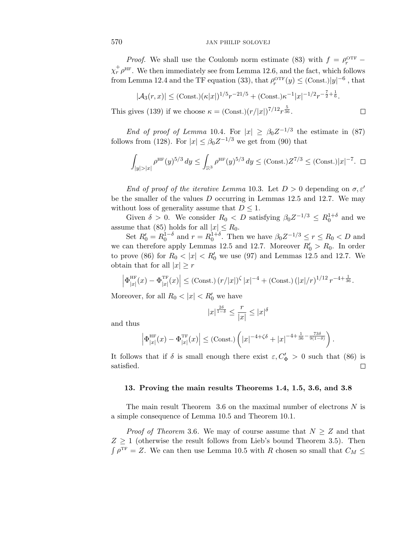*Proof.* We shall use the Coulomb norm estimate (83) with  $f = \rho_r^{\text{OFF}}$  –  $\chi_r^+ \rho^{\text{HF}}$ . We then immediately see from Lemma 12.6, and the fact, which follows from Lemma 12.4 and the TF equation (33), that  $\rho_r^{\text{OTF}}(y) \leq (\text{Const.})|y|^{-6}$ , that

$$
|\mathcal{A}_3(r,x)| \leq (\text{Const.})(\kappa|x|)^{1/5}r^{-21/5} + (\text{Const.})\kappa^{-1}|x|^{-1/2}r^{-\frac{7}{2}+\frac{1}{6}}.
$$

This gives (139) if we choose  $\kappa = (\text{Const.})(r/|x|)^{7/12}r^{\frac{5}{36}}$ .  $\Box$ 

End of proof of Lemma 10.4. For  $|x| \geq \beta_0 Z^{-1/3}$  the estimate in (87) follows from (128). For  $|x| \leq \beta_0 Z^{-1/3}$  we get from (90) that

$$
\int_{|y|>|x|} \rho^{\rm HF}(y)^{5/3} \, dy \le \int_{\mathbb{R}^3} \rho^{\rm HF}(y)^{5/3} \, dy \le (\text{Const.}) Z^{7/3} \le (\text{Const.}) |x|^{-7}. \quad \Box
$$

End of proof of the iterative Lemma 10.3. Let  $D > 0$  depending on  $\sigma, \varepsilon'$ be the smaller of the values D occurring in Lemmas 12.5 and 12.7. We may without loss of generality assume that  $D \leq 1$ .

Given  $\delta > 0$ . We consider  $R_0 < D$  satisfying  $\beta_0 Z^{-1/3} \leq R_0^{1+\delta}$  and we assume that (85) holds for all  $|x| \le R_0$ .

Set  $R'_0 = R_0^{1-\delta}$  and  $r = R_0^{1+\delta}$ . Then we have  $\beta_0 Z^{-1/3} \le r \le R_0 < D$  and we can therefore apply Lemmas 12.5 and 12.7. Moreover  $R'_0 > R_0$ . In order to prove (86) for  $R_0 < |x| < R'_0$  we use (97) and Lemmas 12.5 and 12.7. We obtain that for all  $|x| \geq r$ 

$$
\left| \Phi_{|x|}^{\text{HF}}(x) - \Phi_{|x|}^{\text{TF}}(x) \right| \leq \left( \text{Const.} \right) (r/|x|)^{\zeta} |x|^{-4} + \left( \text{Const.} \right) (|x|/r)^{1/12} r^{-4 + \frac{1}{36}}.
$$

Moreover, for all  $R_0 < |x| < R'_0$  we have

$$
|x|^{\frac{2\delta}{1-\delta}} \le \frac{r}{|x|} \le |x|^{\delta}
$$

and thus

$$
\left| \Phi_{|x|}^{\text{HF}}(x) - \Phi_{|x|}^{\text{TF}}(x) \right| \leq \left( \text{Const.} \right) \left( |x|^{-4 + \zeta \delta} + |x|^{-4 + \frac{1}{36} - \frac{73\delta}{9(1 - \delta)}} \right).
$$

It follows that if  $\delta$  is small enough there exist  $\varepsilon, C'_{\Phi} > 0$  such that (86) is satisfied.  $\Box$ 

# **13. Proving the main results Theorems 1.4, 1.5, 3.6, and 3.8**

The main result Theorem  $3.6$  on the maximal number of electrons N is a simple consequence of Lemma 10.5 and Theorem 10.1.

*Proof of Theorem* 3.6. We may of course assume that  $N \geq Z$  and that  $Z \geq 1$  (otherwise the result follows from Lieb's bound Theorem 3.5). Then  $\int \rho^{\text{TF}} = Z$ . We can then use Lemma 10.5 with R chosen so small that  $C_M \leq$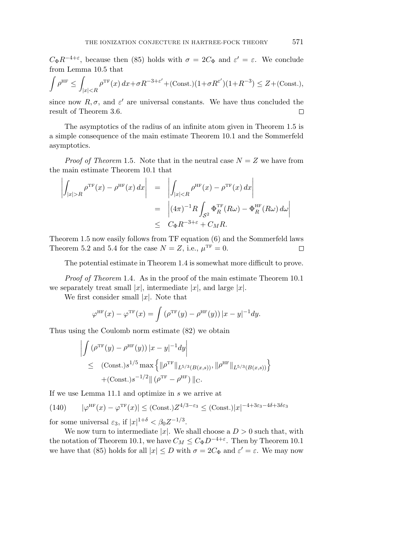$C_{\Phi}R^{-4+\epsilon}$ , because then (85) holds with  $\sigma = 2C_{\Phi}$  and  $\varepsilon' = \varepsilon$ . We conclude from Lemma 10.5 that

$$
\int \rho^{\rm HF} \le \int_{|x| < R} \rho^{\rm TF}(x) \, dx + \sigma R^{-3 + \varepsilon'} + (\text{Const.})(1 + \sigma R^{\varepsilon'})(1 + R^{-3}) \le Z + (\text{Const.}),
$$

since now  $R, \sigma$ , and  $\varepsilon'$  are universal constants. We have thus concluded the result of Theorem 3.6.  $\Box$ 

The asymptotics of the radius of an infinite atom given in Theorem 1.5 is a simple consequence of the main estimate Theorem 10.1 and the Sommerfeld asymptotics.

*Proof of Theorem* 1.5. Note that in the neutral case  $N = Z$  we have from the main estimate Theorem 10.1 that

$$
\left| \int_{|x|>R} \rho^{\text{TF}}(x) - \rho^{\text{HF}}(x) dx \right| = \left| \int_{|x|  
\n
$$
= \left| (4\pi)^{-1} R \int_{S^2} \Phi_R^{\text{TF}}(R\omega) - \Phi_R^{\text{HF}}(R\omega) d\omega \right|
$$
  
\n
$$
\leq C_{\Phi} R^{-3+\varepsilon} + C_M R.
$$
$$

Theorem 1.5 now easily follows from TF equation (6) and the Sommerfeld laws Theorem 5.2 and 5.4 for the case  $N = Z$ , i.e.,  $\mu^{\text{TF}} = 0$ .  $\Box$ 

The potential estimate in Theorem 1.4 is somewhat more difficult to prove.

Proof of Theorem 1.4. As in the proof of the main estimate Theorem 10.1 we separately treat small  $|x|$ , intermediate  $|x|$ , and large  $|x|$ .

We first consider small  $|x|$ . Note that

$$
\varphi^{\text{HF}}(x) - \varphi^{\text{TF}}(x) = \int (\rho^{\text{TF}}(y) - \rho^{\text{HF}}(y)) |x - y|^{-1} dy.
$$

Thus using the Coulomb norm estimate (82) we obtain

$$
\left| \int (\rho^{\mathrm{TF}}(y) - \rho^{\mathrm{HF}}(y)) |x - y|^{-1} dy \right|
$$
  
\n
$$
\leq (\text{Const.})s^{1/5} \max \left\{ \|\rho^{\mathrm{TF}}\|_{L^{5/3}(B(x,s))}, \|\rho^{\mathrm{HF}}\|_{L^{5/3}(B(x,s))} \right\}
$$
  
\n
$$
+ (\text{Const.})s^{-1/2} \| (\rho^{\mathrm{TF}} - \rho^{\mathrm{HF}}) \|_{C}.
$$

If we use Lemma 11.1 and optimize in s we arrive at

(140) 
$$
|\varphi^{\text{HF}}(x) - \varphi^{\text{TF}}(x)| \leq (\text{Const.})Z^{4/3 - \varepsilon_3} \leq (\text{Const.})|x|^{-4 + 3\varepsilon_3 - 4\delta + 3\delta\varepsilon_3}
$$

for some universal  $\varepsilon_3$ , if  $|x|^{1+\delta} < \beta_0 Z^{-1/3}$ .

We now turn to intermediate |x|. We shall choose a  $D > 0$  such that, with the notation of Theorem 10.1, we have  $C_M \leq C_\Phi D^{-4+\varepsilon}$ . Then by Theorem 10.1 we have that (85) holds for all  $|x| \le D$  with  $\sigma = 2C_{\Phi}$  and  $\varepsilon' = \varepsilon$ . We may now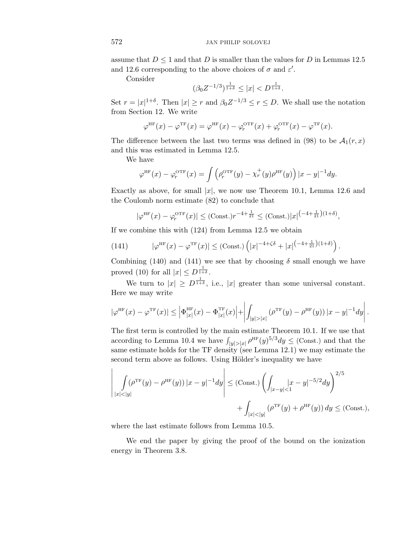assume that  $D \leq 1$  and that D is smaller than the values for D in Lemmas 12.5 and 12.6 corresponding to the above choices of  $\sigma$  and  $\varepsilon'$ .

Consider

$$
(\beta_0 Z^{-1/3})^{\frac{1}{1+\delta}} \le |x| < D^{\frac{1}{1+\delta}}.
$$

Set  $r = |x|^{1+\delta}$ . Then  $|x| \geq r$  and  $\beta_0 Z^{-1/3} \leq r \leq D$ . We shall use the notation from Section 12. We write

$$
\varphi^{\text{HF}}(x) - \varphi^{\text{TF}}(x) = \varphi^{\text{HF}}(x) - \varphi_r^{\text{OFF}}(x) + \varphi_r^{\text{OFF}}(x) - \varphi^{\text{TF}}(x).
$$

The difference between the last two terms was defined in (98) to be  $\mathcal{A}_1(r,x)$ and this was estimated in Lemma 12.5.

We have

$$
\varphi^{\text{HF}}(x) - \varphi_r^{\text{OFF}}(x) = \int \left( \rho_r^{\text{OFF}}(y) - \chi_r^+(y) \rho^{\text{HF}}(y) \right) |x - y|^{-1} dy.
$$

Exactly as above, for small  $|x|$ , we now use Theorem 10.1, Lemma 12.6 and the Coulomb norm estimate (82) to conclude that

$$
|\varphi^{\text{HF}}(x) - \varphi_r^{\text{OFF}}(x)| \leq (\text{Const.})r^{-4 + \frac{1}{21}} \leq (\text{Const.})|x|^{(-4 + \frac{1}{21})(1+\delta)},
$$

If we combine this with (124) from Lemma 12.5 we obtain

(141) 
$$
|\varphi^{\text{HF}}(x) - \varphi^{\text{TF}}(x)| \leq (\text{Const.}) \left( |x|^{-4 + \zeta \delta} + |x|^{(-4 + \frac{1}{21})(1 + \delta)} \right).
$$

Combining (140) and (141) we see that by choosing  $\delta$  small enough we have proved (10) for all  $|x| \leq D^{\frac{1}{1+\delta}}$ .

We turn to  $|x| \ge D^{\frac{1}{1+\delta}}$ , i.e.,  $|x|$  greater than some universal constant. Here we may write

$$
|\varphi^{\rm HF}(x) - \varphi^{\rm TF}(x)| \leq \left| \Phi_{|x|}^{\rm HF}(x) - \Phi_{|x|}^{\rm TF}(x) \right| + \left| \int_{|y| > |x|} (\rho^{\rm TF}(y) - \rho^{\rm HF}(y)) |x - y|^{-1} dy \right|.
$$

The first term is controlled by the main estimate Theorem 10.1. If we use that according to Lemma 10.4 we have  $\int_{|y|>|x|} \rho^{\text{HF}}(y)^{5/3} dy \leq$  (Const.) and that the same estimate holds for the TF density (see Lemma 12.1) we may estimate the second term above as follows. Using Hölder's inequality we have

$$
\left| \int_{|x| < |y|} (\rho^{\text{TF}}(y) - \rho^{\text{HF}}(y)) |x - y|^{-1} dy \right| \leq (\text{Const.}) \left( \int_{|x - y| < 1} |x - y|^{-5/2} dy \right)^{2/5} + \int_{|x| < |y|} (\rho^{\text{TF}}(y) + \rho^{\text{HF}}(y)) dy \leq (\text{Const.}),
$$

where the last estimate follows from Lemma 10.5.

We end the paper by giving the proof of the bound on the ionization energy in Theorem 3.8.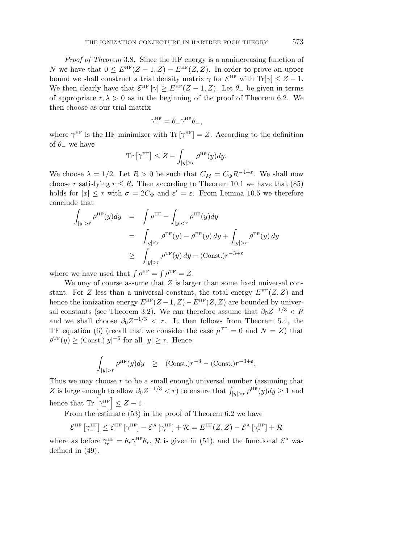Proof of Theorem 3.8. Since the HF energy is a nonincreasing function of N we have that  $0 \leq E^{\text{HF}}(Z-1,Z) - E^{\text{HF}}(Z,Z)$ . In order to prove an upper bound we shall construct a trial density matrix  $\gamma$  for  $\mathcal{E}^{\text{HF}}$  with  $\text{Tr}[\gamma] \leq Z - 1$ . We then clearly have that  $\mathcal{E}^{\text{HF}}[\gamma] \geq E^{\text{HF}}(Z-1,Z)$ . Let  $\theta_-$  be given in terms of appropriate  $r, \lambda > 0$  as in the beginning of the proof of Theorem 6.2. We then choose as our trial matrix

$$
\gamma^{\text{HF}}_{-} = \theta_{-} \gamma^{\text{HF}} \theta_{-},
$$

where  $\gamma^{\text{HF}}$  is the HF minimizer with Tr  $[\gamma^{\text{HF}}] = Z$ . According to the definition of  $\theta$ <sub>−</sub> we have

$$
\operatorname{Tr}\left[\gamma^{\operatorname{HF}}_{-}\right] \le Z - \int_{|y|>r} \rho^{\operatorname{HF}}(y) dy.
$$

We choose  $\lambda = 1/2$ . Let  $R > 0$  be such that  $C_M = C_{\Phi} R^{-4+\epsilon}$ . We shall now choose r satisfying  $r \leq R$ . Then according to Theorem 10.1 we have that (85) holds for  $|x| \leq r$  with  $\sigma = 2C_{\Phi}$  and  $\varepsilon' = \varepsilon$ . From Lemma 10.5 we therefore conclude that

$$
\int_{|y|>r} \rho^{\text{HF}}(y) dy = \int \rho^{\text{HF}} - \int_{|y|  
\n
$$
= \int_{|y|r} \rho^{\text{TF}}(y) dy
$$
  
\n
$$
\geq \int_{|y|>r} \rho^{\text{TF}}(y) dy - (\text{Const.})r^{-3+\varepsilon}
$$
$$

where we have used that  $\int \rho^{\text{HF}} = \int \rho^{\text{TF}} = Z$ .

We may of course assume that  $Z$  is larger than some fixed universal constant. For Z less than a universal constant, the total energy  $E^{\text{HF}}(Z, Z)$  and hence the ionization energy  $E^{\text{HF}}(Z-1,Z)-E^{\text{HF}}(Z,Z)$  are bounded by universal constants (see Theorem 3.2). We can therefore assume that  $\beta_0 Z^{-1/3} < R$ and we shall choose  $\beta_0 Z^{-1/3} < r$ . It then follows from Theorem 5.4, the TF equation (6) (recall that we consider the case  $\mu^{TF} = 0$  and  $N = Z$ ) that  $\rho^{\text{TF}}(y) \geq (\text{Const.})|y|^{-6}$  for all  $|y| \geq r$ . Hence

$$
\int_{|y|>r} \rho^{\text{HF}}(y) dy \quad \geq \quad (\text{Const.})r^{-3} - (\text{Const.})r^{-3+\varepsilon}.
$$

Thus we may choose  $r$  to be a small enough universal number (assuming that Z is large enough to allow  $\beta_0 Z^{-1/3} < r$ ) to ensure that  $\int_{|y|>r} \rho^{\text{HF}}(y) dy \ge 1$  and hence that  $\text{Tr} \left[ \gamma_{-}^{\text{HF}} \right]$  $\vert \leq Z-1.$ 

From the estimate (53) in the proof of Theorem 6.2 we have

$$
\mathcal{E}^{\text{HF}}\left[\gamma_{-}^{\text{HF}}\right] \leq \mathcal{E}^{\text{HF}}\left[\gamma^{\text{HF}}\right] - \mathcal{E}^{\text{A}}\left[\gamma_{r}^{\text{HF}}\right] + \mathcal{R} = E^{\text{HF}}(Z,Z) - \mathcal{E}^{\text{A}}\left[\gamma_{r}^{\text{HF}}\right] + \mathcal{R}
$$

where as before  $\gamma_r^{\text{HF}} = \theta_r \gamma^{\text{HF}} \theta_r$ ,  $\mathcal{R}$  is given in (51), and the functional  $\mathcal{E}^{\text{A}}$  was defined in (49).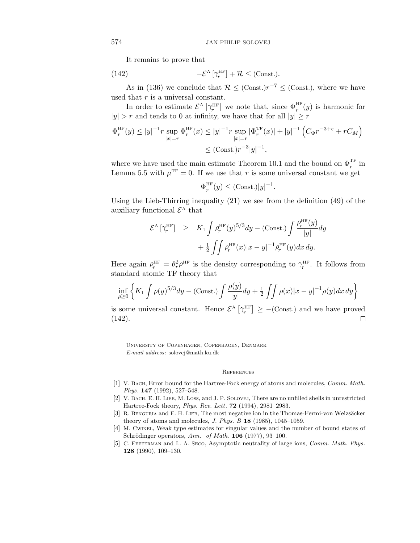It remains to prove that

(142) 
$$
-\mathcal{E}^{\mathbf{A}}\left[\gamma_r^{\text{HF}}\right] + \mathcal{R} \leq \text{(Const.)}.
$$

As in (136) we conclude that  $\mathcal{R} \leq (\text{Const.})r^{-7} \leq (\text{Const.})$ , where we have used that  $r$  is a universal constant.

In order to estimate  $\mathcal{E}^{\text{A}}[\gamma_r^{\text{HF}}]$  we note that, since  $\Phi_r^{\text{HF}}(y)$  is harmonic for  $|y| > r$  and tends to 0 at infinity, we have that for all  $|y| \geq r$ 

$$
\Phi_r^{\text{HF}}(y) \le |y|^{-1} r \sup_{|x|=r} \Phi_r^{\text{HF}}(x) \le |y|^{-1} r \sup_{|x|=r} |\Phi_r^{\text{TF}}(x)| + |y|^{-1} \left( C_{\Phi} r^{-3+\varepsilon} + r C_M \right)
$$
  

$$
\le (\text{Const.}) r^{-3} |y|^{-1},
$$

where we have used the main estimate Theorem 10.1 and the bound on  $\Phi_r^{\tiny\rm TF}$  in Lemma 5.5 with  $\mu^{\text{TF}} = 0$ . If we use that r is some universal constant we get

$$
\Phi_r^{\text{HF}}(y) \leq (\text{Const.})|y|^{-1}.
$$

Using the Lieb-Thirring inequality  $(21)$  we see from the definition  $(49)$  of the auxiliary functional  $\mathcal{E}^{\mathbf{A}}$  that

$$
\begin{array}{lcl} \displaystyle \mathcal{E}^{\rm A}\left[\gamma^{\rm HF}_r\right] & \geq & \displaystyle K_1 \int \rho^{\rm HF}_r(y)^{5/3}dy - \text{(Const.)} \int \frac{\rho^{\rm HF}_r(y)}{|y|}dy \\[10pt] & & \displaystyle + \frac{1}{2} \int \int \rho^{\rm HF}_r(x)|x-y|^{-1} \rho^{\rm HF}_r(y) dx\, dy. \end{array}
$$

Here again  $\rho_r^{\text{HF}} = \theta_r^2 \rho^{\text{HF}}$  is the density corresponding to  $\gamma_r^{\text{HF}}$ . It follows from standard atomic TF theory that

$$
\inf_{\rho \ge 0} \left\{ K_1 \int \rho(y)^{5/3} dy - (\text{Const.}) \int \frac{\rho(y)}{|y|} dy + \frac{1}{2} \int \int \rho(x) |x - y|^{-1} \rho(y) dx dy \right\}
$$

is some universal constant. Hence  $\mathcal{E}^{\mathcal{A}}\left[\gamma_{r}^{\text{HF}}\right] \geq -(\text{Const.})$  and we have proved (142).  $\Box$ 

University of Copenhagen, Copenhagen, Denmark E-mail address: solovej@math.ku.dk

#### **REFERENCES**

- [1] V. Bach, Error bound for the Hartree-Fock energy of atoms and molecules, *Comm. Math. Phys*. **147** (1992), 527–548.
- [2] V. Bach, E. H. Lieb, M. Loss, and J. P. Solovej, There are no unfilled shells in unrestricted Hartree-Fock theory, *Phys. Rev. Lett*. **72** (1994), 2981–2983.
- [3] R. BENGURIA and E. H. LIEB, The most negative ion in the Thomas-Fermi-von Weizsäcker theory of atoms and molecules, *J. Phys. B* **18** (1985), 1045–1059.
- [4] M. Cwikel, Weak type estimates for singular values and the number of bound states of Schrödinger operators, *Ann. of Math.* **106** (1977), 93-100.
- [5] C. Fefferman and L. A. Seco, Asymptotic neutrality of large ions, *Comm. Math. Phys*. **128** (1990), 109–130.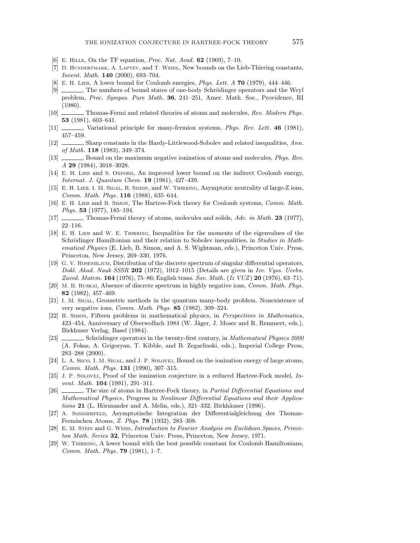- [6] E. Hille, On the TF equation, *Proc. Nat. Acad*. **62** (1969), 7–10.
- [7] D. HUNDERTMARK, A. LAPTEV, and T. WEIDL, New bounds on the Lieb-Thirring constants, *Invent. Math*. **140** (2000), 693–704.
- [8] E. H. Lieb, A lower bound for Coulomb energies, *Phys. Lett. A* **70** (1979), 444–446.
- [9] , The numbers of bound states of one-body Schrödinger operators and the Weyl problem, *Proc. Sympos. Pure Math*. **36**, 241–251, Amer. Math. Soc., Providence, RI (1980).
- [10] , Thomas-Fermi and related theories of atoms and molecules, *Rev. Modern Phys*. **53** (1981), 603–641.
- [11] , Variational principle for many-fermion systems, *Phys. Rev. Lett*. **46** (1981), 457–459.
- [12] , Sharp constants in the Hardy-Littlewood-Sobolev and related inequalities, *Ann. of Math*. **118** (1983), 349–374.
- [13] , Bound on the maximum negative ionization of atoms and molecules, *Phys. Rev. A* **29** (1984), 3018–3028.
- [14] E. H. LIEB and S. OXFORD, An improved lower bound on the indirect Coulomb energy, *Internat. J. Quantum Chem*. **19** (1981), 427–439.
- [15] E. H. Lieb, I. M. Sigal, B. Simon, and W. Thirring, Asymptotic neutrality of large-Z ions, *Comm. Math. Phys*. **116** (1988), 635–644.
- [16] E. H. Lieb and B. Simon, The Hartree-Fock theory for Coulomb systems, *Comm. Math. Phys*. **53** (1977), 185–194.
- [17] , Thomas-Fermi theory of atoms, molecules and solids, *Adv. in Math*. **23** (1977), 22–116.
- [18] E. H. Lieb and W. E. Thirring, Inequalities for the moments of the eigenvalues of the Schrödinger Hamiltonian and their relation to Sobolev inequalities, in *Studies in Mathematical Physics* (E. Lieb, B. Simon, and A. S. Wightman, eds.), Princeton Univ. Press, Princeton, New Jersey, 269–330, 1976.
- [19] G. V. Rosenbljum, Distribution of the discrete spectrum of singular differential operators, *Dokl. Akad. Nauk SSSR* **202** (1972), 1012–1015 (Details are given in *Izv. Vyss. Ucebn. Zaved. Matem*. **164** (1976), 75–86; English trans. *Sov. Math*. (*Iz VUZ*) **20** (1976), 63–71).
- [20] M. B. Ruskai, Absence of discrete spectrum in highly negative ions, *Comm. Math. Phys*. **82** (1982), 457–469.
- [21] I. M. Sigal, Geometric methods in the quantum many-body problem. Nonexistence of very negative ions, *Comm. Math. Phys*. **85** (1982), 309–324.
- [22] B. Simon, Fifteen problems in mathematical physics, in *Perspectives in Mathematics*, 423–454, Anniversary of Oberwolfach 1984 (W. Jäger, J. Moser and R. Remmert, eds.), Birkhuser Verlag, Basel (1984).
- [23] , Schrödinger operators in the twenty-first century, in *Mathematical Physics 2000* (A. Fokas, A. Grigoryan, T. Kibble, and B. Zegarlinski, eds.), Imperial College Press, 283–288 (2000).
- [24] L. A. SECO, I. M. SIGAL, and J. P. SOLOVEJ, Bound on the ionization energy of large atoms, *Comm. Math. Phys*. **131** (1990), 307–315.
- [25] J. P. Solovej, Proof of the ionization conjecture in a reduced Hartree-Fock model, *Invent. Math*. **104** (1991), 291–311.
- [26] , The size of atoms in Hartree-Fock theory, in *Partial Differential Equations and Mathematical Physics*, Progress in *Nonlinear Differential Equations and their Applications* 21 (L. Hörmander and A. Melin, eds.), 321–332, Birkhäuser (1996).
- [27] A. Sommerfeld, Asymptotische Integration der Differentialgleichung des Thomas-Fermischen Atoms, *Z. Phys*. **78** (1932), 283–308.
- [28] E. M. Stein and G. Weiss, *Introduction to Fourier Analysis on Euclidean Spaces*, *Princeton Math. Series* **32**, Princeton Univ. Press, Princeton, New Jersey, 1971.
- [29] W. Thirring, A lower bound with the best possible constant for Coulomb Hamiltonians, *Comm. Math. Phys*. **79** (1981), 1–7.